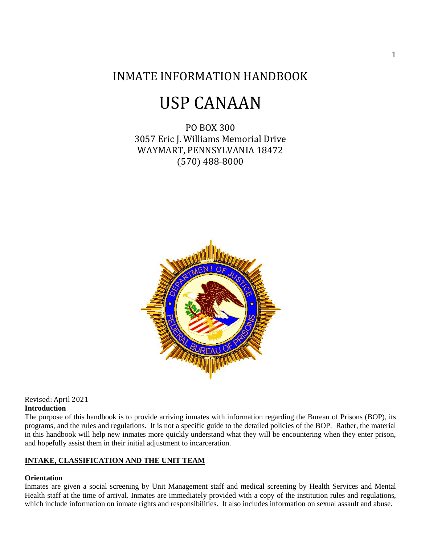# INMATE INFORMATION HANDBOOK

# USP CANAAN

PO BOX 300 3057 Eric J. Williams Memorial Drive WAYMART, PENNSYLVANIA 18472 (570) 488-8000



Revised: April 2021 **Introduction** 

The purpose of this handbook is to provide arriving inmates with information regarding the Bureau of Prisons (BOP), its programs, and the rules and regulations. It is not a specific guide to the detailed policies of the BOP. Rather, the material in this handbook will help new inmates more quickly understand what they will be encountering when they enter prison, and hopefully assist them in their initial adjustment to incarceration.

# **INTAKE, CLASSIFICATION AND THE UNIT TEAM**

### **Orientation**

Inmates are given a social screening by Unit Management staff and medical screening by Health Services and Mental Health staff at the time of arrival. Inmates are immediately provided with a copy of the institution rules and regulations, which include information on inmate rights and responsibilities. It also includes information on sexual assault and abuse.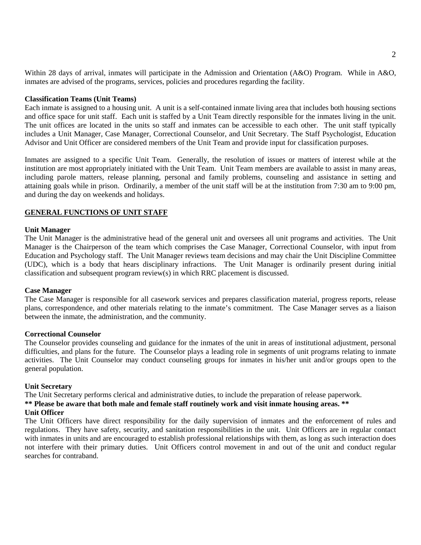Within 28 days of arrival, inmates will participate in the Admission and Orientation (A&O) Program. While in A&O, inmates are advised of the programs, services, policies and procedures regarding the facility.

#### **Classification Teams (Unit Teams)**

Each inmate is assigned to a housing unit. A unit is a self-contained inmate living area that includes both housing sections and office space for unit staff. Each unit is staffed by a Unit Team directly responsible for the inmates living in the unit. The unit offices are located in the units so staff and inmates can be accessible to each other. The unit staff typically includes a Unit Manager, Case Manager, Correctional Counselor, and Unit Secretary. The Staff Psychologist, Education Advisor and Unit Officer are considered members of the Unit Team and provide input for classification purposes.

Inmates are assigned to a specific Unit Team. Generally, the resolution of issues or matters of interest while at the institution are most appropriately initiated with the Unit Team. Unit Team members are available to assist in many areas, including parole matters, release planning, personal and family problems, counseling and assistance in setting and attaining goals while in prison. Ordinarily, a member of the unit staff will be at the institution from 7:30 am to 9:00 pm, and during the day on weekends and holidays.

# **GENERAL FUNCTIONS OF UNIT STAFF**

#### **Unit Manager**

The Unit Manager is the administrative head of the general unit and oversees all unit programs and activities. The Unit Manager is the Chairperson of the team which comprises the Case Manager, Correctional Counselor, with input from Education and Psychology staff. The Unit Manager reviews team decisions and may chair the Unit Discipline Committee (UDC), which is a body that hears disciplinary infractions. The Unit Manager is ordinarily present during initial classification and subsequent program review(s) in which RRC placement is discussed.

#### **Case Manager**

The Case Manager is responsible for all casework services and prepares classification material, progress reports, release plans, correspondence, and other materials relating to the inmate's commitment. The Case Manager serves as a liaison between the inmate, the administration, and the community.

#### **Correctional Counselor**

The Counselor provides counseling and guidance for the inmates of the unit in areas of institutional adjustment, personal difficulties, and plans for the future. The Counselor plays a leading role in segments of unit programs relating to inmate activities. The Unit Counselor may conduct counseling groups for inmates in his/her unit and/or groups open to the general population.

#### **Unit Secretary**

The Unit Secretary performs clerical and administrative duties, to include the preparation of release paperwork.

#### **\*\* Please be aware that both male and female staff routinely work and visit inmate housing areas. \*\***

### **Unit Officer**

The Unit Officers have direct responsibility for the daily supervision of inmates and the enforcement of rules and regulations. They have safety, security, and sanitation responsibilities in the unit. Unit Officers are in regular contact with inmates in units and are encouraged to establish professional relationships with them, as long as such interaction does not interfere with their primary duties. Unit Officers control movement in and out of the unit and conduct regular searches for contraband.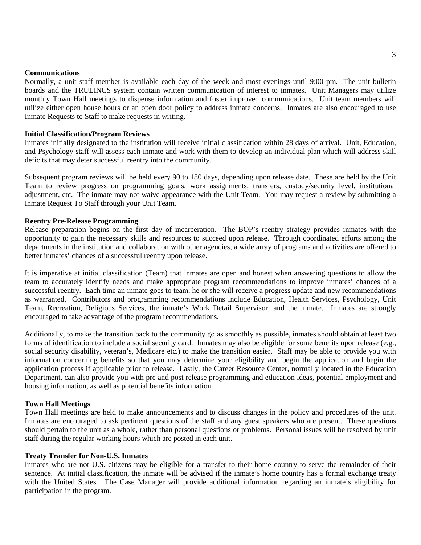#### **Communications**

Normally, a unit staff member is available each day of the week and most evenings until 9:00 pm. The unit bulletin boards and the TRULINCS system contain written communication of interest to inmates. Unit Managers may utilize monthly Town Hall meetings to dispense information and foster improved communications. Unit team members will utilize either open house hours or an open door policy to address inmate concerns. Inmates are also encouraged to use Inmate Requests to Staff to make requests in writing.

#### **Initial Classification/Program Reviews**

Inmates initially designated to the institution will receive initial classification within 28 days of arrival. Unit, Education, and Psychology staff will assess each inmate and work with them to develop an individual plan which will address skill deficits that may deter successful reentry into the community.

Subsequent program reviews will be held every 90 to 180 days, depending upon release date. These are held by the Unit Team to review progress on programming goals, work assignments, transfers, custody/security level, institutional adjustment, etc. The inmate may not waive appearance with the Unit Team. You may request a review by submitting a Inmate Request To Staff through your Unit Team.

#### **Reentry Pre-Release Programming**

Release preparation begins on the first day of incarceration. The BOP's reentry strategy provides inmates with the opportunity to gain the necessary skills and resources to succeed upon release. Through coordinated efforts among the departments in the institution and collaboration with other agencies, a wide array of programs and activities are offered to better inmates' chances of a successful reentry upon release.

It is imperative at initial classification (Team) that inmates are open and honest when answering questions to allow the team to accurately identify needs and make appropriate program recommendations to improve inmates' chances of a successful reentry. Each time an inmate goes to team, he or she will receive a progress update and new recommendations as warranted. Contributors and programming recommendations include Education, Health Services, Psychology, Unit Team, Recreation, Religious Services, the inmate's Work Detail Supervisor, and the inmate. Inmates are strongly encouraged to take advantage of the program recommendations.

Additionally, to make the transition back to the community go as smoothly as possible, inmates should obtain at least two forms of identification to include a social security card. Inmates may also be eligible for some benefits upon release (e.g., social security disability, veteran's, Medicare etc.) to make the transition easier. Staff may be able to provide you with information concerning benefits so that you may determine your eligibility and begin the application and begin the application process if applicable prior to release. Lastly, the Career Resource Center, normally located in the Education Department, can also provide you with pre and post release programming and education ideas, potential employment and housing information, as well as potential benefits information.

#### **Town Hall Meetings**

Town Hall meetings are held to make announcements and to discuss changes in the policy and procedures of the unit. Inmates are encouraged to ask pertinent questions of the staff and any guest speakers who are present. These questions should pertain to the unit as a whole, rather than personal questions or problems. Personal issues will be resolved by unit staff during the regular working hours which are posted in each unit.

#### **Treaty Transfer for Non-U.S. Inmates**

Inmates who are not U.S. citizens may be eligible for a transfer to their home country to serve the remainder of their sentence. At initial classification, the inmate will be advised if the inmate's home country has a formal exchange treaty with the United States. The Case Manager will provide additional information regarding an inmate's eligibility for participation in the program.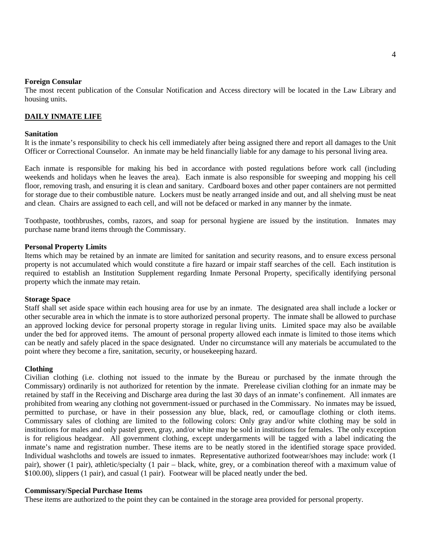#### **Foreign Consular**

The most recent publication of the Consular Notification and Access directory will be located in the Law Library and housing units.

#### **DAILY INMATE LIFE**

#### **Sanitation**

It is the inmate's responsibility to check his cell immediately after being assigned there and report all damages to the Unit Officer or Correctional Counselor. An inmate may be held financially liable for any damage to his personal living area.

Each inmate is responsible for making his bed in accordance with posted regulations before work call (including weekends and holidays when he leaves the area). Each inmate is also responsible for sweeping and mopping his cell floor, removing trash, and ensuring it is clean and sanitary. Cardboard boxes and other paper containers are not permitted for storage due to their combustible nature. Lockers must be neatly arranged inside and out, and all shelving must be neat and clean. Chairs are assigned to each cell, and will not be defaced or marked in any manner by the inmate.

Toothpaste, toothbrushes, combs, razors, and soap for personal hygiene are issued by the institution. Inmates may purchase name brand items through the Commissary.

#### **Personal Property Limits**

Items which may be retained by an inmate are limited for sanitation and security reasons, and to ensure excess personal property is not accumulated which would constitute a fire hazard or impair staff searches of the cell. Each institution is required to establish an Institution Supplement regarding Inmate Personal Property, specifically identifying personal property which the inmate may retain.

#### **Storage Space**

Staff shall set aside space within each housing area for use by an inmate. The designated area shall include a locker or other securable area in which the inmate is to store authorized personal property. The inmate shall be allowed to purchase an approved locking device for personal property storage in regular living units.Limited space may also be available under the bed for approved items. The amount of personal property allowed each inmate is limited to those items which can be neatly and safely placed in the space designated. Under no circumstance will any materials be accumulated to the point where they become a fire, sanitation, security, or housekeeping hazard.

#### **Clothing**

Civilian clothing (i.e. clothing not issued to the inmate by the Bureau or purchased by the inmate through the Commissary) ordinarily is not authorized for retention by the inmate. Prerelease civilian clothing for an inmate may be retained by staff in the Receiving and Discharge area during the last 30 days of an inmate's confinement. All inmates are prohibited from wearing any clothing not government-issued or purchased in the Commissary. No inmates may be issued, permitted to purchase, or have in their possession any blue, black, red, or camouflage clothing or cloth items. Commissary sales of clothing are limited to the following colors: Only gray and/or white clothing may be sold in institutions for males and only pastel green, gray, and/or white may be sold in institutions for females. The only exception is for religious headgear. All government clothing, except undergarments will be tagged with a label indicating the inmate's name and registration number. These items are to be neatly stored in the identified storage space provided. Individual washcloths and towels are issued to inmates. Representative authorized footwear/shoes may include: work (1 pair), shower (1 pair), athletic/specialty (1 pair – black, white, grey, or a combination thereof with a maximum value of \$100.00), slippers (1 pair), and casual (1 pair). Footwear will be placed neatly under the bed.

#### **Commissary/Special Purchase Items**

These items are authorized to the point they can be contained in the storage area provided for personal property.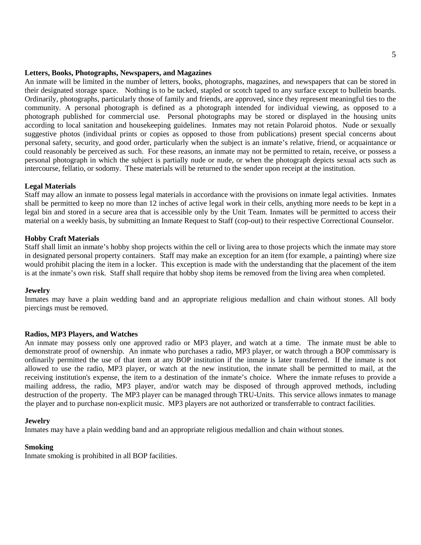#### **Letters, Books, Photographs, Newspapers, and Magazines**

An inmate will be limited in the number of letters, books, photographs, magazines, and newspapers that can be stored in their designated storage space. Nothing is to be tacked, stapled or scotch taped to any surface except to bulletin boards. Ordinarily, photographs, particularly those of family and friends, are approved, since they represent meaningful ties to the community. A personal photograph is defined as a photograph intended for individual viewing, as opposed to a photograph published for commercial use. Personal photographs may be stored or displayed in the housing units according to local sanitation and housekeeping guidelines. Inmates may not retain Polaroid photos. Nude or sexually suggestive photos (individual prints or copies as opposed to those from publications) present special concerns about personal safety, security, and good order, particularly when the subject is an inmate's relative, friend, or acquaintance or could reasonably be perceived as such. For these reasons, an inmate may not be permitted to retain, receive, or possess a personal photograph in which the subject is partially nude or nude, or when the photograph depicts sexual acts such as intercourse, fellatio, or sodomy. These materials will be returned to the sender upon receipt at the institution.

#### **Legal Materials**

Staff may allow an inmate to possess legal materials in accordance with the provisions on inmate legal activities. Inmates shall be permitted to keep no more than 12 inches of active legal work in their cells, anything more needs to be kept in a legal bin and stored in a secure area that is accessible only by the Unit Team. Inmates will be permitted to access their material on a weekly basis, by submitting an Inmate Request to Staff (cop-out) to their respective Correctional Counselor.

#### **Hobby Craft Materials**

Staff shall limit an inmate's hobby shop projects within the cell or living area to those projects which the inmate may store in designated personal property containers. Staff may make an exception for an item (for example, a painting) where size would prohibit placing the item in a locker. This exception is made with the understanding that the placement of the item is at the inmate's own risk. Staff shall require that hobby shop items be removed from the living area when completed.

#### **Jewelry**

Inmates may have a plain wedding band and an appropriate religious medallion and chain without stones. All body piercings must be removed.

#### **Radios, MP3 Players, and Watches**

An inmate may possess only one approved radio or MP3 player, and watch at a time. The inmate must be able to demonstrate proof of ownership. An inmate who purchases a radio, MP3 player, or watch through a BOP commissary is ordinarily permitted the use of that item at any BOP institution if the inmate is later transferred. If the inmate is not allowed to use the radio, MP3 player, or watch at the new institution, the inmate shall be permitted to mail, at the receiving institution's expense, the item to a destination of the inmate's choice. Where the inmate refuses to provide a mailing address, the radio, MP3 player, and/or watch may be disposed of through approved methods, including destruction of the property. The MP3 player can be managed through TRU-Units. This service allows inmates to manage the player and to purchase non-explicit music. MP3 players are not authorized or transferrable to contract facilities.

#### **Jewelry**

Inmates may have a plain wedding band and an appropriate religious medallion and chain without stones.

#### **Smoking**

Inmate smoking is prohibited in all BOP facilities.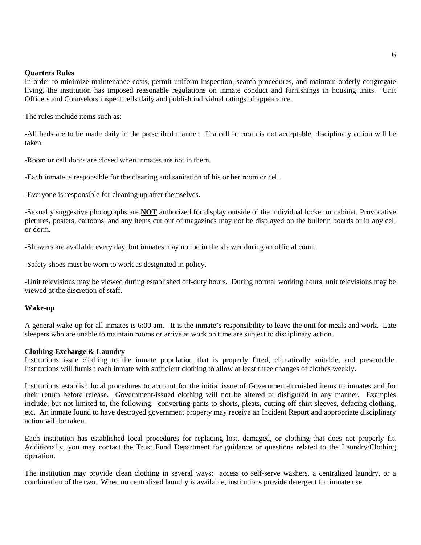#### **Quarters Rules**

In order to minimize maintenance costs, permit uniform inspection, search procedures, and maintain orderly congregate living, the institution has imposed reasonable regulations on inmate conduct and furnishings in housing units. Unit Officers and Counselors inspect cells daily and publish individual ratings of appearance.

The rules include items such as:

-All beds are to be made daily in the prescribed manner. If a cell or room is not acceptable, disciplinary action will be taken.

-Room or cell doors are closed when inmates are not in them.

-Each inmate is responsible for the cleaning and sanitation of his or her room or cell.

-Everyone is responsible for cleaning up after themselves.

-Sexually suggestive photographs are **NOT** authorized for display outside of the individual locker or cabinet. Provocative pictures, posters, cartoons, and any items cut out of magazines may not be displayed on the bulletin boards or in any cell or dorm.

-Showers are available every day, but inmates may not be in the shower during an official count.

-Safety shoes must be worn to work as designated in policy.

-Unit televisions may be viewed during established off-duty hours. During normal working hours, unit televisions may be viewed at the discretion of staff.

#### **Wake-up**

A general wake-up for all inmates is 6:00 am. It is the inmate's responsibility to leave the unit for meals and work. Late sleepers who are unable to maintain rooms or arrive at work on time are subject to disciplinary action.

#### **Clothing Exchange & Laundry**

Institutions issue clothing to the inmate population that is properly fitted, climatically suitable, and presentable. Institutions will furnish each inmate with sufficient clothing to allow at least three changes of clothes weekly.

Institutions establish local procedures to account for the initial issue of Government-furnished items to inmates and for their return before release. Government-issued clothing will not be altered or disfigured in any manner. Examples include, but not limited to, the following: converting pants to shorts, pleats, cutting off shirt sleeves, defacing clothing, etc. An inmate found to have destroyed government property may receive an Incident Report and appropriate disciplinary action will be taken.

Each institution has established local procedures for replacing lost, damaged, or clothing that does not properly fit. Additionally, you may contact the Trust Fund Department for guidance or questions related to the Laundry/Clothing operation.

The institution may provide clean clothing in several ways: access to self-serve washers, a centralized laundry, or a combination of the two. When no centralized laundry is available, institutions provide detergent for inmate use.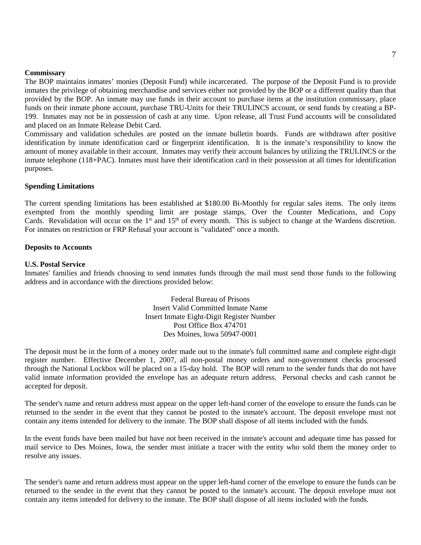#### **Commissary**

The BOP maintains inmates' monies (Deposit Fund) while incarcerated. The purpose of the Deposit Fund is to provide inmates the privilege of obtaining merchandise and services either not provided by the BOP or a different quality than that provided by the BOP. An inmate may use funds in their account to purchase items at the institution commissary, place funds on their inmate phone account, purchase TRU-Units for their TRULINCS account, or send funds by creating a BP-199. Inmates may not be in possession of cash at any time. Upon release, all Trust Fund accounts will be consolidated and placed on an Inmate Release Debit Card.

Commissary and validation schedules are posted on the inmate bulletin boards. Funds are withdrawn after positive identification by inmate identification card or fingerprint identification. It is the inmate's responsibility to know the amount of money available in their account. Inmates may verify their account balances by utilizing the TRULINCS or the inmate telephone (118+PAC). Inmates must have their identification card in their possession at all times for identification purposes.

#### **Spending Limitations**

The current spending limitations has been established at \$180.00 Bi-Monthly for regular sales items. The only items exempted from the monthly spending limit are postage stamps, Over the Counter Medications, and Copy Cards. Revalidation will occur on the  $1<sup>st</sup>$  and  $15<sup>th</sup>$  of every month. This is subject to change at the Wardens discretion. For inmates on restriction or FRP Refusal your account is "validated" once a month.

#### **Deposits to Accounts**

#### **U.S. Postal Service**

Inmates' families and friends choosing to send inmates funds through the mail must send those funds to the following address and in accordance with the directions provided below:

> Federal Bureau of Prisons Insert Valid Committed Inmate Name Insert Inmate Eight-Digit Register Number Post Office Box 474701 Des Moines, Iowa 50947-0001

The deposit must be in the form of a money order made out to the inmate's full committed name and complete eight-digit register number. Effective December 1, 2007, all non-postal money orders and non-government checks processed through the National Lockbox will be placed on a 15-day hold. The BOP will return to the sender funds that do not have valid inmate information provided the envelope has an adequate return address. Personal checks and cash cannot be accepted for deposit.

The sender's name and return address must appear on the upper left-hand corner of the envelope to ensure the funds can be returned to the sender in the event that they cannot be posted to the inmate's account. The deposit envelope must not contain any items intended for delivery to the inmate. The BOP shall dispose of all items included with the funds.

In the event funds have been mailed but have not been received in the inmate's account and adequate time has passed for mail service to Des Moines, Iowa, the sender must initiate a tracer with the entity who sold them the money order to resolve any issues.

The sender's name and return address must appear on the upper left-hand corner of the envelope to ensure the funds can be returned to the sender in the event that they cannot be posted to the inmate's account. The deposit envelope must not contain any items intended for delivery to the inmate. The BOP shall dispose of all items included with the funds.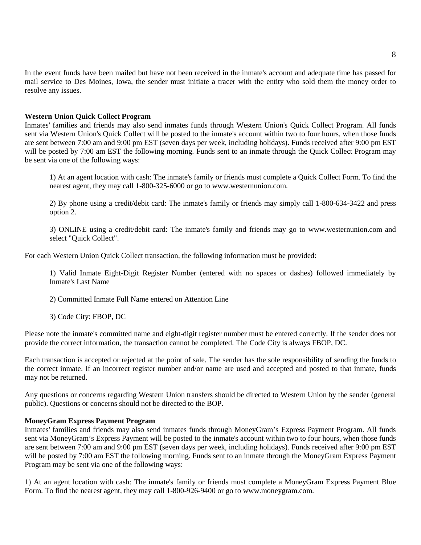In the event funds have been mailed but have not been received in the inmate's account and adequate time has passed for mail service to Des Moines, Iowa, the sender must initiate a tracer with the entity who sold them the money order to resolve any issues.

#### **Western Union Quick Collect Program**

Inmates' families and friends may also send inmates funds through Western Union's Quick Collect Program. All funds sent via Western Union's Quick Collect will be posted to the inmate's account within two to four hours, when those funds are sent between 7:00 am and 9:00 pm EST (seven days per week, including holidays). Funds received after 9:00 pm EST will be posted by 7:00 am EST the following morning. Funds sent to an inmate through the Quick Collect Program may be sent via one of the following ways:

1) At an agent location with cash: The inmate's family or friends must complete a Quick Collect Form. To find the nearest agent, they may call 1-800-325-6000 or go to www.westernunion.com.

2) By phone using a credit/debit card: The inmate's family or friends may simply call 1-800-634-3422 and press option 2.

3) ONLINE using a credit/debit card: The inmate's family and friends may go to www.westernunion.com and select "Quick Collect".

For each Western Union Quick Collect transaction, the following information must be provided:

1) Valid Inmate Eight-Digit Register Number (entered with no spaces or dashes) followed immediately by Inmate's Last Name

2) Committed Inmate Full Name entered on Attention Line

3) Code City: FBOP, DC

Please note the inmate's committed name and eight-digit register number must be entered correctly. If the sender does not provide the correct information, the transaction cannot be completed. The Code City is always FBOP, DC.

Each transaction is accepted or rejected at the point of sale. The sender has the sole responsibility of sending the funds to the correct inmate. If an incorrect register number and/or name are used and accepted and posted to that inmate, funds may not be returned.

Any questions or concerns regarding Western Union transfers should be directed to Western Union by the sender (general public). Questions or concerns should not be directed to the BOP.

#### **MoneyGram Express Payment Program**

Inmates' families and friends may also send inmates funds through MoneyGram's Express Payment Program. All funds sent via MoneyGram's Express Payment will be posted to the inmate's account within two to four hours, when those funds are sent between 7:00 am and 9:00 pm EST (seven days per week, including holidays). Funds received after 9:00 pm EST will be posted by 7:00 am EST the following morning. Funds sent to an inmate through the MoneyGram Express Payment Program may be sent via one of the following ways:

1) At an agent location with cash: The inmate's family or friends must complete a MoneyGram Express Payment Blue Form. To find the nearest agent, they may call 1-800-926-9400 or go to www.moneygram.com.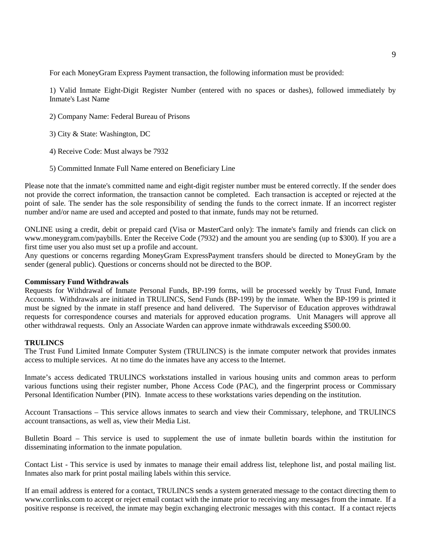For each MoneyGram Express Payment transaction, the following information must be provided:

1) Valid Inmate Eight-Digit Register Number (entered with no spaces or dashes), followed immediately by Inmate's Last Name

- 2) Company Name: Federal Bureau of Prisons
- 3) City & State: Washington, DC
- 4) Receive Code: Must always be 7932
- 5) Committed Inmate Full Name entered on Beneficiary Line

Please note that the inmate's committed name and eight-digit register number must be entered correctly. If the sender does not provide the correct information, the transaction cannot be completed. Each transaction is accepted or rejected at the point of sale. The sender has the sole responsibility of sending the funds to the correct inmate. If an incorrect register number and/or name are used and accepted and posted to that inmate, funds may not be returned.

ONLINE using a credit, debit or prepaid card (Visa or MasterCard only): The inmate's family and friends can click on www.moneygram.com/paybills. Enter the Receive Code (7932) and the amount you are sending (up to \$300). If you are a first time user you also must set up a profile and account.

Any questions or concerns regarding MoneyGram ExpressPayment transfers should be directed to MoneyGram by the sender (general public). Questions or concerns should not be directed to the BOP.

#### **Commissary Fund Withdrawals**

Requests for Withdrawal of Inmate Personal Funds, BP-199 forms, will be processed weekly by Trust Fund, Inmate Accounts. Withdrawals are initiated in TRULINCS, Send Funds (BP-199) by the inmate. When the BP-199 is printed it must be signed by the inmate in staff presence and hand delivered. The Supervisor of Education approves withdrawal requests for correspondence courses and materials for approved education programs. Unit Managers will approve all other withdrawal requests. Only an Associate Warden can approve inmate withdrawals exceeding \$500.00.

#### **TRULINCS**

The Trust Fund Limited Inmate Computer System (TRULINCS) is the inmate computer network that provides inmates access to multiple services. At no time do the inmates have any access to the Internet.

Inmate's access dedicated TRULINCS workstations installed in various housing units and common areas to perform various functions using their register number, Phone Access Code (PAC), and the fingerprint process or Commissary Personal Identification Number (PIN). Inmate access to these workstations varies depending on the institution.

Account Transactions – This service allows inmates to search and view their Commissary, telephone, and TRULINCS account transactions, as well as, view their Media List.

Bulletin Board – This service is used to supplement the use of inmate bulletin boards within the institution for disseminating information to the inmate population.

Contact List - This service is used by inmates to manage their email address list, telephone list, and postal mailing list. Inmates also mark for print postal mailing labels within this service.

If an email address is entered for a contact, TRULINCS sends a system generated message to the contact directing them to www.corrlinks.com to accept or reject email contact with the inmate prior to receiving any messages from the inmate. If a positive response is received, the inmate may begin exchanging electronic messages with this contact. If a contact rejects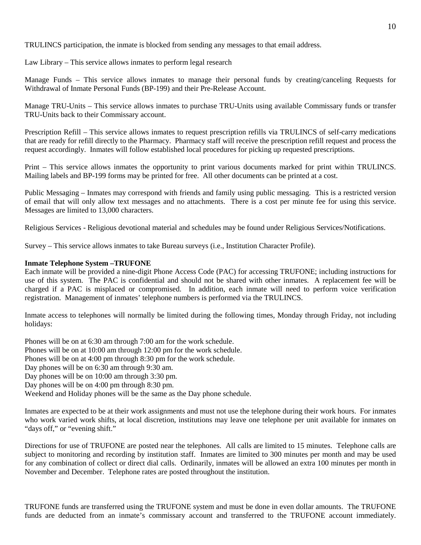TRULINCS participation, the inmate is blocked from sending any messages to that email address.

Law Library – This service allows inmates to perform legal research

Manage Funds – This service allows inmates to manage their personal funds by creating/canceling Requests for Withdrawal of Inmate Personal Funds (BP-199) and their Pre-Release Account.

Manage TRU-Units – This service allows inmates to purchase TRU-Units using available Commissary funds or transfer TRU-Units back to their Commissary account.

Prescription Refill – This service allows inmates to request prescription refills via TRULINCS of self-carry medications that are ready for refill directly to the Pharmacy. Pharmacy staff will receive the prescription refill request and process the request accordingly. Inmates will follow established local procedures for picking up requested prescriptions.

Print – This service allows inmates the opportunity to print various documents marked for print within TRULINCS. Mailing labels and BP-199 forms may be printed for free. All other documents can be printed at a cost.

Public Messaging – Inmates may correspond with friends and family using public messaging. This is a restricted version of email that will only allow text messages and no attachments. There is a cost per minute fee for using this service. Messages are limited to 13,000 characters.

Religious Services - Religious devotional material and schedules may be found under Religious Services/Notifications.

Survey – This service allows inmates to take Bureau surveys (i.e., Institution Character Profile).

# **Inmate Telephone System –TRUFONE**

Each inmate will be provided a nine-digit Phone Access Code (PAC) for accessing TRUFONE; including instructions for use of this system. The PAC is confidential and should not be shared with other inmates. A replacement fee will be charged if a PAC is misplaced or compromised. In addition, each inmate will need to perform voice verification registration. Management of inmates' telephone numbers is performed via the TRULINCS.

Inmate access to telephones will normally be limited during the following times, Monday through Friday, not including holidays:

Phones will be on at 6:30 am through 7:00 am for the work schedule. Phones will be on at 10:00 am through 12:00 pm for the work schedule. Phones will be on at 4:00 pm through 8:30 pm for the work schedule. Day phones will be on 6:30 am through 9:30 am. Day phones will be on 10:00 am through 3:30 pm. Day phones will be on 4:00 pm through 8:30 pm. Weekend and Holiday phones will be the same as the Day phone schedule.

Inmates are expected to be at their work assignments and must not use the telephone during their work hours. For inmates who work varied work shifts, at local discretion, institutions may leave one telephone per unit available for inmates on "days off," or "evening shift."

Directions for use of TRUFONE are posted near the telephones. All calls are limited to 15 minutes. Telephone calls are subject to monitoring and recording by institution staff. Inmates are limited to 300 minutes per month and may be used for any combination of collect or direct dial calls. Ordinarily, inmates will be allowed an extra 100 minutes per month in November and December. Telephone rates are posted throughout the institution.

TRUFONE funds are transferred using the TRUFONE system and must be done in even dollar amounts. The TRUFONE funds are deducted from an inmate's commissary account and transferred to the TRUFONE account immediately.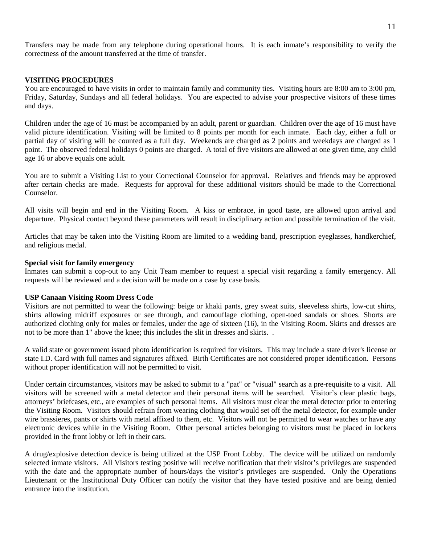Transfers may be made from any telephone during operational hours. It is each inmate's responsibility to verify the correctness of the amount transferred at the time of transfer.

#### **VISITING PROCEDURES**

You are encouraged to have visits in order to maintain family and community ties. Visiting hours are 8:00 am to 3:00 pm, Friday, Saturday, Sundays and all federal holidays. You are expected to advise your prospective visitors of these times and days.

Children under the age of 16 must be accompanied by an adult, parent or guardian. Children over the age of 16 must have valid picture identification. Visiting will be limited to 8 points per month for each inmate. Each day, either a full or partial day of visiting will be counted as a full day. Weekends are charged as 2 points and weekdays are charged as 1 point. The observed federal holidays 0 points are charged. A total of five visitors are allowed at one given time, any child age 16 or above equals one adult.

You are to submit a Visiting List to your Correctional Counselor for approval. Relatives and friends may be approved after certain checks are made. Requests for approval for these additional visitors should be made to the Correctional Counselor.

All visits will begin and end in the Visiting Room. A kiss or embrace, in good taste, are allowed upon arrival and departure. Physical contact beyond these parameters will result in disciplinary action and possible termination of the visit.

Articles that may be taken into the Visiting Room are limited to a wedding band, prescription eyeglasses, handkerchief, and religious medal.

#### **Special visit for family emergency**

Inmates can submit a cop-out to any Unit Team member to request a special visit regarding a family emergency. All requests will be reviewed and a decision will be made on a case by case basis.

#### **USP Canaan Visiting Room Dress Code**

Visitors are not permitted to wear the following: beige or khaki pants, grey sweat suits, sleeveless shirts, low-cut shirts, shirts allowing midriff exposures or see through, and camouflage clothing, open-toed sandals or shoes. Shorts are authorized clothing only for males or females, under the age of sixteen (16), in the Visiting Room. Skirts and dresses are not to be more than 1" above the knee; this includes the slit in dresses and skirts. .

A valid state or government issued photo identification is required for visitors. This may include a state driver's license or state I.D. Card with full names and signatures affixed. Birth Certificates are not considered proper identification. Persons without proper identification will not be permitted to visit.

Under certain circumstances, visitors may be asked to submit to a "pat" or "visual" search as a pre-requisite to a visit. All visitors will be screened with a metal detector and their personal items will be searched. Visitor's clear plastic bags, attorneys' briefcases, etc., are examples of such personal items. All visitors must clear the metal detector prior to entering the Visiting Room. Visitors should refrain from wearing clothing that would set off the metal detector, for example under wire brassieres, pants or shirts with metal affixed to them, etc. Visitors will not be permitted to wear watches or have any electronic devices while in the Visiting Room. Other personal articles belonging to visitors must be placed in lockers provided in the front lobby or left in their cars.

A drug/explosive detection device is being utilized at the USP Front Lobby. The device will be utilized on randomly selected inmate visitors. All Visitors testing positive will receive notification that their visitor's privileges are suspended with the date and the appropriate number of hours/days the visitor's privileges are suspended. Only the Operations Lieutenant or the Institutional Duty Officer can notify the visitor that they have tested positive and are being denied entrance into the institution.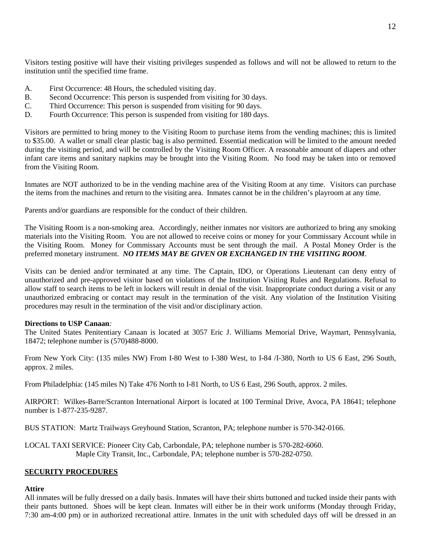Visitors testing positive will have their visiting privileges suspended as follows and will not be allowed to return to the institution until the specified time frame.

- A. First Occurrence: 48 Hours, the scheduled visiting day.
- B. Second Occurrence: This person is suspended from visiting for 30 days.
- C. Third Occurrence: This person is suspended from visiting for 90 days.
- D. Fourth Occurrence: This person is suspended from visiting for 180 days.

Visitors are permitted to bring money to the Visiting Room to purchase items from the vending machines; this is limited to \$35.00. A wallet or small clear plastic bag is also permitted. Essential medication will be limited to the amount needed during the visiting period, and will be controlled by the Visiting Room Officer. A reasonable amount of diapers and other infant care items and sanitary napkins may be brought into the Visiting Room. No food may be taken into or removed from the Visiting Room.

Inmates are NOT authorized to be in the vending machine area of the Visiting Room at any time. Visitors can purchase the items from the machines and return to the visiting area. Inmates cannot be in the children's playroom at any time.

Parents and/or guardians are responsible for the conduct of their children.

The Visiting Room is a non-smoking area. Accordingly, neither inmates nor visitors are authorized to bring any smoking materials into the Visiting Room. You are not allowed to receive coins or money for your Commissary Account while in the Visiting Room. Money for Commissary Accounts must be sent through the mail. A Postal Money Order is the preferred monetary instrument. *NO ITEMS MAY BE GIVEN OR EXCHANGED IN THE VISITING ROOM*.

Visits can be denied and/or terminated at any time. The Captain, IDO, or Operations Lieutenant can deny entry of unauthorized and pre-approved visitor based on violations of the Institution Visiting Rules and Regulations. Refusal to allow staff to search items to be left in lockers will result in denial of the visit. Inappropriate conduct during a visit or any unauthorized embracing or contact may result in the termination of the visit. Any violation of the Institution Visiting procedures may result in the termination of the visit and/or disciplinary action.

### **Directions to USP Canaan***:*

The United States Penitentiary Canaan is located at 3057 Eric J. Williams Memorial Drive, Waymart, Pennsylvania, 18472; telephone number is (570)488-8000.

From New York City: (135 miles NW) From I-80 West to I-380 West, to I-84 /I-380, North to US 6 East, 296 South, approx. 2 miles.

From Philadelphia: (145 miles N) Take 476 North to I-81 North, to US 6 East, 296 South, approx. 2 miles.

AIRPORT: Wilkes-Barre/Scranton International Airport is located at 100 Terminal Drive, Avoca, PA 18641; telephone number is 1-877-235-9287.

BUS STATION: Martz Trailways Greyhound Station, Scranton, PA; telephone number is 570-342-0166.

LOCAL TAXI SERVICE: Pioneer City Cab, Carbondale, PA; telephone number is 570-282-6060. Maple City Transit, Inc., Carbondale, PA; telephone number is 570-282-0750.

### **SECURITY PROCEDURES**

### **Attire**

All inmates will be fully dressed on a daily basis. Inmates will have their shirts buttoned and tucked inside their pants with their pants buttoned. Shoes will be kept clean. Inmates will either be in their work uniforms (Monday through Friday, 7:30 am-4:00 pm) or in authorized recreational attire. Inmates in the unit with scheduled days off will be dressed in an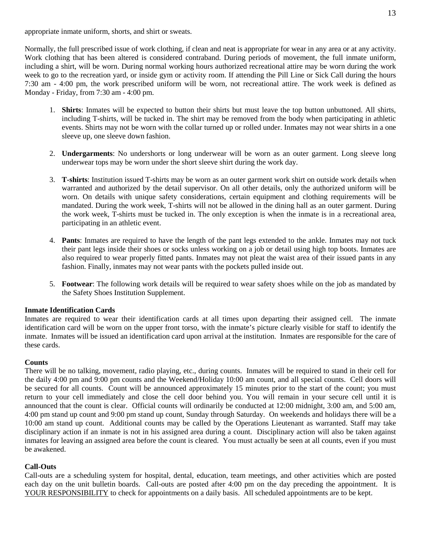appropriate inmate uniform, shorts, and shirt or sweats.

Normally, the full prescribed issue of work clothing, if clean and neat is appropriate for wear in any area or at any activity. Work clothing that has been altered is considered contraband. During periods of movement, the full inmate uniform, including a shirt, will be worn. During normal working hours authorized recreational attire may be worn during the work week to go to the recreation yard, or inside gym or activity room. If attending the Pill Line or Sick Call during the hours 7:30 am - 4:00 pm, the work prescribed uniform will be worn, not recreational attire. The work week is defined as Monday - Friday, from 7:30 am - 4:00 pm.

- 1. **Shirts**: Inmates will be expected to button their shirts but must leave the top button unbuttoned. All shirts, including T-shirts, will be tucked in. The shirt may be removed from the body when participating in athletic events. Shirts may not be worn with the collar turned up or rolled under. Inmates may not wear shirts in a one sleeve up, one sleeve down fashion.
- 2. **Undergarments**: No undershorts or long underwear will be worn as an outer garment. Long sleeve long underwear tops may be worn under the short sleeve shirt during the work day.
- 3. **T-shirts**: Institution issued T-shirts may be worn as an outer garment work shirt on outside work details when warranted and authorized by the detail supervisor. On all other details, only the authorized uniform will be worn. On details with unique safety considerations, certain equipment and clothing requirements will be mandated. During the work week, T-shirts will not be allowed in the dining hall as an outer garment. During the work week, T-shirts must be tucked in. The only exception is when the inmate is in a recreational area, participating in an athletic event.
- 4. **Pants**: Inmates are required to have the length of the pant legs extended to the ankle. Inmates may not tuck their pant legs inside their shoes or socks unless working on a job or detail using high top boots. Inmates are also required to wear properly fitted pants. Inmates may not pleat the waist area of their issued pants in any fashion. Finally, inmates may not wear pants with the pockets pulled inside out.
- 5. **Footwear**: The following work details will be required to wear safety shoes while on the job as mandated by the Safety Shoes Institution Supplement.

### **Inmate Identification Cards**

Inmates are required to wear their identification cards at all times upon departing their assigned cell. The inmate identification card will be worn on the upper front torso, with the inmate's picture clearly visible for staff to identify the inmate. Inmates will be issued an identification card upon arrival at the institution. Inmates are responsible for the care of these cards.

### **Counts**

There will be no talking, movement, radio playing, etc., during counts. Inmates will be required to stand in their cell for the daily 4:00 pm and 9:00 pm counts and the Weekend/Holiday 10:00 am count, and all special counts. Cell doors will be secured for all counts. Count will be announced approximately 15 minutes prior to the start of the count; you must return to your cell immediately and close the cell door behind you. You will remain in your secure cell until it is announced that the count is clear. Official counts will ordinarily be conducted at 12:00 midnight, 3:00 am, and 5:00 am, 4:00 pm stand up count and 9:00 pm stand up count, Sunday through Saturday. On weekends and holidays there will be a 10:00 am stand up count. Additional counts may be called by the Operations Lieutenant as warranted. Staff may take disciplinary action if an inmate is not in his assigned area during a count. Disciplinary action will also be taken against inmates for leaving an assigned area before the count is cleared. You must actually be seen at all counts, even if you must be awakened.

### **Call-Outs**

Call-outs are a scheduling system for hospital, dental, education, team meetings, and other activities which are posted each day on the unit bulletin boards. Call-outs are posted after 4:00 pm on the day preceding the appointment. It is YOUR RESPONSIBILITY to check for appointments on a daily basis. All scheduled appointments are to be kept.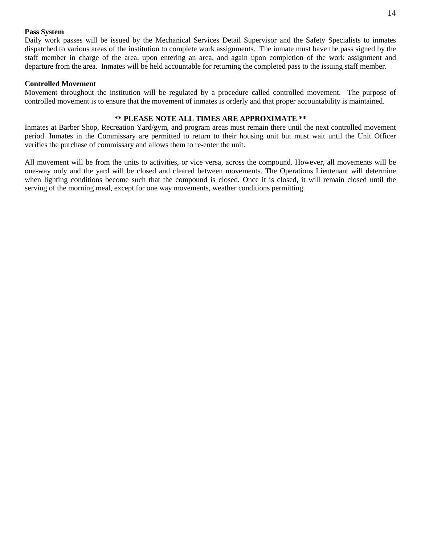#### **Pass System**

Daily work passes will be issued by the Mechanical Services Detail Supervisor and the Safety Specialists to inmates dispatched to various areas of the institution to complete work assignments. The inmate must have the pass signed by the staff member in charge of the area, upon entering an area, and again upon completion of the work assignment and departure from the area. Inmates will be held accountable for returning the completed pass to the issuing staff member.

#### **Controlled Movement**

Movement throughout the institution will be regulated by a procedure called controlled movement. The purpose of controlled movement is to ensure that the movement of inmates is orderly and that proper accountability is maintained.

#### **\*\* PLEASE NOTE ALL TIMES ARE APPROXIMATE \*\***

Inmates at Barber Shop, Recreation Yard/gym, and program areas must remain there until the next controlled movement period. Inmates in the Commissary are permitted to return to their housing unit but must wait until the Unit Officer verifies the purchase of commissary and allows them to re-enter the unit.

All movement will be from the units to activities, or vice versa, across the compound. However, all movements will be one-way only and the yard will be closed and cleared between movements. The Operations Lieutenant will determine when lighting conditions become such that the compound is closed. Once it is closed, it will remain closed until the serving of the morning meal, except for one way movements, weather conditions permitting.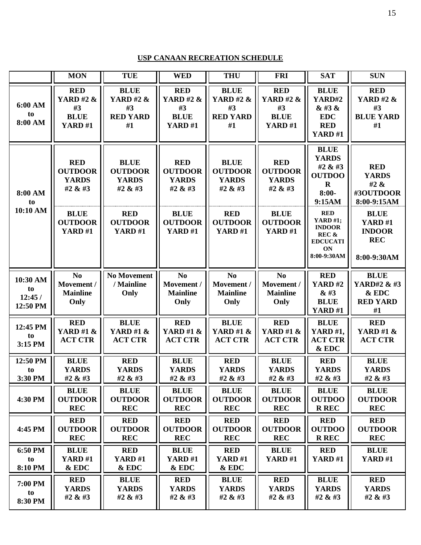# **USP CANAAN RECREATION SCHEDULE**

|                                      | <b>MON</b>                                                        | <b>TUE</b>                                                         | <b>WED</b>                                                               | <b>THU</b>                                                         | <b>FRI</b>                                                               | <b>SAT</b>                                                                                      | <b>SUN</b>                                                                  |
|--------------------------------------|-------------------------------------------------------------------|--------------------------------------------------------------------|--------------------------------------------------------------------------|--------------------------------------------------------------------|--------------------------------------------------------------------------|-------------------------------------------------------------------------------------------------|-----------------------------------------------------------------------------|
| 6:00 AM<br>to<br>8:00 AM             | <b>RED</b><br><b>YARD #2 &amp;</b><br>#3<br><b>BLUE</b><br>YARD#1 | <b>BLUE</b><br><b>YARD #2 &amp;</b><br>#3<br><b>RED YARD</b><br>#1 | <b>RED</b><br><b>YARD #2 &amp;</b><br>#3<br><b>BLUE</b><br><b>YARD#1</b> | <b>BLUE</b><br><b>YARD #2 &amp;</b><br>#3<br><b>RED YARD</b><br>#1 | <b>RED</b><br><b>YARD #2 &amp;</b><br>#3<br><b>BLUE</b><br><b>YARD#1</b> | <b>BLUE</b><br>YARD#2<br>& #3 &<br><b>EDC</b><br><b>RED</b><br><b>YARD #1</b>                   | <b>RED</b><br><b>YARD #2 &amp;</b><br>#3<br><b>BLUE YARD</b><br>#1          |
| 8:00 AM<br>to<br>10:10 AM            | <b>RED</b><br><b>OUTDOOR</b><br><b>YARDS</b><br>#2 & #3           | <b>BLUE</b><br><b>OUTDOOR</b><br><b>YARDS</b><br>#2 & #3           | <b>RED</b><br><b>OUTDOOR</b><br><b>YARDS</b><br>#2 & #3                  | <b>BLUE</b><br><b>OUTDOOR</b><br><b>YARDS</b><br>#2 & #3           | <b>RED</b><br><b>OUTDOOR</b><br><b>YARDS</b><br>#2 & #3                  | <b>BLUE</b><br><b>YARDS</b><br>#2 & #3<br><b>OUTDOO</b><br>$\bf{R}$<br>$8:00-$<br>9:15AM        | <b>RED</b><br><b>YARDS</b><br>#2 &<br>#3OUTDOOR<br>8:00-9:15AM              |
|                                      | <b>BLUE</b><br><b>OUTDOOR</b><br><b>YARD#1</b>                    | <b>RED</b><br><b>OUTDOOR</b><br><b>YARD#1</b>                      | <b>BLUE</b><br><b>OUTDOOR</b><br><b>YARD#1</b>                           | <b>RED</b><br><b>OUTDOOR</b><br><b>YARD#1</b>                      | <b>BLUE</b><br><b>OUTDOOR</b><br><b>YARD #1</b>                          | <b>RED</b><br><b>YARD #1;</b><br><b>INDOOR</b><br>REC &<br><b>EDCUCATI</b><br>ON<br>8:00-9:30AM | <b>BLUE</b><br><b>YARD #1</b><br><b>INDOOR</b><br><b>REC</b><br>8:00-9:30AM |
| 10:30 AM<br>to<br>12:45/<br>12:50 PM | No<br>Movement /<br><b>Mainline</b><br>Only                       | <b>No Movement</b><br>/ Mainline<br>Only                           | N <sub>0</sub><br>Movement /<br><b>Mainline</b><br>Only                  | N <sub>0</sub><br>Movement /<br><b>Mainline</b><br>Only            | N <sub>o</sub><br>Movement /<br><b>Mainline</b><br>Only                  | <b>RED</b><br><b>YARD#2</b><br>& 43<br><b>BLUE</b><br>YARD#1                                    | <b>BLUE</b><br>YARD#2 & #3<br>& EDC<br><b>RED YARD</b><br>#1                |
| 12:45 PM<br>to<br>3:15 PM            | <b>RED</b><br><b>YARD #1 &amp;</b><br><b>ACT CTR</b>              | <b>BLUE</b><br><b>YARD #1 &amp;</b><br><b>ACT CTR</b>              | <b>RED</b><br><b>YARD #1 &amp;</b><br><b>ACT CTR</b>                     | <b>BLUE</b><br><b>YARD #1 &amp;</b><br><b>ACT CTR</b>              | <b>RED</b><br><b>YARD #1 &amp;</b><br><b>ACT CTR</b>                     | <b>BLUE</b><br><b>YARD #1,</b><br><b>ACT CTR</b><br>& EDC                                       | <b>RED</b><br><b>YARD #1 &amp;</b><br><b>ACT CTR</b>                        |
| 12:50 PM<br>to<br>3:30 PM            | <b>BLUE</b><br><b>YARDS</b><br>#2 & #3                            | <b>RED</b><br><b>YARDS</b><br>#2 & #3                              | <b>BLUE</b><br><b>YARDS</b><br>#2 & #3                                   | <b>RED</b><br><b>YARDS</b><br>#2 & #3                              | <b>BLUE</b><br><b>YARDS</b><br>#2 & #3                                   | <b>RED</b><br><b>YARDS</b><br>#2 & #3                                                           | <b>BLUE</b><br><b>YARDS</b><br>#2 & #3                                      |
| 4:30 PM                              | <b>BLUE</b><br><b>OUTDOOR</b><br><b>REC</b>                       | <b>BLUE</b><br><b>OUTDOOR</b><br><b>REC</b>                        | <b>BLUE</b><br><b>OUTDOOR</b><br><b>REC</b>                              | <b>BLUE</b><br><b>OUTDOOR</b><br><b>REC</b>                        | <b>BLUE</b><br><b>OUTDOOR</b><br><b>REC</b>                              | <b>BLUE</b><br><b>OUTDOO</b><br><b>R REC</b>                                                    | <b>BLUE</b><br><b>OUTDOOR</b><br><b>REC</b>                                 |
| 4:45 PM                              | <b>RED</b><br><b>OUTDOOR</b><br><b>REC</b>                        | <b>RED</b><br><b>OUTDOOR</b><br><b>REC</b>                         | <b>RED</b><br><b>OUTDOOR</b><br><b>REC</b>                               | <b>RED</b><br><b>OUTDOOR</b><br><b>REC</b>                         | <b>RED</b><br><b>OUTDOOR</b><br><b>REC</b>                               | <b>RED</b><br><b>OUTDOO</b><br><b>R REC</b>                                                     | <b>RED</b><br><b>OUTDOOR</b><br><b>REC</b>                                  |
| 6:50 PM<br>to<br>8:10 PM             | <b>BLUE</b><br>YARD#1<br>& EDC                                    | <b>RED</b><br><b>YARD #1</b><br>& EDC                              | <b>BLUE</b><br>YARD#1<br>& EDC                                           | <b>RED</b><br>YARD#1<br>& EDC                                      | <b>BLUE</b><br>YARD#1                                                    | <b>RED</b><br>YARD#1                                                                            | <b>BLUE</b><br><b>YARD#1</b>                                                |
| 7:00 PM<br>to<br>8:30 PM             | <b>RED</b><br><b>YARDS</b><br>#2 & #3                             | <b>BLUE</b><br><b>YARDS</b><br>#2 & #3                             | <b>RED</b><br><b>YARDS</b><br>#2 & #3                                    | <b>BLUE</b><br><b>YARDS</b><br>#2 & #3                             | <b>RED</b><br><b>YARDS</b><br>#2 & #3                                    | <b>BLUE</b><br><b>YARDS</b><br>#2 & #3                                                          | <b>RED</b><br><b>YARDS</b><br>#2 & #3                                       |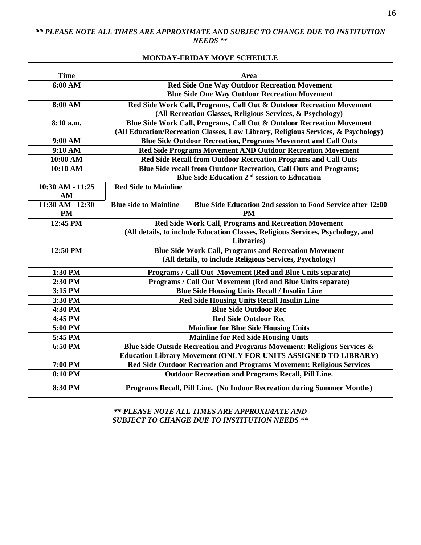# *\*\* PLEASE NOTE ALL TIMES ARE APPROXIMATE AND SUBJEC TO CHANGE DUE TO INSTITUTION NEEDS \*\**

# **MONDAY-FRIDAY MOVE SCHEDULE**

| <b>Time</b>      | Area                                                                                        |  |  |  |  |
|------------------|---------------------------------------------------------------------------------------------|--|--|--|--|
| 6:00 AM          | <b>Red Side One Way Outdoor Recreation Movement</b>                                         |  |  |  |  |
|                  | <b>Blue Side One Way Outdoor Recreation Movement</b>                                        |  |  |  |  |
| 8:00 AM          | Red Side Work Call, Programs, Call Out & Outdoor Recreation Movement                        |  |  |  |  |
|                  | (All Recreation Classes, Religious Services, & Psychology)                                  |  |  |  |  |
| 8:10 a.m.        | Blue Side Work Call, Programs, Call Out & Outdoor Recreation Movement                       |  |  |  |  |
|                  | (All Education/Recreation Classes, Law Library, Religious Services, & Psychology)           |  |  |  |  |
| 9:00 AM          | <b>Blue Side Outdoor Recreation, Programs Movement and Call Outs</b>                        |  |  |  |  |
| 9:10 AM          | Red Side Programs Movement AND Outdoor Recreation Movement                                  |  |  |  |  |
| 10:00 AM         | Red Side Recall from Outdoor Recreation Programs and Call Outs                              |  |  |  |  |
| 10:10 AM         | Blue Side recall from Outdoor Recreation, Call Outs and Programs;                           |  |  |  |  |
|                  | Blue Side Education 2 <sup>nd</sup> session to Education                                    |  |  |  |  |
| 10:30 AM - 11:25 | <b>Red Side to Mainline</b>                                                                 |  |  |  |  |
| AM               |                                                                                             |  |  |  |  |
| 11:30 AM 12:30   | <b>Blue side to Mainline</b><br>Blue Side Education 2nd session to Food Service after 12:00 |  |  |  |  |
| <b>PM</b>        | <b>PM</b>                                                                                   |  |  |  |  |
| 12:45 PM         | <b>Red Side Work Call, Programs and Recreation Movement</b>                                 |  |  |  |  |
|                  | (All details, to include Education Classes, Religious Services, Psychology, and             |  |  |  |  |
|                  | Libraries)                                                                                  |  |  |  |  |
| 12:50 PM         | <b>Blue Side Work Call, Programs and Recreation Movement</b>                                |  |  |  |  |
|                  | (All details, to include Religious Services, Psychology)                                    |  |  |  |  |
| 1:30 PM          | Programs / Call Out Movement (Red and Blue Units separate)                                  |  |  |  |  |
| 2:30 PM          | Programs / Call Out Movement (Red and Blue Units separate)                                  |  |  |  |  |
| 3:15 PM          | <b>Blue Side Housing Units Recall / Insulin Line</b>                                        |  |  |  |  |
| 3:30 PM          | <b>Red Side Housing Units Recall Insulin Line</b>                                           |  |  |  |  |
| 4:30 PM          | <b>Blue Side Outdoor Rec</b>                                                                |  |  |  |  |
| 4:45 PM          | <b>Red Side Outdoor Rec</b>                                                                 |  |  |  |  |
| 5:00 PM          | <b>Mainline for Blue Side Housing Units</b>                                                 |  |  |  |  |
| 5:45 PM          | <b>Mainline for Red Side Housing Units</b>                                                  |  |  |  |  |
| 6:50 PM          | Blue Side Outside Recreation and Programs Movement: Religious Services &                    |  |  |  |  |
|                  | <b>Education Library Movement (ONLY FOR UNITS ASSIGNED TO LIBRARY)</b>                      |  |  |  |  |
| 7:00 PM          | Red Side Outdoor Recreation and Programs Movement: Religious Services                       |  |  |  |  |
| 8:10 PM          | <b>Outdoor Recreation and Programs Recall, Pill Line.</b>                                   |  |  |  |  |
| 8:30 PM          | Programs Recall, Pill Line. (No Indoor Recreation during Summer Months)                     |  |  |  |  |

*\*\* PLEASE NOTE ALL TIMES ARE APPROXIMATE AND SUBJECT TO CHANGE DUE TO INSTITUTION NEEDS \*\**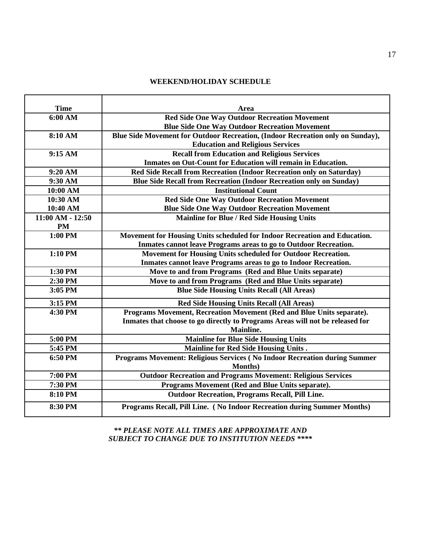# **WEEKEND/HOLIDAY SCHEDULE**

| <b>Time</b>        | Area                                                                           |
|--------------------|--------------------------------------------------------------------------------|
| 6:00 AM            | <b>Red Side One Way Outdoor Recreation Movement</b>                            |
|                    | <b>Blue Side One Way Outdoor Recreation Movement</b>                           |
| 8:10 AM            | Blue Side Movement for Outdoor Recreation, (Indoor Recreation only on Sunday), |
|                    | <b>Education and Religious Services</b>                                        |
| 9:15 AM            | <b>Recall from Education and Religious Services</b>                            |
|                    | Inmates on Out-Count for Education will remain in Education.                   |
| 9:20 AM            | Red Side Recall from Recreation (Indoor Recreation only on Saturday)           |
| 9:30 AM            | Blue Side Recall from Recreation (Indoor Recreation only on Sunday)            |
| 10:00 AM           | <b>Institutional Count</b>                                                     |
| 10:30 AM           | <b>Red Side One Way Outdoor Recreation Movement</b>                            |
| 10:40 AM           | <b>Blue Side One Way Outdoor Recreation Movement</b>                           |
| $11:00 AM - 12:50$ | <b>Mainline for Blue / Red Side Housing Units</b>                              |
| <b>PM</b>          |                                                                                |
| 1:00 PM            | Movement for Housing Units scheduled for Indoor Recreation and Education.      |
|                    | Inmates cannot leave Programs areas to go to Outdoor Recreation.               |
| 1:10 PM            | Movement for Housing Units scheduled for Outdoor Recreation.                   |
|                    | Inmates cannot leave Programs areas to go to Indoor Recreation.                |
| 1:30 PM            | Move to and from Programs (Red and Blue Units separate)                        |
| 2:30 PM            | Move to and from Programs (Red and Blue Units separate)                        |
| 3:05 PM            | <b>Blue Side Housing Units Recall (All Areas)</b>                              |
| 3:15 PM            | <b>Red Side Housing Units Recall (All Areas)</b>                               |
| 4:30 PM            | Programs Movement, Recreation Movement (Red and Blue Units separate).          |
|                    | Inmates that choose to go directly to Programs Areas will not be released for  |
|                    | <b>Mainline.</b>                                                               |
| 5:00 PM            | <b>Mainline for Blue Side Housing Units</b>                                    |
| 5:45 PM            | <b>Mainline for Red Side Housing Units.</b>                                    |
| 6:50 PM            | Programs Movement: Religious Services (No Indoor Recreation during Summer      |
|                    | <b>Months</b> )                                                                |
| 7:00 PM            | <b>Outdoor Recreation and Programs Movement: Religious Services</b>            |
| 7:30 PM            | Programs Movement (Red and Blue Units separate).                               |
| 8:10 PM            | <b>Outdoor Recreation, Programs Recall, Pill Line.</b>                         |
| 8:30 PM            | Programs Recall, Pill Line. (No Indoor Recreation during Summer Months)        |

*\*\* PLEASE NOTE ALL TIMES ARE APPROXIMATE AND SUBJECT TO CHANGE DUE TO INSTITUTION NEEDS \*\*\*\**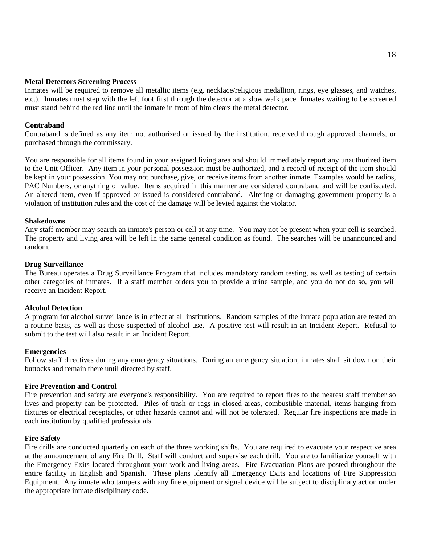#### **Metal Detectors Screening Process**

Inmates will be required to remove all metallic items (e.g. necklace/religious medallion, rings, eye glasses, and watches, etc.). Inmates must step with the left foot first through the detector at a slow walk pace. Inmates waiting to be screened must stand behind the red line until the inmate in front of him clears the metal detector.

# **Contraband**

Contraband is defined as any item not authorized or issued by the institution, received through approved channels, or purchased through the commissary.

You are responsible for all items found in your assigned living area and should immediately report any unauthorized item to the Unit Officer. Any item in your personal possession must be authorized, and a record of receipt of the item should be kept in your possession. You may not purchase, give, or receive items from another inmate. Examples would be radios, PAC Numbers, or anything of value. Items acquired in this manner are considered contraband and will be confiscated. An altered item, even if approved or issued is considered contraband. Altering or damaging government property is a violation of institution rules and the cost of the damage will be levied against the violator.

#### **Shakedowns**

Any staff member may search an inmate's person or cell at any time. You may not be present when your cell is searched. The property and living area will be left in the same general condition as found. The searches will be unannounced and random.

#### **Drug Surveillance**

The Bureau operates a Drug Surveillance Program that includes mandatory random testing, as well as testing of certain other categories of inmates. If a staff member orders you to provide a urine sample, and you do not do so, you will receive an Incident Report.

#### **Alcohol Detection**

A program for alcohol surveillance is in effect at all institutions. Random samples of the inmate population are tested on a routine basis, as well as those suspected of alcohol use. A positive test will result in an Incident Report. Refusal to submit to the test will also result in an Incident Report.

### **Emergencies**

Follow staff directives during any emergency situations. During an emergency situation, inmates shall sit down on their buttocks and remain there until directed by staff.

### **Fire Prevention and Control**

Fire prevention and safety are everyone's responsibility. You are required to report fires to the nearest staff member so lives and property can be protected. Piles of trash or rags in closed areas, combustible material, items hanging from fixtures or electrical receptacles, or other hazards cannot and will not be tolerated. Regular fire inspections are made in each institution by qualified professionals.

### **Fire Safety**

Fire drills are conducted quarterly on each of the three working shifts. You are required to evacuate your respective area at the announcement of any Fire Drill. Staff will conduct and supervise each drill. You are to familiarize yourself with the Emergency Exits located throughout your work and living areas. Fire Evacuation Plans are posted throughout the entire facility in English and Spanish. These plans identify all Emergency Exits and locations of Fire Suppression Equipment. Any inmate who tampers with any fire equipment or signal device will be subject to disciplinary action under the appropriate inmate disciplinary code.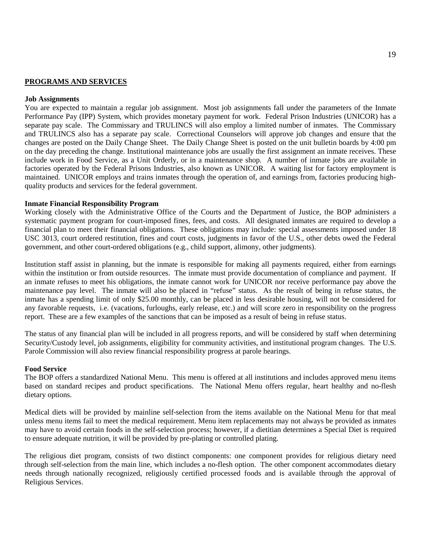#### **PROGRAMS AND SERVICES**

#### **Job Assignments**

You are expected to maintain a regular job assignment. Most job assignments fall under the parameters of the Inmate Performance Pay (IPP) System, which provides monetary payment for work. Federal Prison Industries (UNICOR) has a separate pay scale. The Commissary and TRULINCS will also employ a limited number of inmates. The Commissary and TRULINCS also has a separate pay scale. Correctional Counselors will approve job changes and ensure that the changes are posted on the Daily Change Sheet. The Daily Change Sheet is posted on the unit bulletin boards by 4:00 pm on the day preceding the change. Institutional maintenance jobs are usually the first assignment an inmate receives. These include work in Food Service, as a Unit Orderly, or in a maintenance shop. A number of inmate jobs are available in factories operated by the Federal Prisons Industries, also known as UNICOR. A waiting list for factory employment is maintained. UNICOR employs and trains inmates through the operation of, and earnings from, factories producing highquality products and services for the federal government.

#### **Inmate Financial Responsibility Program**

Working closely with the Administrative Office of the Courts and the Department of Justice, the BOP administers a systematic payment program for court-imposed fines, fees, and costs. All designated inmates are required to develop a financial plan to meet their financial obligations. These obligations may include: special assessments imposed under 18 USC 3013, court ordered restitution, fines and court costs, judgments in favor of the U.S., other debts owed the Federal government, and other court-ordered obligations (e.g., child support, alimony, other judgments).

Institution staff assist in planning, but the inmate is responsible for making all payments required, either from earnings within the institution or from outside resources. The inmate must provide documentation of compliance and payment. If an inmate refuses to meet his obligations, the inmate cannot work for UNICOR nor receive performance pay above the maintenance pay level. The inmate will also be placed in "refuse" status. As the result of being in refuse status, the inmate has a spending limit of only \$25.00 monthly, can be placed in less desirable housing, will not be considered for any favorable requests, i.e. (vacations, furloughs, early release, etc.) and will score zero in responsibility on the progress report. These are a few examples of the sanctions that can be imposed as a result of being in refuse status.

The status of any financial plan will be included in all progress reports, and will be considered by staff when determining Security/Custody level, job assignments, eligibility for community activities, and institutional program changes. The U.S. Parole Commission will also review financial responsibility progress at parole hearings.

#### **Food Service**

The BOP offers a standardized National Menu. This menu is offered at all institutions and includes approved menu items based on standard recipes and product specifications. The National Menu offers regular, heart healthy and no-flesh dietary options.

Medical diets will be provided by mainline self-selection from the items available on the National Menu for that meal unless menu items fail to meet the medical requirement. Menu item replacements may not always be provided as inmates may have to avoid certain foods in the self-selection process; however, if a dietitian determines a Special Diet is required to ensure adequate nutrition, it will be provided by pre-plating or controlled plating.

The religious diet program, consists of two distinct components: one component provides for religious dietary need through self-selection from the main line, which includes a no-flesh option. The other component accommodates dietary needs through nationally recognized, religiously certified processed foods and is available through the approval of Religious Services.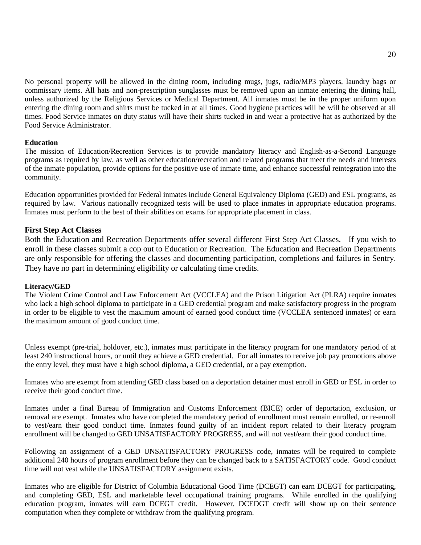No personal property will be allowed in the dining room, including mugs, jugs, radio/MP3 players, laundry bags or commissary items. All hats and non-prescription sunglasses must be removed upon an inmate entering the dining hall, unless authorized by the Religious Services or Medical Department. All inmates must be in the proper uniform upon entering the dining room and shirts must be tucked in at all times. Good hygiene practices will be will be observed at all times. Food Service inmates on duty status will have their shirts tucked in and wear a protective hat as authorized by the Food Service Administrator.

### **Education**

The mission of Education/Recreation Services is to provide mandatory literacy and English-as-a-Second Language programs as required by law, as well as other education/recreation and related programs that meet the needs and interests of the inmate population, provide options for the positive use of inmate time, and enhance successful reintegration into the community.

Education opportunities provided for Federal inmates include General Equivalency Diploma (GED) and ESL programs, as required by law. Various nationally recognized tests will be used to place inmates in appropriate education programs. Inmates must perform to the best of their abilities on exams for appropriate placement in class.

### **First Step Act Classes**

Both the Education and Recreation Departments offer several different First Step Act Classes. If you wish to enroll in these classes submit a cop out to Education or Recreation. The Education and Recreation Departments are only responsible for offering the classes and documenting participation, completions and failures in Sentry. They have no part in determining eligibility or calculating time credits.

#### **Literacy/GED**

The Violent Crime Control and Law Enforcement Act (VCCLEA) and the Prison Litigation Act (PLRA) require inmates who lack a high school diploma to participate in a GED credential program and make satisfactory progress in the program in order to be eligible to vest the maximum amount of earned good conduct time (VCCLEA sentenced inmates) or earn the maximum amount of good conduct time.

Unless exempt (pre-trial, holdover, etc.), inmates must participate in the literacy program for one mandatory period of at least 240 instructional hours, or until they achieve a GED credential. For all inmates to receive job pay promotions above the entry level, they must have a high school diploma, a GED credential, or a pay exemption.

Inmates who are exempt from attending GED class based on a deportation detainer must enroll in GED or ESL in order to receive their good conduct time.

Inmates under a final Bureau of Immigration and Customs Enforcement (BICE) order of deportation, exclusion, or removal are exempt. Inmates who have completed the mandatory period of enrollment must remain enrolled, or re-enroll to vest/earn their good conduct time. Inmates found guilty of an incident report related to their literacy program enrollment will be changed to GED UNSATISFACTORY PROGRESS, and will not vest/earn their good conduct time.

Following an assignment of a GED UNSATISFACTORY PROGRESS code, inmates will be required to complete additional 240 hours of program enrollment before they can be changed back to a SATISFACTORY code. Good conduct time will not vest while the UNSATISFACTORY assignment exists.

Inmates who are eligible for District of Columbia Educational Good Time (DCEGT) can earn DCEGT for participating, and completing GED, ESL and marketable level occupational training programs. While enrolled in the qualifying education program, inmates will earn DCEGT credit. However, DCEDGT credit will show up on their sentence computation when they complete or withdraw from the qualifying program.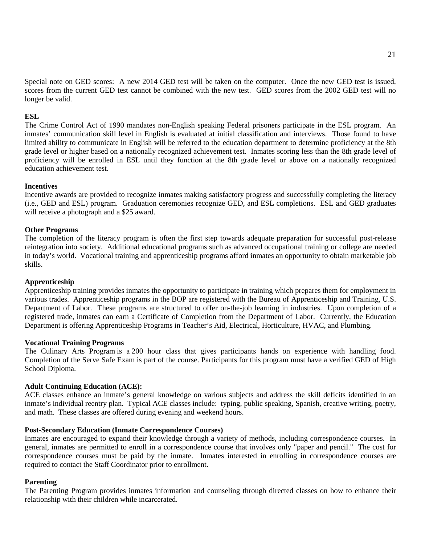Special note on GED scores: A new 2014 GED test will be taken on the computer. Once the new GED test is issued, scores from the current GED test cannot be combined with the new test. GED scores from the 2002 GED test will no longer be valid.

#### **ESL**

The Crime Control Act of 1990 mandates non-English speaking Federal prisoners participate in the ESL program. An inmates' communication skill level in English is evaluated at initial classification and interviews. Those found to have limited ability to communicate in English will be referred to the education department to determine proficiency at the 8th grade level or higher based on a nationally recognized achievement test. Inmates scoring less than the 8th grade level of proficiency will be enrolled in ESL until they function at the 8th grade level or above on a nationally recognized education achievement test.

#### **Incentives**

Incentive awards are provided to recognize inmates making satisfactory progress and successfully completing the literacy (i.e., GED and ESL) program. Graduation ceremonies recognize GED, and ESL completions. ESL and GED graduates will receive a photograph and a \$25 award.

#### **Other Programs**

The completion of the literacy program is often the first step towards adequate preparation for successful post-release reintegration into society. Additional educational programs such as advanced occupational training or college are needed in today's world. Vocational training and apprenticeship programs afford inmates an opportunity to obtain marketable job skills.

#### **Apprenticeship**

Apprenticeship training provides inmates the opportunity to participate in training which prepares them for employment in various trades. Apprenticeship programs in the BOP are registered with the Bureau of Apprenticeship and Training, U.S. Department of Labor. These programs are structured to offer on-the-job learning in industries.Upon completion of a registered trade, inmates can earn a Certificate of Completion from the Department of Labor. Currently, the Education Department is offering Apprenticeship Programs in Teacher's Aid, Electrical, Horticulture, HVAC, and Plumbing.

#### **Vocational Training Programs**

The Culinary Arts Program is a 200 hour class that gives participants hands on experience with handling food. Completion of the Serve Safe Exam is part of the course. Participants for this program must have a verified GED of High School Diploma.

#### **Adult Continuing Education (ACE):**

ACE classes enhance an inmate's general knowledge on various subjects and address the skill deficits identified in an inmate's individual reentry plan. Typical ACE classes include: typing, public speaking, Spanish, creative writing, poetry, and math. These classes are offered during evening and weekend hours.

#### **Post-Secondary Education (Inmate Correspondence Courses)**

Inmates are encouraged to expand their knowledge through a variety of methods, including correspondence courses. In general, inmates are permitted to enroll in a correspondence course that involves only "paper and pencil." The cost for correspondence courses must be paid by the inmate. Inmates interested in enrolling in correspondence courses are required to contact the Staff Coordinator prior to enrollment.

#### **Parenting**

The Parenting Program provides inmates information and counseling through directed classes on how to enhance their relationship with their children while incarcerated.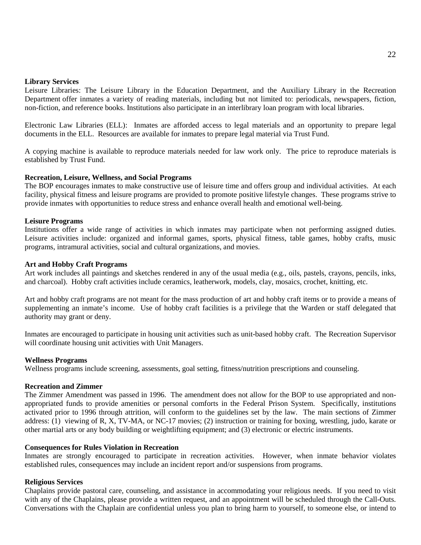#### **Library Services**

Leisure Libraries: The Leisure Library in the Education Department, and the Auxiliary Library in the Recreation Department offer inmates a variety of reading materials, including but not limited to: periodicals, newspapers, fiction, non-fiction, and reference books. Institutions also participate in an interlibrary loan program with local libraries.

Electronic Law Libraries (ELL): Inmates are afforded access to legal materials and an opportunity to prepare legal documents in the ELL. Resources are available for inmates to prepare legal material via Trust Fund.

A copying machine is available to reproduce materials needed for law work only. The price to reproduce materials is established by Trust Fund.

#### **Recreation, Leisure, Wellness, and Social Programs**

The BOP encourages inmates to make constructive use of leisure time and offers group and individual activities. At each facility, physical fitness and leisure programs are provided to promote positive lifestyle changes. These programs strive to provide inmates with opportunities to reduce stress and enhance overall health and emotional well-being.

#### **Leisure Programs**

Institutions offer a wide range of activities in which inmates may participate when not performing assigned duties. Leisure activities include: organized and informal games, sports, physical fitness, table games, hobby crafts, music programs, intramural activities, social and cultural organizations, and movies.

#### **Art and Hobby Craft Programs**

Art work includes all paintings and sketches rendered in any of the usual media (e.g., oils, pastels, crayons, pencils, inks, and charcoal). Hobby craft activities include ceramics, leatherwork, models, clay, mosaics, crochet, knitting, etc.

Art and hobby craft programs are not meant for the mass production of art and hobby craft items or to provide a means of supplementing an inmate's income. Use of hobby craft facilities is a privilege that the Warden or staff delegated that authority may grant or deny.

Inmates are encouraged to participate in housing unit activities such as unit-based hobby craft. The Recreation Supervisor will coordinate housing unit activities with Unit Managers.

#### **Wellness Programs**

Wellness programs include screening, assessments, goal setting, fitness/nutrition prescriptions and counseling.

#### **Recreation and Zimmer**

The Zimmer Amendment was passed in 1996. The amendment does not allow for the BOP to use appropriated and nonappropriated funds to provide amenities or personal comforts in the Federal Prison System. Specifically, institutions activated prior to 1996 through attrition, will conform to the guidelines set by the law. The main sections of Zimmer address: (1) viewing of R, X, TV-MA, or NC-17 movies; (2) instruction or training for boxing, wrestling, judo, karate or other martial arts or any body building or weightlifting equipment; and (3) electronic or electric instruments.

#### **Consequences for Rules Violation in Recreation**

Inmates are strongly encouraged to participate in recreation activities. However, when inmate behavior violates established rules, consequences may include an incident report and/or suspensions from programs.

#### **Religious Services**

Chaplains provide pastoral care, counseling, and assistance in accommodating your religious needs. If you need to visit with any of the Chaplains, please provide a written request, and an appointment will be scheduled through the Call-Outs. Conversations with the Chaplain are confidential unless you plan to bring harm to yourself, to someone else, or intend to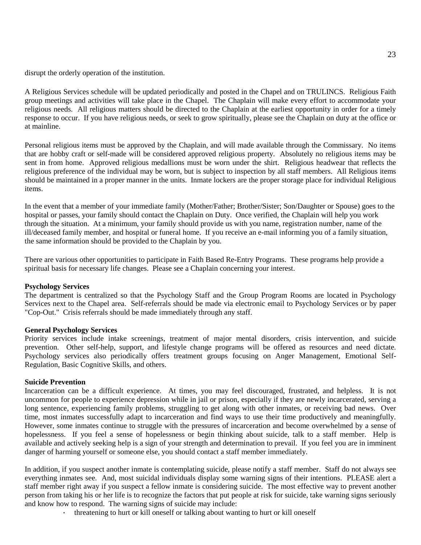disrupt the orderly operation of the institution.

A Religious Services schedule will be updated periodically and posted in the Chapel and on TRULINCS. Religious Faith group meetings and activities will take place in the Chapel. The Chaplain will make every effort to accommodate your religious needs. All religious matters should be directed to the Chaplain at the earliest opportunity in order for a timely response to occur. If you have religious needs, or seek to grow spiritually, please see the Chaplain on duty at the office or at mainline.

Personal religious items must be approved by the Chaplain, and will made available through the Commissary. No items that are hobby craft or self-made will be considered approved religious property. Absolutely no religious items may be sent in from home. Approved religious medallions must be worn under the shirt. Religious headwear that reflects the religious preference of the individual may be worn, but is subject to inspection by all staff members. All Religious items should be maintained in a proper manner in the units. Inmate lockers are the proper storage place for individual Religious items.

In the event that a member of your immediate family (Mother/Father; Brother/Sister; Son/Daughter or Spouse) goes to the hospital or passes, your family should contact the Chaplain on Duty. Once verified, the Chaplain will help you work through the situation. At a minimum, your family should provide us with you name, registration number, name of the ill/deceased family member, and hospital or funeral home. If you receive an e-mail informing you of a family situation, the same information should be provided to the Chaplain by you.

There are various other opportunities to participate in Faith Based Re-Entry Programs. These programs help provide a spiritual basis for necessary life changes. Please see a Chaplain concerning your interest.

#### **Psychology Services**

The department is centralized so that the Psychology Staff and the Group Program Rooms are located in Psychology Services next to the Chapel area. Self-referrals should be made via electronic email to Psychology Services or by paper "Cop-Out." Crisis referrals should be made immediately through any staff.

### **General Psychology Services**

Priority services include intake screenings, treatment of major mental disorders, crisis intervention, and suicide prevention. Other self-help, support, and lifestyle change programs will be offered as resources and need dictate. Psychology services also periodically offers treatment groups focusing on Anger Management, Emotional Self-Regulation, Basic Cognitive Skills, and others.

#### **Suicide Prevention**

Incarceration can be a difficult experience. At times, you may feel discouraged, frustrated, and helpless. It is not uncommon for people to experience depression while in jail or prison, especially if they are newly incarcerated, serving a long sentence, experiencing family problems, struggling to get along with other inmates, or receiving bad news. Over time, most inmates successfully adapt to incarceration and find ways to use their time productively and meaningfully. However, some inmates continue to struggle with the pressures of incarceration and become overwhelmed by a sense of hopelessness. If you feel a sense of hopelessness or begin thinking about suicide, talk to a staff member. Help is available and actively seeking help is a sign of your strength and determination to prevail. If you feel you are in imminent danger of harming yourself or someone else, you should contact a staff member immediately.

In addition, if you suspect another inmate is contemplating suicide, please notify a staff member. Staff do not always see everything inmates see. And, most suicidal individuals display some warning signs of their intentions. PLEASE alert a staff member right away if you suspect a fellow inmate is considering suicide. The most effective way to prevent another person from taking his or her life is to recognize the factors that put people at risk for suicide, take warning signs seriously and know how to respond. The warning signs of suicide may include:

· threatening to hurt or kill oneself or talking about wanting to hurt or kill oneself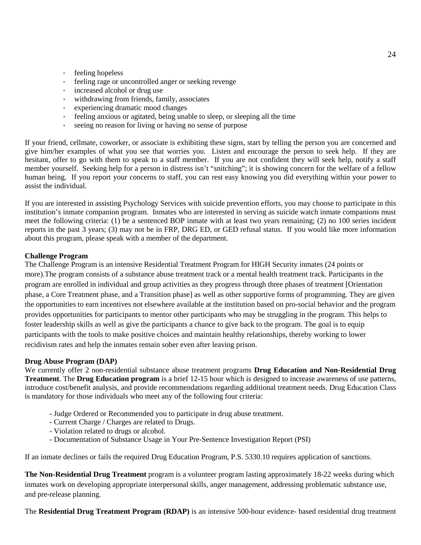- · feeling hopeless
- · feeling rage or uncontrolled anger or seeking revenge
- increased alcohol or drug use
- · withdrawing from friends, family, associates
- · experiencing dramatic mood changes
- · feeling anxious or agitated, being unable to sleep, or sleeping all the time
- · seeing no reason for living or having no sense of purpose

If your friend, cellmate, coworker, or associate is exhibiting these signs, start by telling the person you are concerned and give him/her examples of what you see that worries you. Listen and encourage the person to seek help. If they are hesitant, offer to go with them to speak to a staff member. If you are not confident they will seek help, notify a staff member yourself. Seeking help for a person in distress isn't "snitching"; it is showing concern for the welfare of a fellow human being. If you report your concerns to staff, you can rest easy knowing you did everything within your power to assist the individual.

If you are interested in assisting Psychology Services with suicide prevention efforts, you may choose to participate in this institution's inmate companion program. Inmates who are interested in serving as suicide watch inmate companions must meet the following criteria: (1) be a sentenced BOP inmate with at least two years remaining; (2) no 100 series incident reports in the past 3 years; (3) may not be in FRP, DRG ED, or GED refusal status. If you would like more information about this program, please speak with a member of the department.

# **Challenge Program**

The Challenge Program is an intensive Residential Treatment Program for HIGH Security inmates (24 points or more).The program consists of a substance abuse treatment track or a mental health treatment track. Participants in the program are enrolled in individual and group activities as they progress through three phases of treatment [Orientation phase, a Core Treatment phase, and a Transition phase] as well as other supportive forms of programming. They are given the opportunities to earn incentives not elsewhere available at the institution based on pro-social behavior and the program provides opportunities for participants to mentor other participants who may be struggling in the program. This helps to foster leadership skills as well as give the participants a chance to give back to the program. The goal is to equip participants with the tools to make positive choices and maintain healthy relationships, thereby working to lower recidivism rates and help the inmates remain sober even after leaving prison.

### **Drug Abuse Program (DAP)**

We currently offer 2 non-residential substance abuse treatment programs **Drug Education and Non-Residential Drug Treatment**. The **Drug Education program** is a brief 12-15 hour which is designed to increase awareness of use patterns, introduce cost/benefit analysis, and provide recommendations regarding additional treatment needs. Drug Education Class is mandatory for those individuals who meet any of the following four criteria:

- Judge Ordered or Recommended you to participate in drug abuse treatment.
- Current Charge / Charges are related to Drugs.
- Violation related to drugs or alcohol.
- Documentation of Substance Usage in Your Pre-Sentence Investigation Report (PSI)

If an inmate declines or fails the required Drug Education Program, P.S. 5330.10 requires application of sanctions.

**The Non-Residential Drug Treatment** program is a volunteer program lasting approximately 18-22 weeks during which inmates work on developing appropriate interpersonal skills, anger management, addressing problematic substance use, and pre-release planning.

The **Residential Drug Treatment Program (RDAP)** is an intensive 500-hour evidence- based residential drug treatment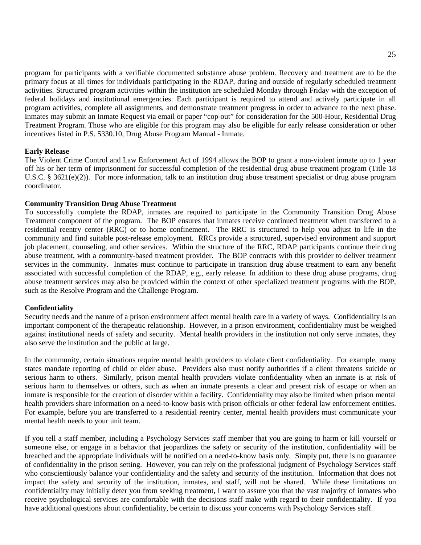program for participants with a verifiable documented substance abuse problem. Recovery and treatment are to be the primary focus at all times for individuals participating in the RDAP, during and outside of regularly scheduled treatment activities. Structured program activities within the institution are scheduled Monday through Friday with the exception of federal holidays and institutional emergencies. Each participant is required to attend and actively participate in all program activities, complete all assignments, and demonstrate treatment progress in order to advance to the next phase. Inmates may submit an Inmate Request via email or paper "cop-out" for consideration for the 500-Hour, Residential Drug Treatment Program. Those who are eligible for this program may also be eligible for early release consideration or other incentives listed in P.S. 5330.10, Drug Abuse Program Manual - Inmate.

#### **Early Release**

The Violent Crime Control and Law Enforcement Act of 1994 allows the BOP to grant a non-violent inmate up to 1 year off his or her term of imprisonment for successful completion of the residential drug abuse treatment program (Title 18 U.S.C. § 3621(e)(2)). For more information, talk to an institution drug abuse treatment specialist or drug abuse program coordinator.

#### **Community Transition Drug Abuse Treatment**

To successfully complete the RDAP, inmates are required to participate in the Community Transition Drug Abuse Treatment component of the program. The BOP ensures that inmates receive continued treatment when transferred to a residential reentry center (RRC) or to home confinement. The RRC is structured to help you adjust to life in the community and find suitable post-release employment. RRCs provide a structured, supervised environment and support job placement, counseling, and other services. Within the structure of the RRC, RDAP participants continue their drug abuse treatment, with a community-based treatment provider. The BOP contracts with this provider to deliver treatment services in the community. Inmates must continue to participate in transition drug abuse treatment to earn any benefit associated with successful completion of the RDAP, e.g., early release. In addition to these drug abuse programs, drug abuse treatment services may also be provided within the context of other specialized treatment programs with the BOP, such as the Resolve Program and the Challenge Program.

#### **Confidentiality**

Security needs and the nature of a prison environment affect mental health care in a variety of ways. Confidentiality is an important component of the therapeutic relationship. However, in a prison environment, confidentiality must be weighed against institutional needs of safety and security. Mental health providers in the institution not only serve inmates, they also serve the institution and the public at large.

In the community, certain situations require mental health providers to violate client confidentiality. For example, many states mandate reporting of child or elder abuse. Providers also must notify authorities if a client threatens suicide or serious harm to others. Similarly, prison mental health providers violate confidentiality when an inmate is at risk of serious harm to themselves or others, such as when an inmate presents a clear and present risk of escape or when an inmate is responsible for the creation of disorder within a facility. Confidentiality may also be limited when prison mental health providers share information on a need-to-know basis with prison officials or other federal law enforcement entities. For example, before you are transferred to a residential reentry center, mental health providers must communicate your mental health needs to your unit team.

If you tell a staff member, including a Psychology Services staff member that you are going to harm or kill yourself or someone else, or engage in a behavior that jeopardizes the safety or security of the institution, confidentiality will be breached and the appropriate individuals will be notified on a need-to-know basis only. Simply put, there is no guarantee of confidentiality in the prison setting. However, you can rely on the professional judgment of Psychology Services staff who conscientiously balance your confidentiality and the safety and security of the institution. Information that does not impact the safety and security of the institution, inmates, and staff, will not be shared. While these limitations on confidentiality may initially deter you from seeking treatment, I want to assure you that the vast majority of inmates who receive psychological services are comfortable with the decisions staff make with regard to their confidentiality. If you have additional questions about confidentiality, be certain to discuss your concerns with Psychology Services staff.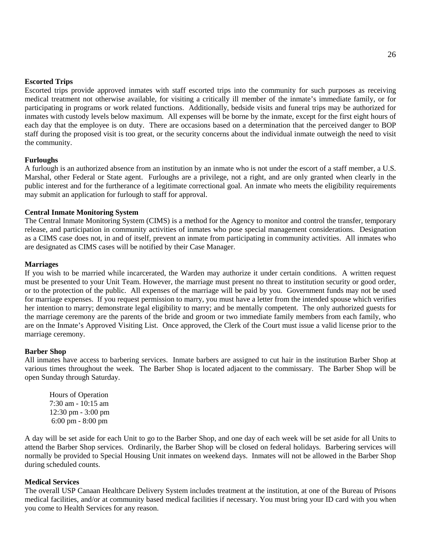#### **Escorted Trips**

Escorted trips provide approved inmates with staff escorted trips into the community for such purposes as receiving medical treatment not otherwise available, for visiting a critically ill member of the inmate's immediate family, or for participating in programs or work related functions. Additionally, bedside visits and funeral trips may be authorized for inmates with custody levels below maximum. All expenses will be borne by the inmate, except for the first eight hours of each day that the employee is on duty. There are occasions based on a determination that the perceived danger to BOP staff during the proposed visit is too great, or the security concerns about the individual inmate outweigh the need to visit the community.

#### **Furloughs**

A furlough is an authorized absence from an institution by an inmate who is not under the escort of a staff member, a U.S. Marshal, other Federal or State agent. Furloughs are a privilege, not a right, and are only granted when clearly in the public interest and for the furtherance of a legitimate correctional goal. An inmate who meets the eligibility requirements may submit an application for furlough to staff for approval.

#### **Central Inmate Monitoring System**

The Central Inmate Monitoring System (CIMS) is a method for the Agency to monitor and control the transfer, temporary release, and participation in community activities of inmates who pose special management considerations. Designation as a CIMS case does not, in and of itself, prevent an inmate from participating in community activities. All inmates who are designated as CIMS cases will be notified by their Case Manager.

#### **Marriages**

If you wish to be married while incarcerated, the Warden may authorize it under certain conditions. A written request must be presented to your Unit Team. However, the marriage must present no threat to institution security or good order, or to the protection of the public. All expenses of the marriage will be paid by you. Government funds may not be used for marriage expenses. If you request permission to marry, you must have a letter from the intended spouse which verifies her intention to marry; demonstrate legal eligibility to marry; and be mentally competent. The only authorized guests for the marriage ceremony are the parents of the bride and groom or two immediate family members from each family, who are on the Inmate's Approved Visiting List. Once approved, the Clerk of the Court must issue a valid license prior to the marriage ceremony.

#### **Barber Shop**

All inmates have access to barbering services. Inmate barbers are assigned to cut hair in the institution Barber Shop at various times throughout the week. The Barber Shop is located adjacent to the commissary. The Barber Shop will be open Sunday through Saturday.

Hours of Operation 7:30 am - 10:15 am 12:30 pm - 3:00 pm 6:00 pm - 8:00 pm

A day will be set aside for each Unit to go to the Barber Shop, and one day of each week will be set aside for all Units to attend the Barber Shop services. Ordinarily, the Barber Shop will be closed on federal holidays. Barbering services will normally be provided to Special Housing Unit inmates on weekend days. Inmates will not be allowed in the Barber Shop during scheduled counts.

#### **Medical Services**

The overall USP Canaan Healthcare Delivery System includes treatment at the institution, at one of the Bureau of Prisons medical facilities, and/or at community based medical facilities if necessary. You must bring your ID card with you when you come to Health Services for any reason.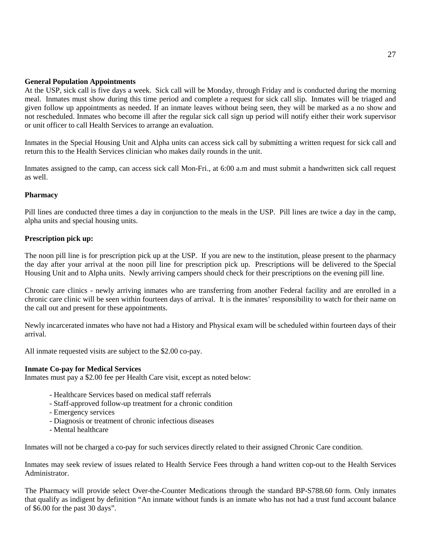#### **General Population Appointments**

At the USP, sick call is five days a week. Sick call will be Monday, through Friday and is conducted during the morning meal. Inmates must show during this time period and complete a request for sick call slip. Inmates will be triaged and given follow up appointments as needed. If an inmate leaves without being seen, they will be marked as a no show and not rescheduled. Inmates who become ill after the regular sick call sign up period will notify either their work supervisor or unit officer to call Health Services to arrange an evaluation.

Inmates in the Special Housing Unit and Alpha units can access sick call by submitting a written request for sick call and return this to the Health Services clinician who makes daily rounds in the unit.

Inmates assigned to the camp, can access sick call Mon-Fri., at 6:00 a.m and must submit a handwritten sick call request as well.

### **Pharmacy**

Pill lines are conducted three times a day in conjunction to the meals in the USP. Pill lines are twice a day in the camp, alpha units and special housing units.

### **Prescription pick up:**

The noon pill line is for prescription pick up at the USP. If you are new to the institution, please present to the pharmacy the day after your arrival at the noon pill line for prescription pick up. Prescriptions will be delivered to the Special Housing Unit and to Alpha units. Newly arriving campers should check for their prescriptions on the evening pill line.

Chronic care clinics - newly arriving inmates who are transferring from another Federal facility and are enrolled in a chronic care clinic will be seen within fourteen days of arrival. It is the inmates' responsibility to watch for their name on the call out and present for these appointments.

Newly incarcerated inmates who have not had a History and Physical exam will be scheduled within fourteen days of their arrival.

All inmate requested visits are subject to the \$2.00 co-pay.

### **Inmate Co-pay for Medical Services**

Inmates must pay a \$2.00 fee per Health Care visit, except as noted below:

- Healthcare Services based on medical staff referrals
- Staff-approved follow-up treatment for a chronic condition
- Emergency services
- Diagnosis or treatment of chronic infectious diseases
- Mental healthcare

Inmates will not be charged a co-pay for such services directly related to their assigned Chronic Care condition.

Inmates may seek review of issues related to Health Service Fees through a hand written cop-out to the Health Services Administrator.

The Pharmacy will provide select Over-the-Counter Medications through the standard BP-S788.60 form. Only inmates that qualify as indigent by definition "An inmate without funds is an inmate who has not had a trust fund account balance of \$6.00 for the past 30 days".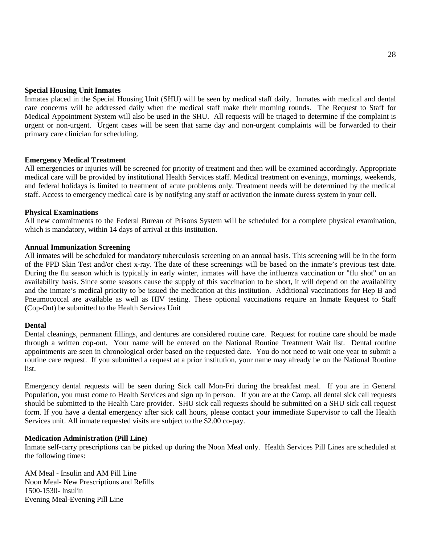#### **Special Housing Unit Inmates**

Inmates placed in the Special Housing Unit (SHU) will be seen by medical staff daily. Inmates with medical and dental care concerns will be addressed daily when the medical staff make their morning rounds. The Request to Staff for Medical Appointment System will also be used in the SHU. All requests will be triaged to determine if the complaint is urgent or non-urgent. Urgent cases will be seen that same day and non-urgent complaints will be forwarded to their primary care clinician for scheduling.

#### **Emergency Medical Treatment**

All emergencies or injuries will be screened for priority of treatment and then will be examined accordingly. Appropriate medical care will be provided by institutional Health Services staff. Medical treatment on evenings, mornings, weekends, and federal holidays is limited to treatment of acute problems only. Treatment needs will be determined by the medical staff. Access to emergency medical care is by notifying any staff or activation the inmate duress system in your cell.

#### **Physical Examinations**

All new commitments to the Federal Bureau of Prisons System will be scheduled for a complete physical examination, which is mandatory, within 14 days of arrival at this institution.

#### **Annual Immunization Screening**

All inmates will be scheduled for mandatory tuberculosis screening on an annual basis. This screening will be in the form of the PPD Skin Test and/or chest x-ray. The date of these screenings will be based on the inmate's previous test date. During the flu season which is typically in early winter, inmates will have the influenza vaccination or "flu shot" on an availability basis. Since some seasons cause the supply of this vaccination to be short, it will depend on the availability and the inmate's medical priority to be issued the medication at this institution. Additional vaccinations for Hep B and Pneumococcal are available as well as HIV testing. These optional vaccinations require an Inmate Request to Staff (Cop-Out) be submitted to the Health Services Unit

#### **Dental**

Dental cleanings, permanent fillings, and dentures are considered routine care. Request for routine care should be made through a written cop-out. Your name will be entered on the National Routine Treatment Wait list. Dental routine appointments are seen in chronological order based on the requested date. You do not need to wait one year to submit a routine care request. If you submitted a request at a prior institution, your name may already be on the National Routine list.

Emergency dental requests will be seen during Sick call Mon-Fri during the breakfast meal. If you are in General Population, you must come to Health Services and sign up in person. If you are at the Camp, all dental sick call requests should be submitted to the Health Care provider. SHU sick call requests should be submitted on a SHU sick call request form. If you have a dental emergency after sick call hours, please contact your immediate Supervisor to call the Health Services unit. All inmate requested visits are subject to the \$2.00 co-pay.

#### **Medication Administration (Pill Line)**

Inmate self-carry prescriptions can be picked up during the Noon Meal only. Health Services Pill Lines are scheduled at the following times:

AM Meal - Insulin and AM Pill Line Noon Meal- New Prescriptions and Refills 1500-1530- Insulin Evening Meal-Evening Pill Line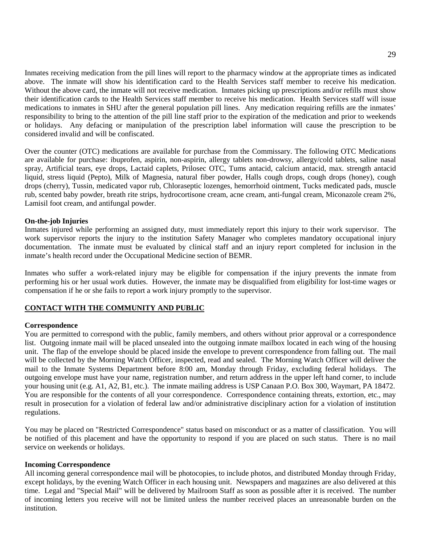Inmates receiving medication from the pill lines will report to the pharmacy window at the appropriate times as indicated above. The inmate will show his identification card to the Health Services staff member to receive his medication. Without the above card, the inmate will not receive medication. Inmates picking up prescriptions and/or refills must show their identification cards to the Health Services staff member to receive his medication. Health Services staff will issue medications to inmates in SHU after the general population pill lines. Any medication requiring refills are the inmates' responsibility to bring to the attention of the pill line staff prior to the expiration of the medication and prior to weekends or holidays. Any defacing or manipulation of the prescription label information will cause the prescription to be considered invalid and will be confiscated.

Over the counter (OTC) medications are available for purchase from the Commissary. The following OTC Medications are available for purchase: ibuprofen, aspirin, non-aspirin, allergy tablets non-drowsy, allergy/cold tablets, saline nasal spray, Artificial tears, eye drops, Lactaid caplets, Prilosec OTC, Tums antacid, calcium antacid, max. strength antacid liquid, stress liquid (Pepto), Milk of Magnesia, natural fiber powder, Halls cough drops, cough drops (honey), cough drops (cherry), Tussin, medicated vapor rub, Chloraseptic lozenges, hemorrhoid ointment, Tucks medicated pads, muscle rub, scented baby powder, breath rite strips, hydrocortisone cream, acne cream, anti-fungal cream, Miconazole cream 2%, Lamisil foot cream, and antifungal powder.

### **On-the-job Injuries**

Inmates injured while performing an assigned duty, must immediately report this injury to their work supervisor. The work supervisor reports the injury to the institution Safety Manager who completes mandatory occupational injury documentation. The inmate must be evaluated by clinical staff and an injury report completed for inclusion in the inmate's health record under the Occupational Medicine section of BEMR.

Inmates who suffer a work-related injury may be eligible for compensation if the injury prevents the inmate from performing his or her usual work duties. However, the inmate may be disqualified from eligibility for lost-time wages or compensation if he or she fails to report a work injury promptly to the supervisor.

#### **CONTACT WITH THE COMMUNITY AND PUBLIC**

#### **Correspondence**

You are permitted to correspond with the public, family members, and others without prior approval or a correspondence list. Outgoing inmate mail will be placed unsealed into the outgoing inmate mailbox located in each wing of the housing unit. The flap of the envelope should be placed inside the envelope to prevent correspondence from falling out. The mail will be collected by the Morning Watch Officer, inspected, read and sealed. The Morning Watch Officer will deliver the mail to the Inmate Systems Department before 8:00 am, Monday through Friday, excluding federal holidays. The outgoing envelope must have your name, registration number, and return address in the upper left hand corner, to include your housing unit (e.g. A1, A2, B1, etc.). The inmate mailing address is USP Canaan P.O. Box 300, Waymart, PA 18472. You are responsible for the contents of all your correspondence. Correspondence containing threats, extortion, etc., may result in prosecution for a violation of federal law and/or administrative disciplinary action for a violation of institution regulations.

You may be placed on "Restricted Correspondence" status based on misconduct or as a matter of classification. You will be notified of this placement and have the opportunity to respond if you are placed on such status. There is no mail service on weekends or holidays.

#### **Incoming Correspondence**

All incoming general correspondence mail will be photocopies, to include photos, and distributed Monday through Friday, except holidays, by the evening Watch Officer in each housing unit. Newspapers and magazines are also delivered at this time. Legal and "Special Mail" will be delivered by Mailroom Staff as soon as possible after it is received. The number of incoming letters you receive will not be limited unless the number received places an unreasonable burden on the institution.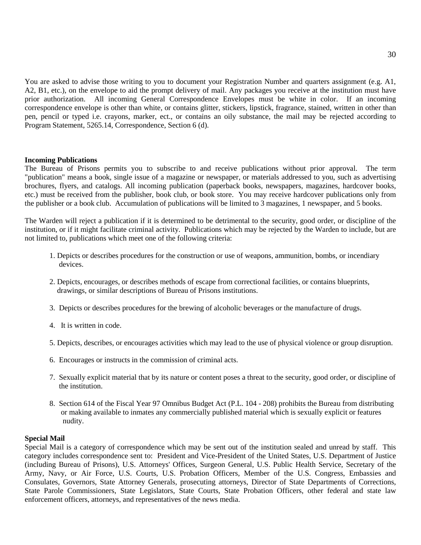You are asked to advise those writing to you to document your Registration Number and quarters assignment (e.g. A1, A2, B1, etc.), on the envelope to aid the prompt delivery of mail. Any packages you receive at the institution must have prior authorization. All incoming General Correspondence Envelopes must be white in color. If an incoming correspondence envelope is other than white, or contains glitter, stickers, lipstick, fragrance, stained, written in other than pen, pencil or typed i.e. crayons, marker, ect., or contains an oily substance, the mail may be rejected according to Program Statement, 5265.14, Correspondence, Section 6 (d).

#### **Incoming Publications**

The Bureau of Prisons permits you to subscribe to and receive publications without prior approval. The term "publication" means a book, single issue of a magazine or newspaper, or materials addressed to you, such as advertising brochures, flyers, and catalogs. All incoming publication (paperback books, newspapers, magazines, hardcover books, etc.) must be received from the publisher, book club, or book store. You may receive hardcover publications only from the publisher or a book club. Accumulation of publications will be limited to 3 magazines, 1 newspaper, and 5 books.

The Warden will reject a publication if it is determined to be detrimental to the security, good order, or discipline of the institution, or if it might facilitate criminal activity. Publications which may be rejected by the Warden to include, but are not limited to, publications which meet one of the following criteria:

- 1. Depicts or describes procedures for the construction or use of weapons, ammunition, bombs, or incendiary devices.
- 2. Depicts, encourages, or describes methods of escape from correctional facilities, or contains blueprints, drawings, or similar descriptions of Bureau of Prisons institutions.
- 3. Depicts or describes procedures for the brewing of alcoholic beverages or the manufacture of drugs.
- 4. It is written in code.
- 5. Depicts, describes, or encourages activities which may lead to the use of physical violence or group disruption.
- 6. Encourages or instructs in the commission of criminal acts.
- 7. Sexually explicit material that by its nature or content poses a threat to the security, good order, or discipline of the institution.
- 8. Section 614 of the Fiscal Year 97 Omnibus Budget Act (P.L. 104 208) prohibits the Bureau from distributing or making available to inmates any commercially published material which is sexually explicit or features nudity.

#### **Special Mail**

Special Mail is a category of correspondence which may be sent out of the institution sealed and unread by staff. This category includes correspondence sent to: President and Vice-President of the United States, U.S. Department of Justice (including Bureau of Prisons), U.S. Attorneys' Offices, Surgeon General, U.S. Public Health Service, Secretary of the Army, Navy, or Air Force, U.S. Courts, U.S. Probation Officers, Member of the U.S. Congress, Embassies and Consulates, Governors, State Attorney Generals, prosecuting attorneys, Director of State Departments of Corrections, State Parole Commissioners, State Legislators, State Courts, State Probation Officers, other federal and state law enforcement officers, attorneys, and representatives of the news media.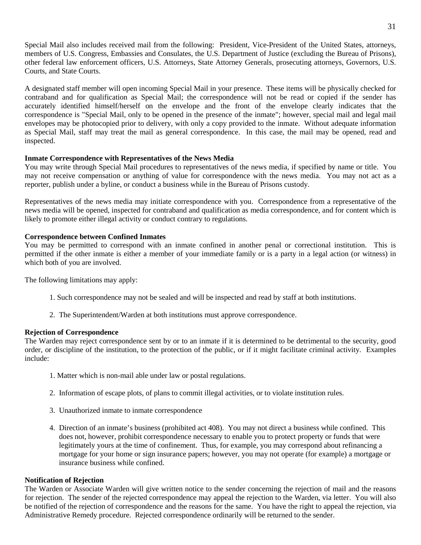Special Mail also includes received mail from the following: President, Vice-President of the United States, attorneys, members of U.S. Congress, Embassies and Consulates, the U.S. Department of Justice (excluding the Bureau of Prisons), other federal law enforcement officers, U.S. Attorneys, State Attorney Generals, prosecuting attorneys, Governors, U.S. Courts, and State Courts.

A designated staff member will open incoming Special Mail in your presence. These items will be physically checked for contraband and for qualification as Special Mail; the correspondence will not be read or copied if the sender has accurately identified himself/herself on the envelope and the front of the envelope clearly indicates that the correspondence is "Special Mail, only to be opened in the presence of the inmate"; however, special mail and legal mail envelopes may be photocopied prior to delivery, with only a copy provided to the inmate. Without adequate information as Special Mail, staff may treat the mail as general correspondence. In this case, the mail may be opened, read and inspected.

### **Inmate Correspondence with Representatives of the News Media**

You may write through Special Mail procedures to representatives of the news media, if specified by name or title. You may not receive compensation or anything of value for correspondence with the news media. You may not act as a reporter, publish under a byline, or conduct a business while in the Bureau of Prisons custody.

Representatives of the news media may initiate correspondence with you. Correspondence from a representative of the news media will be opened, inspected for contraband and qualification as media correspondence, and for content which is likely to promote either illegal activity or conduct contrary to regulations.

#### **Correspondence between Confined Inmates**

You may be permitted to correspond with an inmate confined in another penal or correctional institution. This is permitted if the other inmate is either a member of your immediate family or is a party in a legal action (or witness) in which both of you are involved.

The following limitations may apply:

- 1. Such correspondence may not be sealed and will be inspected and read by staff at both institutions.
- 2. The Superintendent/Warden at both institutions must approve correspondence.

#### **Rejection of Correspondence**

The Warden may reject correspondence sent by or to an inmate if it is determined to be detrimental to the security, good order, or discipline of the institution, to the protection of the public, or if it might facilitate criminal activity. Examples include:

- 1. Matter which is non-mail able under law or postal regulations.
- 2. Information of escape plots, of plans to commit illegal activities, or to violate institution rules.
- 3. Unauthorized inmate to inmate correspondence
- 4. Direction of an inmate's business (prohibited act 408). You may not direct a business while confined. This does not, however, prohibit correspondence necessary to enable you to protect property or funds that were legitimately yours at the time of confinement. Thus, for example, you may correspond about refinancing a mortgage for your home or sign insurance papers; however, you may not operate (for example) a mortgage or insurance business while confined.

#### **Notification of Rejection**

The Warden or Associate Warden will give written notice to the sender concerning the rejection of mail and the reasons for rejection. The sender of the rejected correspondence may appeal the rejection to the Warden, via letter. You will also be notified of the rejection of correspondence and the reasons for the same. You have the right to appeal the rejection, via Administrative Remedy procedure. Rejected correspondence ordinarily will be returned to the sender.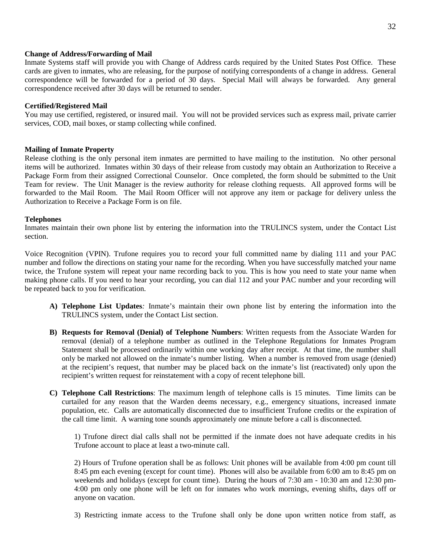#### **Change of Address/Forwarding of Mail**

Inmate Systems staff will provide you with Change of Address cards required by the United States Post Office. These cards are given to inmates, who are releasing, for the purpose of notifying correspondents of a change in address. General correspondence will be forwarded for a period of 30 days. Special Mail will always be forwarded. Any general correspondence received after 30 days will be returned to sender.

#### **Certified/Registered Mail**

You may use certified, registered, or insured mail. You will not be provided services such as express mail, private carrier services, COD, mail boxes, or stamp collecting while confined.

#### **Mailing of Inmate Property**

Release clothing is the only personal item inmates are permitted to have mailing to the institution. No other personal items will be authorized. Inmates within 30 days of their release from custody may obtain an Authorization to Receive a Package Form from their assigned Correctional Counselor. Once completed, the form should be submitted to the Unit Team for review. The Unit Manager is the review authority for release clothing requests. All approved forms will be forwarded to the Mail Room. The Mail Room Officer will not approve any item or package for delivery unless the Authorization to Receive a Package Form is on file.

#### **Telephones**

Inmates maintain their own phone list by entering the information into the TRULINCS system, under the Contact List section.

Voice Recognition (VPIN). Trufone requires you to record your full committed name by dialing 111 and your PAC number and follow the directions on stating your name for the recording. When you have successfully matched your name twice, the Trufone system will repeat your name recording back to you. This is how you need to state your name when making phone calls. If you need to hear your recording, you can dial 112 and your PAC number and your recording will be repeated back to you for verification.

- **A) Telephone List Updates***:* Inmate's maintain their own phone list by entering the information into the TRULINCS system, under the Contact List section.
- **B) Requests for Removal (Denial) of Telephone Numbers**: Written requests from the Associate Warden for removal (denial) of a telephone number as outlined in the Telephone Regulations for Inmates Program Statement shall be processed ordinarily within one working day after receipt. At that time, the number shall only be marked not allowed on the inmate's number listing. When a number is removed from usage (denied) at the recipient's request, that number may be placed back on the inmate's list (reactivated) only upon the recipient's written request for reinstatement with a copy of recent telephone bill.
- **C) Telephone Call Restrictions**: The maximum length of telephone calls is 15 minutes. Time limits can be curtailed for any reason that the Warden deems necessary, e.g., emergency situations, increased inmate population, etc. Calls are automatically disconnected due to insufficient Trufone credits or the expiration of the call time limit. A warning tone sounds approximately one minute before a call is disconnected.

1) Trufone direct dial calls shall not be permitted if the inmate does not have adequate credits in his Trufone account to place at least a two-minute call.

2) Hours of Trufone operation shall be as follows: Unit phones will be available from 4:00 pm count till 8:45 pm each evening (except for count time). Phones will also be available from 6:00 am to 8:45 pm on weekends and holidays (except for count time). During the hours of 7:30 am - 10:30 am and 12:30 pm-4:00 pm only one phone will be left on for inmates who work mornings, evening shifts, days off or anyone on vacation.

3) Restricting inmate access to the Trufone shall only be done upon written notice from staff, as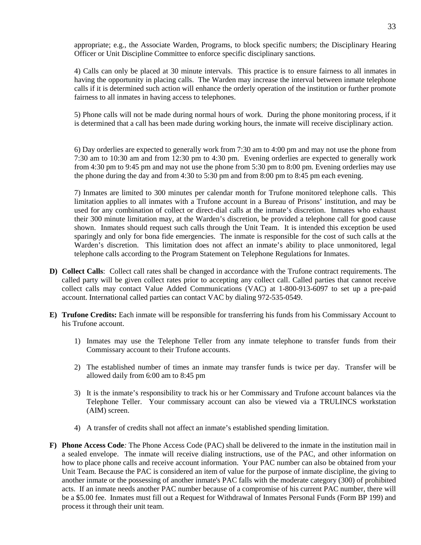appropriate; e.g., the Associate Warden, Programs, to block specific numbers; the Disciplinary Hearing Officer or Unit Discipline Committee to enforce specific disciplinary sanctions.

4) Calls can only be placed at 30 minute intervals. This practice is to ensure fairness to all inmates in having the opportunity in placing calls. The Warden may increase the interval between inmate telephone calls if it is determined such action will enhance the orderly operation of the institution or further promote fairness to all inmates in having access to telephones.

5) Phone calls will not be made during normal hours of work. During the phone monitoring process, if it is determined that a call has been made during working hours, the inmate will receive disciplinary action.

6) Day orderlies are expected to generally work from 7:30 am to 4:00 pm and may not use the phone from 7:30 am to 10:30 am and from 12:30 pm to 4:30 pm. Evening orderlies are expected to generally work from 4:30 pm to 9:45 pm and may not use the phone from 5:30 pm to 8:00 pm. Evening orderlies may use the phone during the day and from 4:30 to 5:30 pm and from 8:00 pm to 8:45 pm each evening.

7) Inmates are limited to 300 minutes per calendar month for Trufone monitored telephone calls. This limitation applies to all inmates with a Trufone account in a Bureau of Prisons' institution, and may be used for any combination of collect or direct-dial calls at the inmate's discretion. Inmates who exhaust their 300 minute limitation may, at the Warden's discretion, be provided a telephone call for good cause shown. Inmates should request such calls through the Unit Team. It is intended this exception be used sparingly and only for bona fide emergencies. The inmate is responsible for the cost of such calls at the Warden's discretion. This limitation does not affect an inmate's ability to place unmonitored, legal telephone calls according to the Program Statement on Telephone Regulations for Inmates.

- **D) Collect Calls**: Collect call rates shall be changed in accordance with the Trufone contract requirements. The called party will be given collect rates prior to accepting any collect call. Called parties that cannot receive collect calls may contact Value Added Communications (VAC) at 1-800-913-6097 to set up a pre-paid account. International called parties can contact VAC by dialing 972-535-0549.
- **E) Trufone Credits:** Each inmate will be responsible for transferring his funds from his Commissary Account to his Trufone account.
	- 1) Inmates may use the Telephone Teller from any inmate telephone to transfer funds from their Commissary account to their Trufone accounts.
	- 2) The established number of times an inmate may transfer funds is twice per day. Transfer will be allowed daily from 6:00 am to 8:45 pm
	- 3) It is the inmate's responsibility to track his or her Commissary and Trufone account balances via the Telephone Teller. Your commissary account can also be viewed via a TRULINCS workstation (AIM) screen.
	- 4) A transfer of credits shall not affect an inmate's established spending limitation.
- **F) Phone Access Code***:* The Phone Access Code (PAC) shall be delivered to the inmate in the institution mail in a sealed envelope. The inmate will receive dialing instructions, use of the PAC, and other information on how to place phone calls and receive account information. Your PAC number can also be obtained from your Unit Team. Because the PAC is considered an item of value for the purpose of inmate discipline, the giving to another inmate or the possessing of another inmate's PAC falls with the moderate category (300) of prohibited acts. If an inmate needs another PAC number because of a compromise of his current PAC number, there will be a \$5.00 fee. Inmates must fill out a Request for Withdrawal of Inmates Personal Funds (Form BP 199) and process it through their unit team.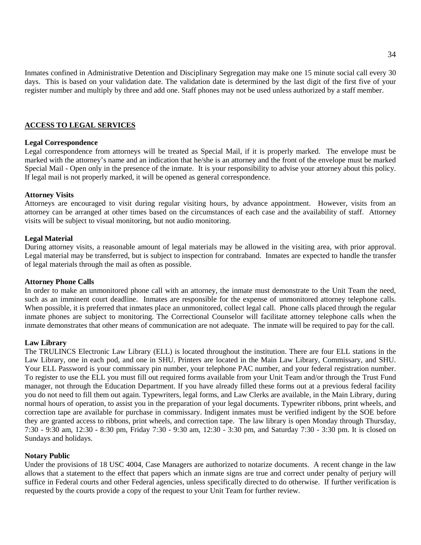Inmates confined in Administrative Detention and Disciplinary Segregation may make one 15 minute social call every 30 days. This is based on your validation date. The validation date is determined by the last digit of the first five of your register number and multiply by three and add one. Staff phones may not be used unless authorized by a staff member.

#### **ACCESS TO LEGAL SERVICES**

#### **Legal Correspondence**

Legal correspondence from attorneys will be treated as Special Mail, if it is properly marked. The envelope must be marked with the attorney's name and an indication that he/she is an attorney and the front of the envelope must be marked Special Mail - Open only in the presence of the inmate. It is your responsibility to advise your attorney about this policy. If legal mail is not properly marked, it will be opened as general correspondence.

#### **Attorney Visits**

Attorneys are encouraged to visit during regular visiting hours, by advance appointment. However, visits from an attorney can be arranged at other times based on the circumstances of each case and the availability of staff. Attorney visits will be subject to visual monitoring, but not audio monitoring.

#### **Legal Material**

During attorney visits, a reasonable amount of legal materials may be allowed in the visiting area, with prior approval. Legal material may be transferred, but is subject to inspection for contraband. Inmates are expected to handle the transfer of legal materials through the mail as often as possible.

#### **Attorney Phone Calls**

In order to make an unmonitored phone call with an attorney, the inmate must demonstrate to the Unit Team the need, such as an imminent court deadline. Inmates are responsible for the expense of unmonitored attorney telephone calls. When possible, it is preferred that inmates place an unmonitored, collect legal call. Phone calls placed through the regular inmate phones are subject to monitoring. The Correctional Counselor will facilitate attorney telephone calls when the inmate demonstrates that other means of communication are not adequate. The inmate will be required to pay for the call.

#### **Law Library**

The TRULINCS Electronic Law Library (ELL) is located throughout the institution. There are four ELL stations in the Law Library, one in each pod, and one in SHU. Printers are located in the Main Law Library, Commissary, and SHU. Your ELL Password is your commissary pin number, your telephone PAC number, and your federal registration number. To register to use the ELL you must fill out required forms available from your Unit Team and/or through the Trust Fund manager, not through the Education Department. If you have already filled these forms out at a previous federal facility you do not need to fill them out again. Typewriters, legal forms, and Law Clerks are available, in the Main Library, during normal hours of operation, to assist you in the preparation of your legal documents. Typewriter ribbons, print wheels, and correction tape are available for purchase in commissary. Indigent inmates must be verified indigent by the SOE before they are granted access to ribbons, print wheels, and correction tape. The law library is open Monday through Thursday, 7:30 - 9:30 am, 12:30 - 8:30 pm, Friday 7:30 - 9:30 am, 12:30 - 3:30 pm, and Saturday 7:30 - 3:30 pm. It is closed on Sundays and holidays.

#### **Notary Public**

Under the provisions of 18 USC 4004, Case Managers are authorized to notarize documents. A recent change in the law allows that a statement to the effect that papers which an inmate signs are true and correct under penalty of perjury will suffice in Federal courts and other Federal agencies, unless specifically directed to do otherwise. If further verification is requested by the courts provide a copy of the request to your Unit Team for further review.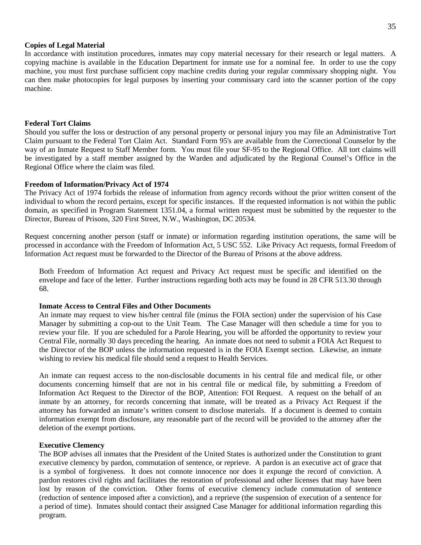#### **Copies of Legal Material**

In accordance with institution procedures, inmates may copy material necessary for their research or legal matters. A copying machine is available in the Education Department for inmate use for a nominal fee. In order to use the copy machine, you must first purchase sufficient copy machine credits during your regular commissary shopping night. You can then make photocopies for legal purposes by inserting your commissary card into the scanner portion of the copy machine.

#### **Federal Tort Claims**

Should you suffer the loss or destruction of any personal property or personal injury you may file an Administrative Tort Claim pursuant to the Federal Tort Claim Act. Standard Form 95's are available from the Correctional Counselor by the way of an Inmate Request to Staff Member form. You must file your SF-95 to the Regional Office. All tort claims will be investigated by a staff member assigned by the Warden and adjudicated by the Regional Counsel's Office in the Regional Office where the claim was filed.

#### **Freedom of Information/Privacy Act of 1974**

The Privacy Act of 1974 forbids the release of information from agency records without the prior written consent of the individual to whom the record pertains, except for specific instances. If the requested information is not within the public domain, as specified in Program Statement 1351.04, a formal written request must be submitted by the requester to the Director, Bureau of Prisons, 320 First Street, N.W., Washington, DC 20534.

Request concerning another person (staff or inmate) or information regarding institution operations, the same will be processed in accordance with the Freedom of Information Act, 5 USC 552. Like Privacy Act requests, formal Freedom of Information Act request must be forwarded to the Director of the Bureau of Prisons at the above address.

Both Freedom of Information Act request and Privacy Act request must be specific and identified on the envelope and face of the letter. Further instructions regarding both acts may be found in 28 CFR 513.30 through 68.

#### **Inmate Access to Central Files and Other Documents**

An inmate may request to view his/her central file (minus the FOIA section) under the supervision of his Case Manager by submitting a cop-out to the Unit Team. The Case Manager will then schedule a time for you to review your file. If you are scheduled for a Parole Hearing, you will be afforded the opportunity to review your Central File, normally 30 days preceding the hearing. An inmate does not need to submit a FOIA Act Request to the Director of the BOP unless the information requested is in the FOIA Exempt section. Likewise, an inmate wishing to review his medical file should send a request to Health Services.

An inmate can request access to the non-disclosable documents in his central file and medical file, or other documents concerning himself that are not in his central file or medical file, by submitting a Freedom of Information Act Request to the Director of the BOP, Attention: FOI Request. A request on the behalf of an inmate by an attorney, for records concerning that inmate, will be treated as a Privacy Act Request if the attorney has forwarded an inmate's written consent to disclose materials. If a document is deemed to contain information exempt from disclosure, any reasonable part of the record will be provided to the attorney after the deletion of the exempt portions.

#### **Executive Clemency**

The BOP advises all inmates that the President of the United States is authorized under the Constitution to grant executive clemency by pardon, commutation of sentence, or reprieve. A pardon is an executive act of grace that is a symbol of forgiveness. It does not connote innocence nor does it expunge the record of conviction. A pardon restores civil rights and facilitates the restoration of professional and other licenses that may have been lost by reason of the conviction. Other forms of executive clemency include commutation of sentence (reduction of sentence imposed after a conviction), and a reprieve (the suspension of execution of a sentence for a period of time). Inmates should contact their assigned Case Manager for additional information regarding this program.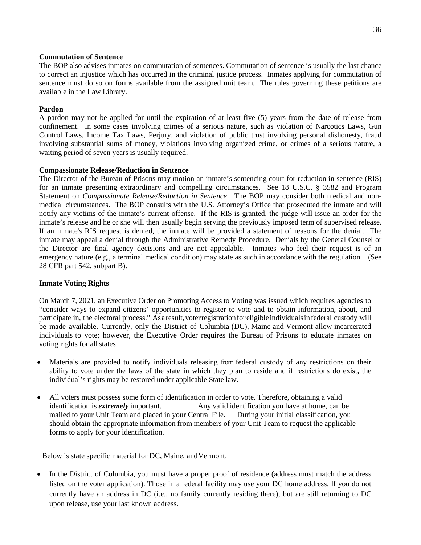#### **Commutation of Sentence**

The BOP also advises inmates on commutation of sentences. Commutation of sentence is usually the last chance to correct an injustice which has occurred in the criminal justice process. Inmates applying for commutation of sentence must do so on forms available from the assigned unit team. The rules governing these petitions are available in the Law Library.

#### **Pardon**

A pardon may not be applied for until the expiration of at least five (5) years from the date of release from confinement. In some cases involving crimes of a serious nature, such as violation of Narcotics Laws, Gun Control Laws, Income Tax Laws, Perjury, and violation of public trust involving personal dishonesty, fraud involving substantial sums of money, violations involving organized crime, or crimes of a serious nature, a waiting period of seven years is usually required.

#### **Compassionate Release/Reduction in Sentence**

The Director of the Bureau of Prisons may motion an inmate's sentencing court for reduction in sentence (RIS) for an inmate presenting extraordinary and compelling circumstances. See 18 U.S.C. § 3582 and Program Statement on *Compassionate Release/Reduction in Sentence*. The BOP may consider both medical and nonmedical circumstances. The BOP consults with the U.S. Attorney's Office that prosecuted the inmate and will notify any victims of the inmate's current offense. If the RIS is granted, the judge will issue an order for the inmate's release and he or she will then usually begin serving the previously imposed term of supervised release. If an inmate's RIS request is denied, the inmate will be provided a statement of reasons for the denial. The inmate may appeal a denial through the Administrative Remedy Procedure. Denials by the General Counsel or the Director are final agency decisions and are not appealable. Inmates who feel their request is of an emergency nature (e.g., a terminal medical condition) may state as such in accordance with the regulation. (See 28 CFR part 542, subpart B).

### **Inmate Voting Rights**

On March 7, 2021, an Executive Order on Promoting Access to Voting was issued which requires agencies to "consider ways to expand citizens' opportunities to register to vote and to obtain information, about, and participate in, the electoral process." Asaresult,voterregistrationforeligibleindividualsinfederal custody will be made available. Currently, only the District of Columbia (DC), Maine and Vermont allow incarcerated individuals to vote; however, the Executive Order requires the Bureau of Prisons to educate inmates on voting rights for all states.

- Materials are provided to notify individuals releasing from federal custody of any restrictions on their ability to vote under the laws of the state in which they plan to reside and if restrictions do exist, the individual's rights may be restored under applicable State law.
- All voters must possess some form of identification in order to vote. Therefore, obtaining a valid identification is *extremely* important. Any valid identification you have at home, can be mailed to your Unit Team and placed in your Central File. During your initial classification, you should obtain the appropriate information from members of your Unit Team to request the applicable forms to apply for your identification.

Below is state specific material for DC, Maine, andVermont.

• In the District of Columbia, you must have a proper proof of residence (address must match the address listed on the voter application). Those in a federal facility may use your DC home address. If you do not currently have an address in DC (i.e., no family currently residing there), but are still returning to DC upon release, use your last known address.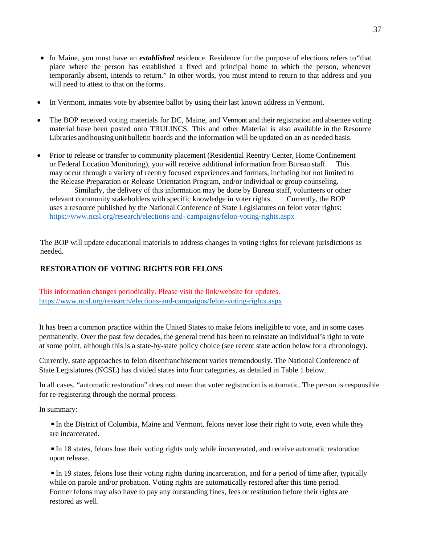- In Maine, you must have an *established* residence. Residence for the purpose of elections refers to"that place where the person has established a fixed and principal home to which the person, whenever temporarily absent, intends to return." In other words, you must intend to return to that address and you will need to attest to that on the forms.
- In Vermont, inmates vote by absentee ballot by using their last known address in Vermont.
- The BOP received voting materials for DC, Maine, and Vermont and their registration and absentee voting material have been posted onto TRULINCS. This and other Material is also available in the Resource Libraries and housing unit bulletin boards and the information will be updated on an as needed basis.
- Prior to release or transfer to community placement (Residential Reentry Center, Home Confinement or Federal Location Monitoring), you will receive additional information from Bureau staff. This may occur through a variety of reentry focused experiences and formats, including but not limited to the Release Preparation or Release Orientation Program, and/or individual or group counseling.

Similarly, the delivery of this information may be done by Bureau staff, volunteers or other relevant community stakeholders with specific knowledge in voter rights. Currently, the BOP uses a resource published by the National Conference of State Legislatures on felon voter rights: [https://www.ncsl.org/research/elections-and-](https://www.ncsl.org/research/elections-and-campaigns/felon-voting-rights.aspx) [campaigns/felon-voting-rights.aspx](https://www.ncsl.org/research/elections-and-campaigns/felon-voting-rights.aspx)

The BOP will update educational materials to address changes in voting rights for relevant jurisdictions as needed.

# **RESTORATION OF VOTING RIGHTS FOR FELONS**

This information changes periodically. Please visit the link/website for updates. <https://www.ncsl.org/research/elections-and-campaigns/felon-voting-rights.aspx>

It has been a common practice within the United States to make felons ineligible to vote, and in some cases permanently. Over the past few decades, the general trend has been to reinstate an individual's right to vote at some point, although this is a state-by-state policy choice (see recent state action below for a chronology).

Currently, state approaches to felon disenfranchisement varies tremendously. The National Conference of State Legislatures (NCSL) has divided states into four categories, as detailed in Table 1 below.

In all cases, "automatic restoration" does not mean that voter registration is automatic. The person is responsible for re-registering through the normal process.

In summary:

◾In the District of Columbia, Maine and Vermont, felons never lose their right to vote, even while they are incarcerated.

◾In 18 states, felons lose their voting rights only while incarcerated, and receive automatic restoration upon release.

◾In 19 states, felons lose their voting rights during incarceration, and for a period of time after, typically while on parole and/or probation. Voting rights are automatically restored after this time period. Former felons may also have to pay any outstanding fines, fees or restitution before their rights are restored as well.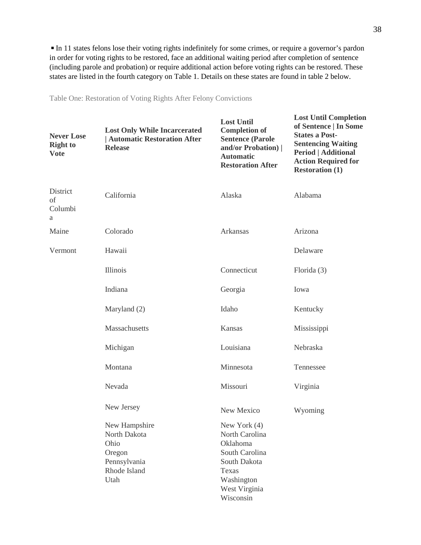■ In 11 states felons lose their voting rights indefinitely for some crimes, or require a governor's pardon in order for voting rights to be restored, face an additional waiting period after completion of sentence (including parole and probation) or require additional action before voting rights can be restored. These states are listed in the fourth category on Table 1. Details on these states are found in table 2 below.

| <b>Never Lose</b><br><b>Right to</b><br><b>Vote</b> | <b>Lost Only While Incarcerated</b><br><b>Automatic Restoration After</b><br><b>Release</b> | <b>Lost Until</b><br><b>Completion of</b><br><b>Sentence (Parole</b><br>and/or Probation)  <br><b>Automatic</b><br><b>Restoration After</b> | <b>Lost Until Completion</b><br>of Sentence   In Some<br><b>States a Post-</b><br><b>Sentencing Waiting</b><br><b>Period   Additional</b><br><b>Action Required for</b><br><b>Restoration (1)</b> |
|-----------------------------------------------------|---------------------------------------------------------------------------------------------|---------------------------------------------------------------------------------------------------------------------------------------------|---------------------------------------------------------------------------------------------------------------------------------------------------------------------------------------------------|
| District<br>of<br>Columbi<br>a                      | California                                                                                  | Alaska                                                                                                                                      | Alabama                                                                                                                                                                                           |
| Maine                                               | Colorado                                                                                    | Arkansas                                                                                                                                    | Arizona                                                                                                                                                                                           |
| Vermont                                             | Hawaii                                                                                      |                                                                                                                                             | Delaware                                                                                                                                                                                          |
|                                                     | <b>Illinois</b>                                                                             | Connecticut                                                                                                                                 | Florida $(3)$                                                                                                                                                                                     |
|                                                     | Indiana                                                                                     | Georgia                                                                                                                                     | Iowa                                                                                                                                                                                              |
|                                                     | Maryland (2)                                                                                | Idaho                                                                                                                                       | Kentucky                                                                                                                                                                                          |
|                                                     | Massachusetts                                                                               | Kansas                                                                                                                                      | Mississippi                                                                                                                                                                                       |
|                                                     | Michigan                                                                                    | Louisiana                                                                                                                                   | Nebraska                                                                                                                                                                                          |
|                                                     | Montana                                                                                     | Minnesota                                                                                                                                   | Tennessee                                                                                                                                                                                         |
|                                                     | Nevada                                                                                      | Missouri                                                                                                                                    | Virginia                                                                                                                                                                                          |
|                                                     | New Jersey                                                                                  | New Mexico                                                                                                                                  | Wyoming                                                                                                                                                                                           |
|                                                     | New Hampshire<br>North Dakota<br>Ohio<br>Oregon<br>Pennsylvania<br>Rhode Island<br>Utah     | New York (4)<br>North Carolina<br>Oklahoma<br>South Carolina<br>South Dakota<br>Texas<br>Washington<br>West Virginia<br>Wisconsin           |                                                                                                                                                                                                   |

Table One: Restoration of Voting Rights After Felony Convictions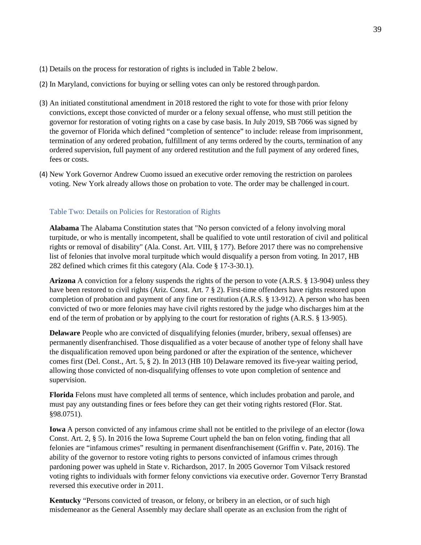- (1) Details on the process for restoration of rights is included in Table 2 below.
- (2) In Maryland, convictions for buying or selling votes can only be restored through pardon.
- (3) An initiated constitutional amendment in 2018 restored the right to vote for those with prior felony convictions, except those convicted of murder or a felony sexual offense, who must still petition the governor for restoration of voting rights on a case by case basis. In July 2019, SB 7066 was signed by the governor of Florida which defined "completion of sentence" to include: release from imprisonment, termination of any ordered probation, fulfillment of any terms ordered by the courts, termination of any ordered supervision, full payment of any ordered restitution and the full payment of any ordered fines, fees or costs.
- (4) New York Governor Andrew Cuomo issued an executive order removing the restriction on parolees voting. New York already allows those on probation to vote. The order may be challenged in court.

### Table Two: Details on Policies for Restoration of Rights

**Alabama** The Alabama Constitution states that "No person convicted of a felony involving moral turpitude, or who is mentally incompetent, shall be qualified to vote until restoration of civil and political rights or removal of disability" (Ala. Const. Art. VIII, § 177). Before 2017 there was no comprehensive list of felonies that involve moral turpitude which would disqualify a person from voting. In 2017, HB 282 defined which crimes fit this category (Ala. Code § 17-3-30.1).

**Arizona** A conviction for a felony suspends the rights of the person to vote (A.R.S. § 13-904) unless they have been restored to civil rights (Ariz. Const. Art. 7 § 2). First-time offenders have rights restored upon completion of probation and payment of any fine or restitution (A.R.S. § 13-912). A person who has been convicted of two or more felonies may have civil rights restored by the judge who discharges him at the end of the term of probation or by applying to the court for restoration of rights (A.R.S. § 13-905).

**Delaware** People who are convicted of disqualifying felonies (murder, bribery, sexual offenses) are permanently disenfranchised. Those disqualified as a voter because of another type of felony shall have the disqualification removed upon being pardoned or after the expiration of the sentence, whichever comes first (Del. Const., Art. 5, § 2). In 2013 (HB 10) Delaware removed its five-year waiting period, allowing those convicted of non-disqualifying offenses to vote upon completion of sentence and supervision.

**Florida** Felons must have completed all terms of sentence, which includes probation and parole, and must pay any outstanding fines or fees before they can get their voting rights restored (Flor. Stat. §98.0751).

**Iowa** A person convicted of any infamous crime shall not be entitled to the privilege of an elector (Iowa Const. Art. 2, § 5). In 2016 the Iowa Supreme Court upheld the ban on felon voting, finding that all felonies are "infamous crimes" resulting in permanent disenfranchisement (Griffin v. Pate, 2016). The ability of the governor to restore voting rights to persons convicted of infamous crimes through pardoning power was upheld in State v. Richardson, 2017. In 2005 Governor Tom Vilsack restored voting rights to individuals with former felony convictions via executive order. Governor Terry Branstad reversed this executive order in 2011.

**Kentucky** "Persons convicted of treason, or felony, or bribery in an election, or of such high misdemeanor as the General Assembly may declare shall operate as an exclusion from the right of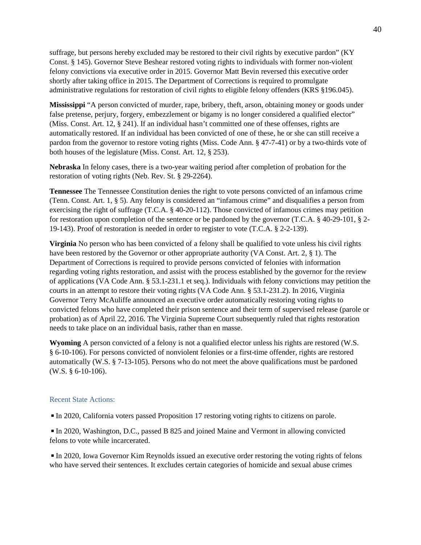suffrage, but persons hereby excluded may be restored to their civil rights by executive pardon" (KY Const. § 145). Governor Steve Beshear restored voting rights to individuals with former non-violent felony convictions via executive order in 2015. Governor Matt Bevin reversed this executive order shortly after taking office in 2015. The Department of Corrections is required to promulgate administrative regulations for restoration of civil rights to eligible felony offenders (KRS §196.045).

**Mississippi** "A person convicted of murder, rape, bribery, theft, arson, obtaining money or goods under false pretense, perjury, forgery, embezzlement or bigamy is no longer considered a qualified elector" (Miss. Const. Art. 12, § 241). If an individual hasn't committed one of these offenses, rights are automatically restored. If an individual has been convicted of one of these, he or she can still receive a pardon from the governor to restore voting rights (Miss. Code Ann. § 47-7-41) or by a two-thirds vote of both houses of the legislature (Miss. Const. Art. 12, § 253).

**Nebraska** In felony cases, there is a two-year waiting period after completion of probation for the restoration of voting rights (Neb. Rev. St. § 29-2264).

**Tennessee** The Tennessee Constitution denies the right to vote persons convicted of an infamous crime (Tenn. Const. Art. 1, § 5). Any felony is considered an "infamous crime" and disqualifies a person from exercising the right of suffrage (T.C.A. § 40-20-112). Those convicted of infamous crimes may petition for restoration upon completion of the sentence or be pardoned by the governor (T.C.A. § 40-29-101, § 2- 19-143). Proof of restoration is needed in order to register to vote (T.C.A. § 2-2-139).

**Virginia** No person who has been convicted of a felony shall be qualified to vote unless his civil rights have been restored by the Governor or other appropriate authority (VA Const. Art. 2, § 1). The Department of Corrections is required to provide persons convicted of felonies with information regarding voting rights restoration, and assist with the process established by the governor for the review of applications (VA Code Ann. § 53.1-231.1 et seq.). Individuals with felony convictions may petition the courts in an attempt to restore their voting rights (VA Code Ann. § 53.1-231.2). In 2016, Virginia Governor Terry McAuliffe announced an executive order automatically restoring voting rights to convicted felons who have completed their prison sentence and their term of supervised release (parole or probation) as of April 22, 2016. The Virginia Supreme Court subsequently ruled that rights restoration needs to take place on an individual basis, rather than en masse.

**Wyoming** A person convicted of a felony is not a qualified elector unless his rights are restored (W.S. § 6-10-106). For persons convicted of nonviolent felonies or a first-time offender, rights are restored automatically (W.S. § 7-13-105). Persons who do not meet the above qualifications must be pardoned (W.S. § 6-10-106).

#### Recent State Actions:

◾In 2020, California voters passed Proposition 17 restoring voting rights to citizens on parole.

■ In 2020, Washington, D.C., passed B 825 and joined Maine and Vermont in allowing convicted felons to vote while incarcerated.

 $\blacksquare$  In 2020, Iowa Governor Kim Reynolds issued an executive order restoring the voting rights of felons who have served their sentences. It excludes certain categories of homicide and sexual abuse crimes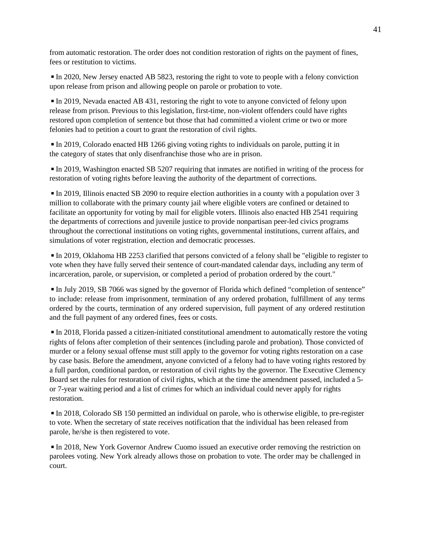from automatic restoration. The order does not condition restoration of rights on the payment of fines, fees or restitution to victims.

◾In 2020, New Jersey enacted AB 5823, restoring the right to vote to people with a felony conviction upon release from prison and allowing people on parole or probation to vote.

◾In 2019, Nevada enacted AB 431, restoring the right to vote to anyone convicted of felony upon release from prison. Previous to this legislation, first-time, non-violent offenders could have rights restored upon completion of sentence but those that had committed a violent crime or two or more felonies had to petition a court to grant the restoration of civil rights.

◾In 2019, Colorado enacted HB 1266 giving voting rights to individuals on parole, putting it in the category of states that only disenfranchise those who are in prison.

◾In 2019, Washington enacted SB 5207 requiring that inmates are notified in writing of the process for restoration of voting rights before leaving the authority of the department of corrections.

■ In 2019, Illinois enacted SB 2090 to require election authorities in a county with a population over 3 million to collaborate with the primary county jail where eligible voters are confined or detained to facilitate an opportunity for voting by mail for eligible voters. Illinois also enacted HB 2541 requiring the departments of corrections and juvenile justice to provide nonpartisan peer-led civics programs throughout the correctional institutions on voting rights, governmental institutions, current affairs, and simulations of voter registration, election and democratic processes.

◾In 2019, Oklahoma HB 2253 clarified that persons convicted of a felony shall be "eligible to register to vote when they have fully served their sentence of court-mandated calendar days, including any term of incarceration, parole, or supervision, or completed a period of probation ordered by the court."

■ In July 2019, SB 7066 was signed by the governor of Florida which defined "completion of sentence" to include: release from imprisonment, termination of any ordered probation, fulfillment of any terms ordered by the courts, termination of any ordered supervision, full payment of any ordered restitution and the full payment of any ordered fines, fees or costs.

◾In 2018, Florida passed a citizen-initiated constitutional amendment to automatically restore the voting rights of felons after completion of their sentences (including parole and probation). Those convicted of murder or a felony sexual offense must still apply to the governor for voting rights restoration on a case by case basis. Before the amendment, anyone convicted of a felony had to have voting rights restored by a full pardon, conditional pardon, or restoration of civil rights by the governor. The Executive Clemency Board set the rules for restoration of civil rights, which at the time the amendment passed, included a 5 or 7-year waiting period and a list of crimes for which an individual could never apply for rights restoration.

◾In 2018, Colorado SB 150 permitted an individual on parole, who is otherwise eligible, to pre-register to vote. When the secretary of state receives notification that the individual has been released from parole, he/she is then registered to vote.

 $\blacksquare$  In 2018, New York Governor Andrew Cuomo issued an executive order removing the restriction on parolees voting. New York already allows those on probation to vote. The order may be challenged in court.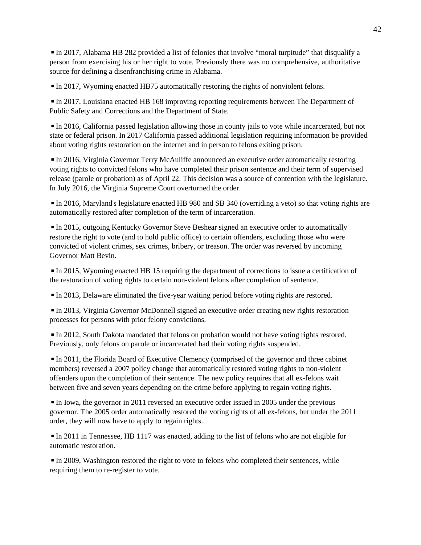◾In 2017, Alabama HB 282 provided a list of felonies that involve "moral turpitude" that disqualify a person from exercising his or her right to vote. Previously there was no comprehensive, authoritative source for defining a disenfranchising crime in Alabama.

 $\blacksquare$  In 2017, Wyoming enacted HB75 automatically restoring the rights of nonviolent felons.

◾In 2017, Louisiana enacted HB 168 improving reporting requirements between The Department of Public Safety and Corrections and the Department of State.

◾In 2016, California passed legislation allowing those in county jails to vote while incarcerated, but not state or federal prison. In 2017 California passed additional legislation requiring information be provided about voting rights restoration on the internet and in person to felons exiting prison.

◾In 2016, Virginia Governor Terry McAuliffe announced an executive order automatically restoring voting rights to convicted felons who have completed their prison sentence and their term of supervised release (parole or probation) as of April 22. This decision was a source of contention with the legislature. In July 2016, the Virginia Supreme Court overturned the order.

◾In 2016, Maryland's legislature enacted HB 980 and SB 340 (overriding a veto) so that voting rights are automatically restored after completion of the term of incarceration.

◾In 2015, outgoing Kentucky Governor Steve Beshear signed an executive order to automatically restore the right to vote (and to hold public office) to certain offenders, excluding those who were convicted of violent crimes, sex crimes, bribery, or treason. The order was reversed by incoming Governor Matt Bevin.

◾In 2015, Wyoming enacted HB 15 requiring the department of corrections to issue a certification of the restoration of voting rights to certain non-violent felons after completion of sentence.

■ In 2013, Delaware eliminated the five-year waiting period before voting rights are restored.

■ In 2013, Virginia Governor McDonnell signed an executive order creating new rights restoration processes for persons with prior felony convictions.

◾In 2012, South Dakota mandated that felons on probation would not have voting rights restored. Previously, only felons on parole or incarcerated had their voting rights suspended.

◾In 2011, the Florida Board of Executive Clemency (comprised of the governor and three cabinet members) reversed a 2007 policy change that automatically restored voting rights to non-violent offenders upon the completion of their sentence. The new policy requires that all ex-felons wait between five and seven years depending on the crime before applying to regain voting rights.

◾In Iowa, the governor in 2011 reversed an executive order issued in 2005 under the previous governor. The 2005 order automatically restored the voting rights of all ex-felons, but under the 2011 order, they will now have to apply to regain rights.

◾In 2011 in Tennessee, HB 1117 was enacted, adding to the list of felons who are not eligible for automatic restoration.

◾In 2009, Washington restored the right to vote to felons who completed their sentences, while requiring them to re-register to vote.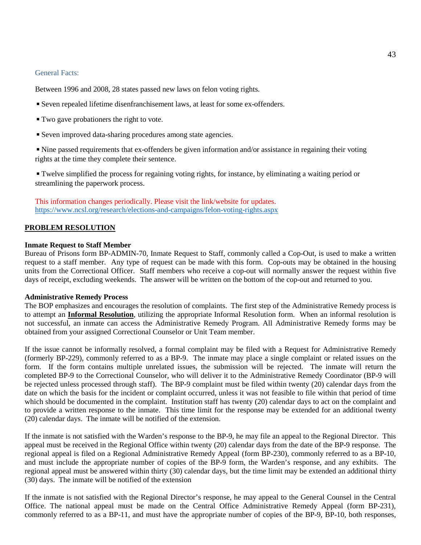#### General Facts:

Between 1996 and 2008, 28 states passed new laws on felon voting rights.

- Seven repealed lifetime disenfranchisement laws, at least for some ex-offenders.
- Two gave probationers the right to vote.
- Seven improved data-sharing procedures among state agencies.

◾Nine passed requirements that ex-offenders be given information and/or assistance in regaining their voting rights at the time they complete their sentence.

◾Twelve simplified the process for regaining voting rights, for instance, by eliminating a waiting period or streamlining the paperwork process.

This information changes periodically. Please visit the link/website for updates. <https://www.ncsl.org/research/elections-and-campaigns/felon-voting-rights.aspx>

#### **PROBLEM RESOLUTION**

#### **Inmate Request to Staff Member**

Bureau of Prisons form BP-ADMIN-70, Inmate Request to Staff, commonly called a Cop-Out, is used to make a written request to a staff member. Any type of request can be made with this form. Cop-outs may be obtained in the housing units from the Correctional Officer. Staff members who receive a cop-out will normally answer the request within five days of receipt, excluding weekends. The answer will be written on the bottom of the cop-out and returned to you.

#### **Administrative Remedy Process**

The BOP emphasizes and encourages the resolution of complaints. The first step of the Administrative Remedy process is to attempt an **Informal Resolution**, utilizing the appropriate Informal Resolution form. When an informal resolution is not successful, an inmate can access the Administrative Remedy Program. All Administrative Remedy forms may be obtained from your assigned Correctional Counselor or Unit Team member.

If the issue cannot be informally resolved, a formal complaint may be filed with a Request for Administrative Remedy (formerly BP-229), commonly referred to as a BP-9. The inmate may place a single complaint or related issues on the form. If the form contains multiple unrelated issues, the submission will be rejected. The inmate will return the completed BP-9 to the Correctional Counselor, who will deliver it to the Administrative Remedy Coordinator (BP-9 will be rejected unless processed through staff). The BP-9 complaint must be filed within twenty (20) calendar days from the date on which the basis for the incident or complaint occurred, unless it was not feasible to file within that period of time which should be documented in the complaint. Institution staff has twenty (20) calendar days to act on the complaint and to provide a written response to the inmate. This time limit for the response may be extended for an additional twenty (20) calendar days. The inmate will be notified of the extension.

If the inmate is not satisfied with the Warden's response to the BP-9, he may file an appeal to the Regional Director. This appeal must be received in the Regional Office within twenty (20) calendar days from the date of the BP-9 response. The regional appeal is filed on a Regional Administrative Remedy Appeal (form BP-230), commonly referred to as a BP-10, and must include the appropriate number of copies of the BP-9 form, the Warden's response, and any exhibits. The regional appeal must be answered within thirty (30) calendar days, but the time limit may be extended an additional thirty (30) days. The inmate will be notified of the extension

If the inmate is not satisfied with the Regional Director's response, he may appeal to the General Counsel in the Central Office. The national appeal must be made on the Central Office Administrative Remedy Appeal (form BP-231), commonly referred to as a BP-11, and must have the appropriate number of copies of the BP-9, BP-10, both responses,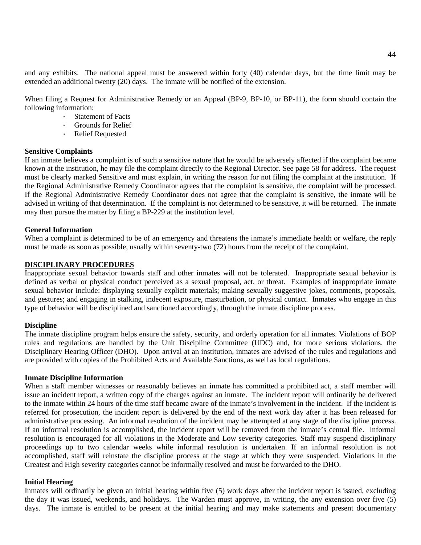and any exhibits. The national appeal must be answered within forty (40) calendar days, but the time limit may be extended an additional twenty (20) days. The inmate will be notified of the extension.

When filing a Request for Administrative Remedy or an Appeal (BP-9, BP-10, or BP-11), the form should contain the following information:

- · Statement of Facts
- Grounds for Relief<br>• Relief Requested
- **Relief Requested**

# **Sensitive Complaints**

If an inmate believes a complaint is of such a sensitive nature that he would be adversely affected if the complaint became known at the institution, he may file the complaint directly to the Regional Director. See page 58 for address. The request must be clearly marked Sensitive and must explain, in writing the reason for not filing the complaint at the institution. If the Regional Administrative Remedy Coordinator agrees that the complaint is sensitive, the complaint will be processed. If the Regional Administrative Remedy Coordinator does not agree that the complaint is sensitive, the inmate will be advised in writing of that determination. If the complaint is not determined to be sensitive, it will be returned. The inmate may then pursue the matter by filing a BP-229 at the institution level.

#### **General Information**

When a complaint is determined to be of an emergency and threatens the inmate's immediate health or welfare, the reply must be made as soon as possible, usually within seventy-two (72) hours from the receipt of the complaint.

### **DISCIPLINARY PROCEDURES**

Inappropriate sexual behavior towards staff and other inmates will not be tolerated. Inappropriate sexual behavior is defined as verbal or physical conduct perceived as a sexual proposal, act, or threat. Examples of inappropriate inmate sexual behavior include: displaying sexually explicit materials; making sexually suggestive jokes, comments, proposals, and gestures; and engaging in stalking, indecent exposure, masturbation, or physical contact. Inmates who engage in this type of behavior will be disciplined and sanctioned accordingly, through the inmate discipline process.

#### **Discipline**

The inmate discipline program helps ensure the safety, security, and orderly operation for all inmates. Violations of BOP rules and regulations are handled by the Unit Discipline Committee (UDC) and, for more serious violations, the Disciplinary Hearing Officer (DHO). Upon arrival at an institution, inmates are advised of the rules and regulations and are provided with copies of the Prohibited Acts and Available Sanctions, as well as local regulations.

#### **Inmate Discipline Information**

When a staff member witnesses or reasonably believes an inmate has committed a prohibited act, a staff member will issue an incident report, a written copy of the charges against an inmate. The incident report will ordinarily be delivered to the inmate within 24 hours of the time staff became aware of the inmate's involvement in the incident. If the incident is referred for prosecution, the incident report is delivered by the end of the next work day after it has been released for administrative processing. An informal resolution of the incident may be attempted at any stage of the discipline process. If an informal resolution is accomplished, the incident report will be removed from the inmate's central file. Informal resolution is encouraged for all violations in the Moderate and Low severity categories. Staff may suspend disciplinary proceedings up to two calendar weeks while informal resolution is undertaken. If an informal resolution is not accomplished, staff will reinstate the discipline process at the stage at which they were suspended. Violations in the Greatest and High severity categories cannot be informally resolved and must be forwarded to the DHO.

#### **Initial Hearing**

Inmates will ordinarily be given an initial hearing within five (5) work days after the incident report is issued, excluding the day it was issued, weekends, and holidays. The Warden must approve, in writing, the any extension over five (5) days. The inmate is entitled to be present at the initial hearing and may make statements and present documentary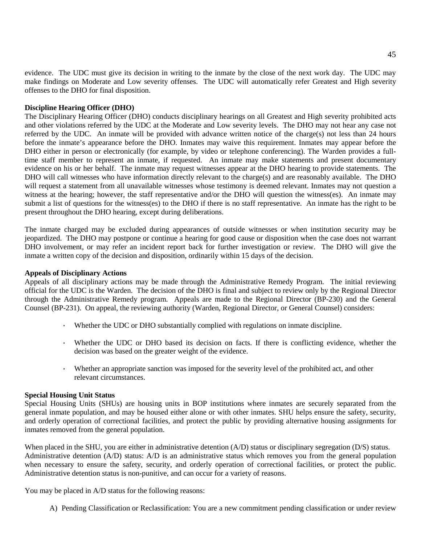evidence. The UDC must give its decision in writing to the inmate by the close of the next work day. The UDC may make findings on Moderate and Low severity offenses. The UDC will automatically refer Greatest and High severity offenses to the DHO for final disposition.

#### **Discipline Hearing Officer (DHO)**

The Disciplinary Hearing Officer (DHO) conducts disciplinary hearings on all Greatest and High severity prohibited acts and other violations referred by the UDC at the Moderate and Low severity levels. The DHO may not hear any case not referred by the UDC. An inmate will be provided with advance written notice of the charge(s) not less than 24 hours before the inmate's appearance before the DHO. Inmates may waive this requirement. Inmates may appear before the DHO either in person or electronically (for example, by video or telephone conferencing). The Warden provides a fulltime staff member to represent an inmate, if requested. An inmate may make statements and present documentary evidence on his or her behalf. The inmate may request witnesses appear at the DHO hearing to provide statements. The DHO will call witnesses who have information directly relevant to the charge(s) and are reasonably available. The DHO will request a statement from all unavailable witnesses whose testimony is deemed relevant. Inmates may not question a witness at the hearing; however, the staff representative and/or the DHO will question the witness(es). An inmate may submit a list of questions for the witness(es) to the DHO if there is no staff representative. An inmate has the right to be present throughout the DHO hearing, except during deliberations.

The inmate charged may be excluded during appearances of outside witnesses or when institution security may be jeopardized. The DHO may postpone or continue a hearing for good cause or disposition when the case does not warrant DHO involvement, or may refer an incident report back for further investigation or review. The DHO will give the inmate a written copy of the decision and disposition, ordinarily within 15 days of the decision.

#### **Appeals of Disciplinary Actions**

Appeals of all disciplinary actions may be made through the Administrative Remedy Program. The initial reviewing official for the UDC is the Warden. The decision of the DHO is final and subject to review only by the Regional Director through the Administrative Remedy program. Appeals are made to the Regional Director (BP-230) and the General Counsel (BP-231). On appeal, the reviewing authority (Warden, Regional Director, or General Counsel) considers:

- · Whether the UDC or DHO substantially complied with regulations on inmate discipline.
- · Whether the UDC or DHO based its decision on facts. If there is conflicting evidence, whether the decision was based on the greater weight of the evidence.
- · Whether an appropriate sanction was imposed for the severity level of the prohibited act, and other relevant circumstances.

#### **Special Housing Unit Status**

Special Housing Units (SHUs) are housing units in BOP institutions where inmates are securely separated from the general inmate population, and may be housed either alone or with other inmates. SHU helps ensure the safety, security, and orderly operation of correctional facilities, and protect the public by providing alternative housing assignments for inmates removed from the general population.

When placed in the SHU, you are either in administrative detention (A/D) status or disciplinary segregation (D/S) status. Administrative detention (A/D) status: A/D is an administrative status which removes you from the general population when necessary to ensure the safety, security, and orderly operation of correctional facilities, or protect the public. Administrative detention status is non-punitive, and can occur for a variety of reasons.

You may be placed in A/D status for the following reasons:

A) Pending Classification or Reclassification: You are a new commitment pending classification or under review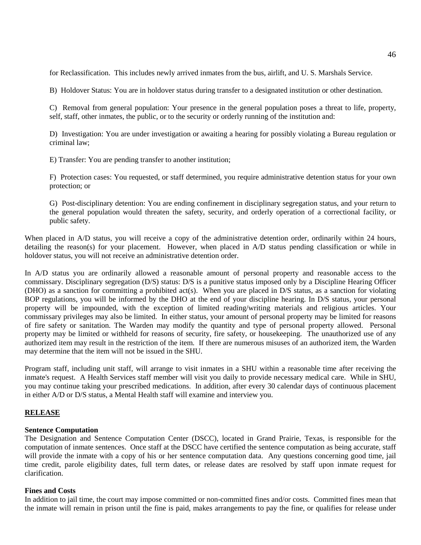for Reclassification. This includes newly arrived inmates from the bus, airlift, and U. S. Marshals Service.

B) Holdover Status: You are in holdover status during transfer to a designated institution or other destination.

C) Removal from general population: Your presence in the general population poses a threat to life, property, self, staff, other inmates, the public, or to the security or orderly running of the institution and:

D) Investigation: You are under investigation or awaiting a hearing for possibly violating a Bureau regulation or criminal law;

E) Transfer: You are pending transfer to another institution;

F) Protection cases: You requested, or staff determined, you require administrative detention status for your own protection; or

G) Post-disciplinary detention: You are ending confinement in disciplinary segregation status, and your return to the general population would threaten the safety, security, and orderly operation of a correctional facility, or public safety.

When placed in A/D status, you will receive a copy of the administrative detention order, ordinarily within 24 hours, detailing the reason(s) for your placement. However, when placed in A/D status pending classification or while in holdover status, you will not receive an administrative detention order.

In A/D status you are ordinarily allowed a reasonable amount of personal property and reasonable access to the commissary. Disciplinary segregation (D/S) status: D/S is a punitive status imposed only by a Discipline Hearing Officer (DHO) as a sanction for committing a prohibited act(s). When you are placed in D/S status, as a sanction for violating BOP regulations, you will be informed by the DHO at the end of your discipline hearing. In D/S status, your personal property will be impounded, with the exception of limited reading/writing materials and religious articles. Your commissary privileges may also be limited. In either status, your amount of personal property may be limited for reasons of fire safety or sanitation. The Warden may modify the quantity and type of personal property allowed. Personal property may be limited or withheld for reasons of security, fire safety, or housekeeping. The unauthorized use of any authorized item may result in the restriction of the item. If there are numerous misuses of an authorized item, the Warden may determine that the item will not be issued in the SHU.

Program staff, including unit staff, will arrange to visit inmates in a SHU within a reasonable time after receiving the inmate's request. A Health Services staff member will visit you daily to provide necessary medical care. While in SHU, you may continue taking your prescribed medications. In addition, after every 30 calendar days of continuous placement in either A/D or D/S status, a Mental Health staff will examine and interview you.

### **RELEASE**

#### **Sentence Computation**

The Designation and Sentence Computation Center (DSCC), located in Grand Prairie, Texas, is responsible for the computation of inmate sentences. Once staff at the DSCC have certified the sentence computation as being accurate, staff will provide the inmate with a copy of his or her sentence computation data. Any questions concerning good time, jail time credit, parole eligibility dates, full term dates, or release dates are resolved by staff upon inmate request for clarification.

#### **Fines and Costs**

In addition to jail time, the court may impose committed or non-committed fines and/or costs. Committed fines mean that the inmate will remain in prison until the fine is paid, makes arrangements to pay the fine, or qualifies for release under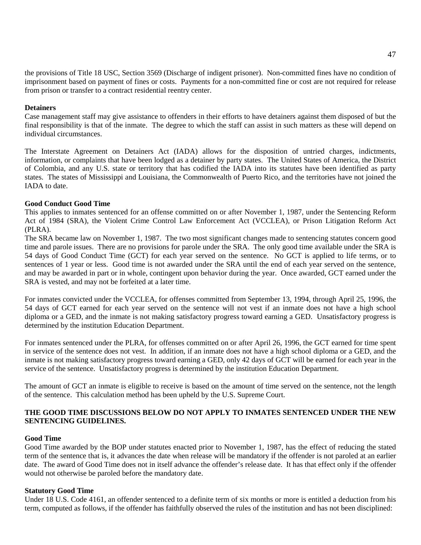the provisions of Title 18 USC, Section 3569 (Discharge of indigent prisoner). Non-committed fines have no condition of imprisonment based on payment of fines or costs. Payments for a non-committed fine or cost are not required for release from prison or transfer to a contract residential reentry center.

#### **Detainers**

Case management staff may give assistance to offenders in their efforts to have detainers against them disposed of but the final responsibility is that of the inmate. The degree to which the staff can assist in such matters as these will depend on individual circumstances.

The Interstate Agreement on Detainers Act (IADA) allows for the disposition of untried charges, indictments, information, or complaints that have been lodged as a detainer by party states. The United States of America, the District of Colombia, and any U.S. state or territory that has codified the IADA into its statutes have been identified as party states. The states of Mississippi and Louisiana, the Commonwealth of Puerto Rico, and the territories have not joined the IADA to date.

#### **Good Conduct Good Time**

This applies to inmates sentenced for an offense committed on or after November 1, 1987, under the Sentencing Reform Act of 1984 (SRA), the Violent Crime Control Law Enforcement Act (VCCLEA), or Prison Litigation Reform Act (PLRA).

The SRA became law on November 1, 1987. The two most significant changes made to sentencing statutes concern good time and parole issues. There are no provisions for parole under the SRA. The only good time available under the SRA is 54 days of Good Conduct Time (GCT) for each year served on the sentence. No GCT is applied to life terms, or to sentences of 1 year or less. Good time is not awarded under the SRA until the end of each year served on the sentence, and may be awarded in part or in whole, contingent upon behavior during the year. Once awarded, GCT earned under the SRA is vested, and may not be forfeited at a later time.

For inmates convicted under the VCCLEA, for offenses committed from September 13, 1994, through April 25, 1996, the 54 days of GCT earned for each year served on the sentence will not vest if an inmate does not have a high school diploma or a GED, and the inmate is not making satisfactory progress toward earning a GED. Unsatisfactory progress is determined by the institution Education Department.

For inmates sentenced under the PLRA, for offenses committed on or after April 26, 1996, the GCT earned for time spent in service of the sentence does not vest. In addition, if an inmate does not have a high school diploma or a GED, and the inmate is not making satisfactory progress toward earning a GED, only 42 days of GCT will be earned for each year in the service of the sentence. Unsatisfactory progress is determined by the institution Education Department.

The amount of GCT an inmate is eligible to receive is based on the amount of time served on the sentence, not the length of the sentence. This calculation method has been upheld by the U.S. Supreme Court.

# **THE GOOD TIME DISCUSSIONS BELOW DO NOT APPLY TO INMATES SENTENCED UNDER THE NEW SENTENCING GUIDELINES.**

#### **Good Time**

Good Time awarded by the BOP under statutes enacted prior to November 1, 1987, has the effect of reducing the stated term of the sentence that is, it advances the date when release will be mandatory if the offender is not paroled at an earlier date. The award of Good Time does not in itself advance the offender's release date. It has that effect only if the offender would not otherwise be paroled before the mandatory date.

#### **Statutory Good Time**

Under 18 U.S. Code 4161, an offender sentenced to a definite term of six months or more is entitled a deduction from his term, computed as follows, if the offender has faithfully observed the rules of the institution and has not been disciplined: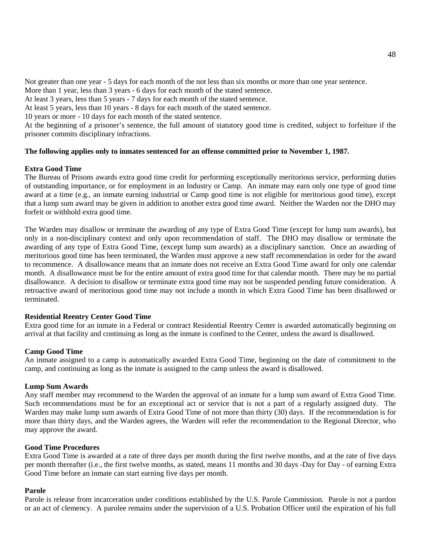Not greater than one year - 5 days for each month of the not less than six months or more than one year sentence.

More than 1 year, less than 3 years - 6 days for each month of the stated sentence.

At least 3 years, less than 5 years - 7 days for each month of the stated sentence.

At least 5 years, less than 10 years - 8 days for each month of the stated sentence.

10 years or more - 10 days for each month of the stated sentence.

At the beginning of a prisoner's sentence, the full amount of statutory good time is credited, subject to forfeiture if the prisoner commits disciplinary infractions.

# **The following applies only to inmates sentenced for an offense committed prior to November 1, 1987.**

# **Extra Good Time**

The Bureau of Prisons awards extra good time credit for performing exceptionally meritorious service, performing duties of outstanding importance, or for employment in an Industry or Camp. An inmate may earn only one type of good time award at a time (e.g., an inmate earning industrial or Camp good time is not eligible for meritorious good time), except that a lump sum award may be given in addition to another extra good time award. Neither the Warden nor the DHO may forfeit or withhold extra good time.

The Warden may disallow or terminate the awarding of any type of Extra Good Time (except for lump sum awards), but only in a non-disciplinary context and only upon recommendation of staff. The DHO may disallow or terminate the awarding of any type of Extra Good Time, (except lump sum awards) as a disciplinary sanction. Once an awarding of meritorious good time has been terminated, the Warden must approve a new staff recommendation in order for the award to recommence. A disallowance means that an inmate does not receive an Extra Good Time award for only one calendar month. A disallowance must be for the entire amount of extra good time for that calendar month. There may be no partial disallowance. A decision to disallow or terminate extra good time may not be suspended pending future consideration. A retroactive award of meritorious good time may not include a month in which Extra Good Time has been disallowed or terminated.

### **Residential Reentry Center Good Time**

Extra good time for an inmate in a Federal or contract Residential Reentry Center is awarded automatically beginning on arrival at that facility and continuing as long as the inmate is confined to the Center, unless the award is disallowed.

### **Camp Good Time**

An inmate assigned to a camp is automatically awarded Extra Good Time, beginning on the date of commitment to the camp, and continuing as long as the inmate is assigned to the camp unless the award is disallowed.

### **Lump Sum Awards**

Any staff member may recommend to the Warden the approval of an inmate for a lump sum award of Extra Good Time. Such recommendations must be for an exceptional act or service that is not a part of a regularly assigned duty. The Warden may make lump sum awards of Extra Good Time of not more than thirty (30) days. If the recommendation is for more than thirty days, and the Warden agrees, the Warden will refer the recommendation to the Regional Director, who may approve the award.

# **Good Time Procedures**

Extra Good Time is awarded at a rate of three days per month during the first twelve months, and at the rate of five days per month thereafter (i.e., the first twelve months, as stated, means 11 months and 30 days -Day for Day - of earning Extra Good Time before an inmate can start earning five days per month.

### **Parole**

Parole is release from incarceration under conditions established by the U.S. Parole Commission. Parole is not a pardon or an act of clemency. A parolee remains under the supervision of a U.S. Probation Officer until the expiration of his full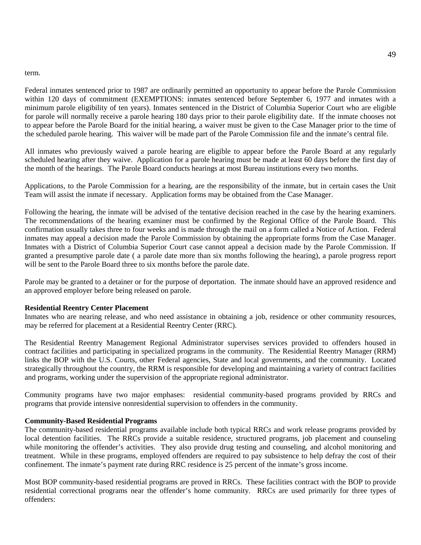#### term.

Federal inmates sentenced prior to 1987 are ordinarily permitted an opportunity to appear before the Parole Commission within 120 days of commitment (EXEMPTIONS: inmates sentenced before September 6, 1977 and inmates with a minimum parole eligibility of ten years). Inmates sentenced in the District of Columbia Superior Court who are eligible for parole will normally receive a parole hearing 180 days prior to their parole eligibility date. If the inmate chooses not to appear before the Parole Board for the initial hearing, a waiver must be given to the Case Manager prior to the time of the scheduled parole hearing. This waiver will be made part of the Parole Commission file and the inmate's central file.

All inmates who previously waived a parole hearing are eligible to appear before the Parole Board at any regularly scheduled hearing after they waive. Application for a parole hearing must be made at least 60 days before the first day of the month of the hearings. The Parole Board conducts hearings at most Bureau institutions every two months.

Applications, to the Parole Commission for a hearing, are the responsibility of the inmate, but in certain cases the Unit Team will assist the inmate if necessary. Application forms may be obtained from the Case Manager.

Following the hearing, the inmate will be advised of the tentative decision reached in the case by the hearing examiners. The recommendations of the hearing examiner must be confirmed by the Regional Office of the Parole Board. This confirmation usually takes three to four weeks and is made through the mail on a form called a Notice of Action. Federal inmates may appeal a decision made the Parole Commission by obtaining the appropriate forms from the Case Manager. Inmates with a District of Columbia Superior Court case cannot appeal a decision made by the Parole Commission. If granted a presumptive parole date ( a parole date more than six months following the hearing), a parole progress report will be sent to the Parole Board three to six months before the parole date.

Parole may be granted to a detainer or for the purpose of deportation. The inmate should have an approved residence and an approved employer before being released on parole.

#### **Residential Reentry Center Placement**

Inmates who are nearing release, and who need assistance in obtaining a job, residence or other community resources, may be referred for placement at a Residential Reentry Center (RRC).

The Residential Reentry Management Regional Administrator supervises services provided to offenders housed in contract facilities and participating in specialized programs in the community. The Residential Reentry Manager (RRM) links the BOP with the U.S. Courts, other Federal agencies, State and local governments, and the community. Located strategically throughout the country, the RRM is responsible for developing and maintaining a variety of contract facilities and programs, working under the supervision of the appropriate regional administrator.

Community programs have two major emphases: residential community-based programs provided by RRCs and programs that provide intensive nonresidential supervision to offenders in the community.

#### **Community-Based Residential Programs**

The community-based residential programs available include both typical RRCs and work release programs provided by local detention facilities. The RRCs provide a suitable residence, structured programs, job placement and counseling while monitoring the offender's activities. They also provide drug testing and counseling, and alcohol monitoring and treatment. While in these programs, employed offenders are required to pay subsistence to help defray the cost of their confinement. The inmate's payment rate during RRC residence is 25 percent of the inmate's gross income.

Most BOP community-based residential programs are proved in RRCs. These facilities contract with the BOP to provide residential correctional programs near the offender's home community. RRCs are used primarily for three types of offenders: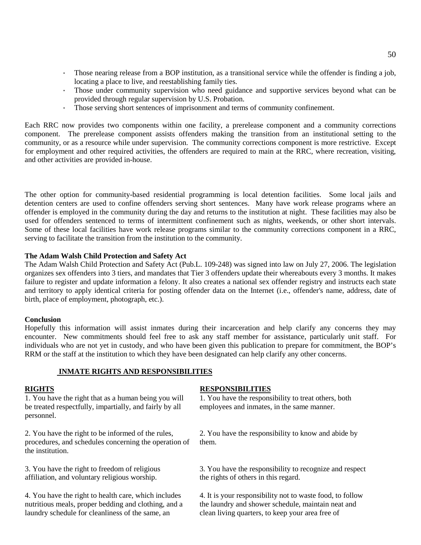- · Those nearing release from a BOP institution, as a transitional service while the offender is finding a job, locating a place to live, and reestablishing family ties.
- · Those under community supervision who need guidance and supportive services beyond what can be provided through regular supervision by U.S. Probation.
- · Those serving short sentences of imprisonment and terms of community confinement.

Each RRC now provides two components within one facility, a prerelease component and a community corrections component. The prerelease component assists offenders making the transition from an institutional setting to the community, or as a resource while under supervision. The community corrections component is more restrictive. Except for employment and other required activities, the offenders are required to main at the RRC, where recreation, visiting, and other activities are provided in-house.

The other option for community-based residential programming is local detention facilities. Some local jails and detention centers are used to confine offenders serving short sentences. Many have work release programs where an offender is employed in the community during the day and returns to the institution at night. These facilities may also be used for offenders sentenced to terms of intermittent confinement such as nights, weekends, or other short intervals. Some of these local facilities have work release programs similar to the community corrections component in a RRC, serving to facilitate the transition from the institution to the community.

#### **The Adam Walsh Child Protection and Safety Act**

The Adam Walsh Child Protection and Safety Act (Pub.L. 109-248) was signed into law on July 27, 2006. The legislation organizes sex offenders into 3 tiers, and mandates that Tier 3 offenders update their whereabouts every 3 months. It makes failure to register and update information a felony. It also creates a national sex offender registry and instructs each state and territory to apply identical criteria for posting offender data on the Internet (i.e., offender's name, address, date of birth, place of employment, photograph, etc.).

#### **Conclusion**

Hopefully this information will assist inmates during their incarceration and help clarify any concerns they may encounter. New commitments should feel free to ask any staff member for assistance, particularly unit staff. For individuals who are not yet in custody, and who have been given this publication to prepare for commitment, the BOP's RRM or the staff at the institution to which they have been designated can help clarify any other concerns.

### **INMATE RIGHTS AND RESPONSIBILITIES**

1. You have the right that as a human being you will be treated respectfully, impartially, and fairly by all personnel.

2. You have the right to be informed of the rules, procedures, and schedules concerning the operation of the institution.

3. You have the right to freedom of religious affiliation, and voluntary religious worship.

4. You have the right to health care, which includes nutritious meals, proper bedding and clothing, and a laundry schedule for cleanliness of the same, an

#### **RIGHTS RESPONSIBILITIES**

1. You have the responsibility to treat others, both employees and inmates, in the same manner.

2. You have the responsibility to know and abide by them.

3. You have the responsibility to recognize and respect the rights of others in this regard.

4. It is your responsibility not to waste food, to follow the laundry and shower schedule, maintain neat and clean living quarters, to keep your area free of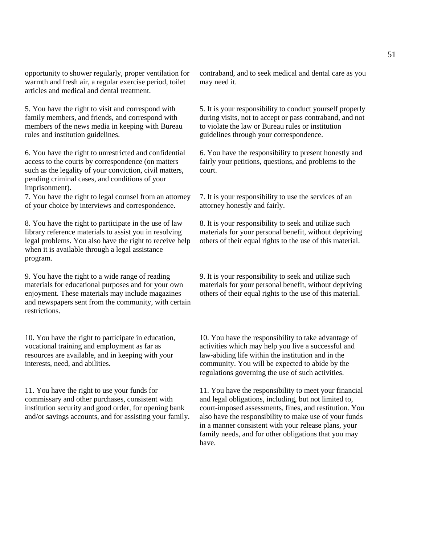opportunity to shower regularly, proper ventilation for warmth and fresh air, a regular exercise period, toilet articles and medical and dental treatment.

5. You have the right to visit and correspond with family members, and friends, and correspond with members of the news media in keeping with Bureau rules and institution guidelines.

6. You have the right to unrestricted and confidential access to the courts by correspondence (on matters such as the legality of your conviction, civil matters, pending criminal cases, and conditions of your imprisonment).

7. You have the right to legal counsel from an attorney of your choice by interviews and correspondence.

8. You have the right to participate in the use of law library reference materials to assist you in resolving legal problems. You also have the right to receive help when it is available through a legal assistance program.

9. You have the right to a wide range of reading materials for educational purposes and for your own enjoyment. These materials may include magazines and newspapers sent from the community, with certain restrictions.

10. You have the right to participate in education, vocational training and employment as far as resources are available, and in keeping with your interests, need, and abilities.

11. You have the right to use your funds for commissary and other purchases, consistent with institution security and good order, for opening bank and/or savings accounts, and for assisting your family. contraband, and to seek medical and dental care as you may need it.

5. It is your responsibility to conduct yourself properly during visits, not to accept or pass contraband, and not to violate the law or Bureau rules or institution guidelines through your correspondence.

6. You have the responsibility to present honestly and fairly your petitions, questions, and problems to the court.

7. It is your responsibility to use the services of an attorney honestly and fairly.

8. It is your responsibility to seek and utilize such materials for your personal benefit, without depriving others of their equal rights to the use of this material.

9. It is your responsibility to seek and utilize such materials for your personal benefit, without depriving others of their equal rights to the use of this material.

10. You have the responsibility to take advantage of activities which may help you live a successful and law-abiding life within the institution and in the community. You will be expected to abide by the regulations governing the use of such activities.

11. You have the responsibility to meet your financial and legal obligations, including, but not limited to, court-imposed assessments, fines, and restitution. You also have the responsibility to make use of your funds in a manner consistent with your release plans, your family needs, and for other obligations that you may have.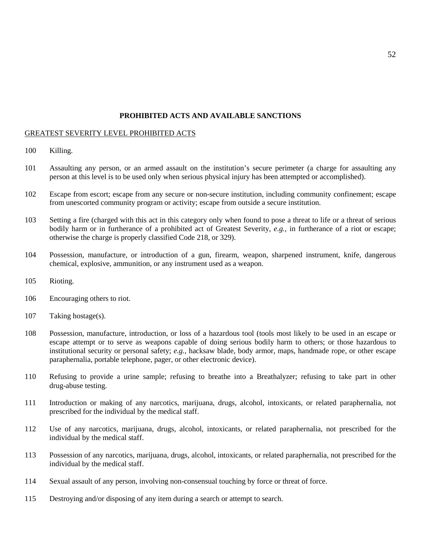#### **PROHIBITED ACTS AND AVAILABLE SANCTIONS**

#### GREATEST SEVERITY LEVEL PROHIBITED ACTS

- 100 Killing.
- 101 Assaulting any person, or an armed assault on the institution's secure perimeter (a charge for assaulting any person at this level is to be used only when serious physical injury has been attempted or accomplished).
- 102 Escape from escort; escape from any secure or non-secure institution, including community confinement; escape from unescorted community program or activity; escape from outside a secure institution.
- 103 Setting a fire (charged with this act in this category only when found to pose a threat to life or a threat of serious bodily harm or in furtherance of a prohibited act of Greatest Severity, *e.g.,* in furtherance of a riot or escape; otherwise the charge is properly classified Code 218, or 329).
- 104 Possession, manufacture, or introduction of a gun, firearm, weapon, sharpened instrument, knife, dangerous chemical, explosive, ammunition, or any instrument used as a weapon.
- 105 Rioting.
- 106 Encouraging others to riot.
- 107 Taking hostage(s).
- 108 Possession, manufacture, introduction, or loss of a hazardous tool (tools most likely to be used in an escape or escape attempt or to serve as weapons capable of doing serious bodily harm to others; or those hazardous to institutional security or personal safety; *e.g.,* hacksaw blade, body armor, maps, handmade rope, or other escape paraphernalia, portable telephone, pager, or other electronic device).
- 110 Refusing to provide a urine sample; refusing to breathe into a Breathalyzer; refusing to take part in other drug-abuse testing.
- 111 Introduction or making of any narcotics, marijuana, drugs, alcohol, intoxicants, or related paraphernalia, not prescribed for the individual by the medical staff.
- 112 Use of any narcotics, marijuana, drugs, alcohol, intoxicants, or related paraphernalia, not prescribed for the individual by the medical staff.
- 113 Possession of any narcotics, marijuana, drugs, alcohol, intoxicants, or related paraphernalia, not prescribed for the individual by the medical staff.
- 114 Sexual assault of any person, involving non-consensual touching by force or threat of force.
- 115 Destroying and/or disposing of any item during a search or attempt to search.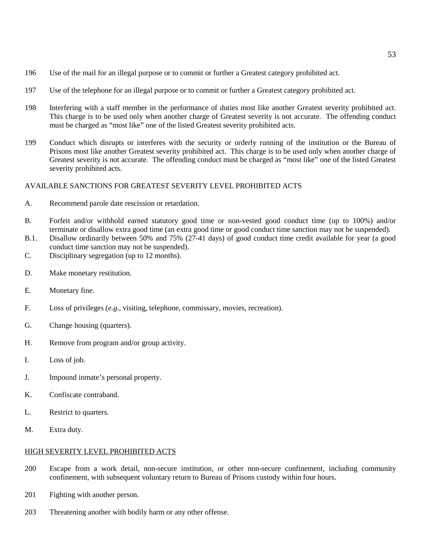- 196 Use of the mail for an illegal purpose or to commit or further a Greatest category prohibited act.
- 197 Use of the telephone for an illegal purpose or to commit or further a Greatest category prohibited act.
- 198 Interfering with a staff member in the performance of duties most like another Greatest severity prohibited act. This charge is to be used only when another charge of Greatest severity is not accurate. The offending conduct must be charged as "most like" one of the listed Greatest severity prohibited acts.
- 199 Conduct which disrupts or interferes with the security or orderly running of the institution or the Bureau of Prisons most like another Greatest severity prohibited act. This charge is to be used only when another charge of Greatest severity is not accurate. The offending conduct must be charged as "most like" one of the listed Greatest severity prohibited acts.

#### AVAILABLE SANCTIONS FOR GREATEST SEVERITY LEVEL PROHIBITED ACTS

- A. Recommend parole date rescission or retardation.
- B. Forfeit and/or withhold earned statutory good time or non-vested good conduct time (up to 100%) and/or terminate or disallow extra good time (an extra good time or good conduct time sanction may not be suspended).
- B.1. Disallow ordinarily between 50% and 75% (27-41 days) of good conduct time credit available for year (a good conduct time sanction may not be suspended).
- C. Disciplinary segregation (up to 12 months).
- D. Make monetary restitution.
- E. Monetary fine.
- F. Loss of privileges (*e.g.,* visiting, telephone, commissary, movies, recreation).
- G. Change housing (quarters).
- H. Remove from program and/or group activity.
- I. Loss of job.
- J. Impound inmate's personal property.
- K. Confiscate contraband.
- L. Restrict to quarters.
- M. Extra duty.

#### HIGH SEVERITY LEVEL PROHIBITED ACTS

- 200 Escape from a work detail, non-secure institution, or other non-secure confinement, including community confinement, with subsequent voluntary return to Bureau of Prisons custody within four hours.
- 201 Fighting with another person.
- 203 Threatening another with bodily harm or any other offense.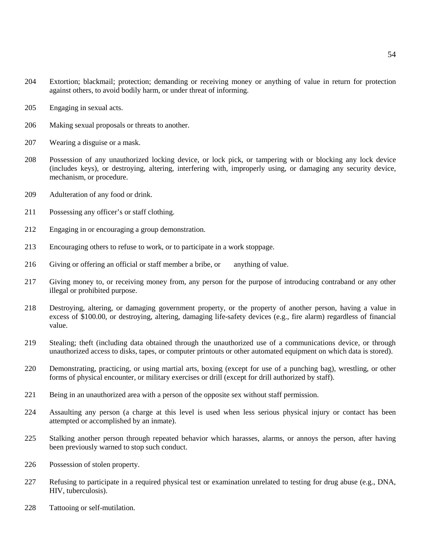- Extortion; blackmail; protection; demanding or receiving money or anything of value in return for protection against others, to avoid bodily harm, or under threat of informing.
- Engaging in sexual acts.
- Making sexual proposals or threats to another.
- Wearing a disguise or a mask.
- Possession of any unauthorized locking device, or lock pick, or tampering with or blocking any lock device (includes keys), or destroying, altering, interfering with, improperly using, or damaging any security device, mechanism, or procedure.
- Adulteration of any food or drink.
- Possessing any officer's or staff clothing.
- Engaging in or encouraging a group demonstration.
- Encouraging others to refuse to work, or to participate in a work stoppage.
- Giving or offering an official or staff member a bribe, or anything of value.
- Giving money to, or receiving money from, any person for the purpose of introducing contraband or any other illegal or prohibited purpose.
- Destroying, altering, or damaging government property, or the property of another person, having a value in excess of \$100.00, or destroying, altering, damaging life-safety devices (e.g., fire alarm) regardless of financial value.
- Stealing; theft (including data obtained through the unauthorized use of a communications device, or through unauthorized access to disks, tapes, or computer printouts or other automated equipment on which data is stored).
- Demonstrating, practicing, or using martial arts, boxing (except for use of a punching bag), wrestling, or other forms of physical encounter, or military exercises or drill (except for drill authorized by staff).
- Being in an unauthorized area with a person of the opposite sex without staff permission.
- Assaulting any person (a charge at this level is used when less serious physical injury or contact has been attempted or accomplished by an inmate).
- Stalking another person through repeated behavior which harasses, alarms, or annoys the person, after having been previously warned to stop such conduct.
- Possession of stolen property.
- Refusing to participate in a required physical test or examination unrelated to testing for drug abuse (e.g., DNA, HIV, tuberculosis).
- Tattooing or self-mutilation.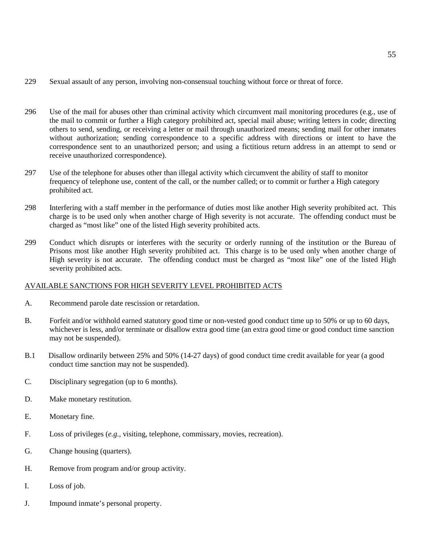- 229 Sexual assault of any person, involving non-consensual touching without force or threat of force.
- 296 Use of the mail for abuses other than criminal activity which circumvent mail monitoring procedures (e.g., use of the mail to commit or further a High category prohibited act, special mail abuse; writing letters in code; directing others to send, sending, or receiving a letter or mail through unauthorized means; sending mail for other inmates without authorization; sending correspondence to a specific address with directions or intent to have the correspondence sent to an unauthorized person; and using a fictitious return address in an attempt to send or receive unauthorized correspondence).
- 297 Use of the telephone for abuses other than illegal activity which circumvent the ability of staff to monitor frequency of telephone use, content of the call, or the number called; or to commit or further a High category prohibited act.
- 298 Interfering with a staff member in the performance of duties most like another High severity prohibited act. This charge is to be used only when another charge of High severity is not accurate. The offending conduct must be charged as "most like" one of the listed High severity prohibited acts.
- 299 Conduct which disrupts or interferes with the security or orderly running of the institution or the Bureau of Prisons most like another High severity prohibited act. This charge is to be used only when another charge of High severity is not accurate. The offending conduct must be charged as "most like" one of the listed High severity prohibited acts.

# AVAILABLE SANCTIONS FOR HIGH SEVERITY LEVEL PROHIBITED ACTS

- A. Recommend parole date rescission or retardation.
- B. Forfeit and/or withhold earned statutory good time or non-vested good conduct time up to 50% or up to 60 days, whichever is less, and/or terminate or disallow extra good time (an extra good time or good conduct time sanction may not be suspended).
- B.1 Disallow ordinarily between 25% and 50% (14-27 days) of good conduct time credit available for year (a good conduct time sanction may not be suspended).
- C. Disciplinary segregation (up to 6 months).
- D. Make monetary restitution.
- E. Monetary fine.
- F. Loss of privileges (*e.g.,* visiting, telephone, commissary, movies, recreation).
- G. Change housing (quarters).
- H. Remove from program and/or group activity.
- I. Loss of job.
- J. Impound inmate's personal property.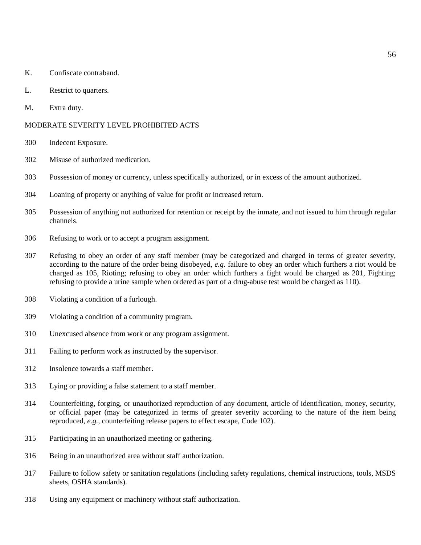- K. Confiscate contraband.
- L. Restrict to quarters.
- M. Extra duty.

#### MODERATE SEVERITY LEVEL PROHIBITED ACTS

- Indecent Exposure.
- Misuse of authorized medication.
- Possession of money or currency, unless specifically authorized, or in excess of the amount authorized.
- Loaning of property or anything of value for profit or increased return.
- Possession of anything not authorized for retention or receipt by the inmate, and not issued to him through regular channels.
- Refusing to work or to accept a program assignment.
- Refusing to obey an order of any staff member (may be categorized and charged in terms of greater severity, according to the nature of the order being disobeyed, *e.g.* failure to obey an order which furthers a riot would be charged as 105, Rioting; refusing to obey an order which furthers a fight would be charged as 201, Fighting; refusing to provide a urine sample when ordered as part of a drug-abuse test would be charged as 110).
- Violating a condition of a furlough.
- Violating a condition of a community program.
- Unexcused absence from work or any program assignment.
- Failing to perform work as instructed by the supervisor.
- Insolence towards a staff member.
- Lying or providing a false statement to a staff member.
- Counterfeiting, forging, or unauthorized reproduction of any document, article of identification, money, security, or official paper (may be categorized in terms of greater severity according to the nature of the item being reproduced, *e.g.,* counterfeiting release papers to effect escape, Code 102).
- Participating in an unauthorized meeting or gathering.
- Being in an unauthorized area without staff authorization.
- Failure to follow safety or sanitation regulations (including safety regulations, chemical instructions, tools, MSDS sheets, OSHA standards).
- Using any equipment or machinery without staff authorization.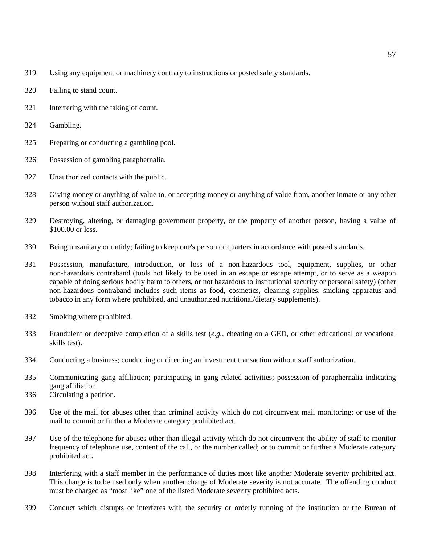- 319 Using any equipment or machinery contrary to instructions or posted safety standards.
- 320 Failing to stand count.
- 321 Interfering with the taking of count.
- 324 Gambling.
- 325 Preparing or conducting a gambling pool.
- 326 Possession of gambling paraphernalia.
- 327 Unauthorized contacts with the public.
- 328 Giving money or anything of value to, or accepting money or anything of value from, another inmate or any other person without staff authorization.
- 329 Destroying, altering, or damaging government property, or the property of another person, having a value of \$100.00 or less.
- 330 Being unsanitary or untidy; failing to keep one's person or quarters in accordance with posted standards.
- 331 Possession, manufacture, introduction, or loss of a non-hazardous tool, equipment, supplies, or other non-hazardous contraband (tools not likely to be used in an escape or escape attempt, or to serve as a weapon capable of doing serious bodily harm to others, or not hazardous to institutional security or personal safety) (other non-hazardous contraband includes such items as food, cosmetics, cleaning supplies, smoking apparatus and tobacco in any form where prohibited, and unauthorized nutritional/dietary supplements).
- 332 Smoking where prohibited.
- 333 Fraudulent or deceptive completion of a skills test (*e.g.,* cheating on a GED, or other educational or vocational skills test).
- 334 Conducting a business; conducting or directing an investment transaction without staff authorization.
- 335 Communicating gang affiliation; participating in gang related activities; possession of paraphernalia indicating gang affiliation.
- 336 Circulating a petition.
- 396 Use of the mail for abuses other than criminal activity which do not circumvent mail monitoring; or use of the mail to commit or further a Moderate category prohibited act.
- 397 Use of the telephone for abuses other than illegal activity which do not circumvent the ability of staff to monitor frequency of telephone use, content of the call, or the number called; or to commit or further a Moderate category prohibited act.
- 398 Interfering with a staff member in the performance of duties most like another Moderate severity prohibited act. This charge is to be used only when another charge of Moderate severity is not accurate. The offending conduct must be charged as "most like" one of the listed Moderate severity prohibited acts.
- 399 Conduct which disrupts or interferes with the security or orderly running of the institution or the Bureau of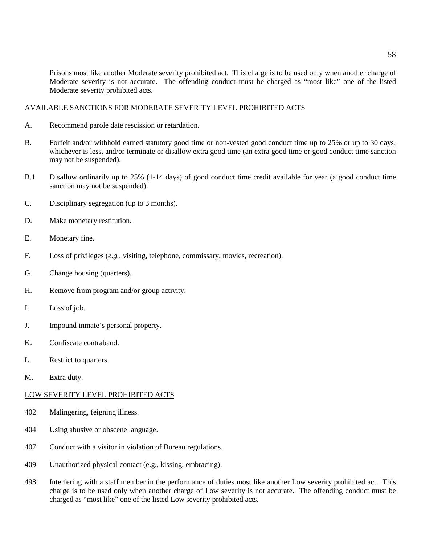Prisons most like another Moderate severity prohibited act. This charge is to be used only when another charge of Moderate severity is not accurate. The offending conduct must be charged as "most like" one of the listed Moderate severity prohibited acts.

### AVAILABLE SANCTIONS FOR MODERATE SEVERITY LEVEL PROHIBITED ACTS

- A. Recommend parole date rescission or retardation.
- B. Forfeit and/or withhold earned statutory good time or non-vested good conduct time up to 25% or up to 30 days, whichever is less, and/or terminate or disallow extra good time (an extra good time or good conduct time sanction may not be suspended).
- B.1 Disallow ordinarily up to 25% (1-14 days) of good conduct time credit available for year (a good conduct time sanction may not be suspended).
- C. Disciplinary segregation (up to 3 months).
- D. Make monetary restitution.
- E. Monetary fine.
- F. Loss of privileges (*e.g.,* visiting, telephone, commissary, movies, recreation).
- G. Change housing (quarters).
- H. Remove from program and/or group activity.
- I. Loss of job.
- J. Impound inmate's personal property.
- K. Confiscate contraband.
- L. Restrict to quarters.
- M. Extra duty.

#### LOW SEVERITY LEVEL PROHIBITED ACTS

- 402 Malingering, feigning illness.
- 404 Using abusive or obscene language.
- 407 Conduct with a visitor in violation of Bureau regulations.
- 409 Unauthorized physical contact (e.g., kissing, embracing).
- 498 Interfering with a staff member in the performance of duties most like another Low severity prohibited act. This charge is to be used only when another charge of Low severity is not accurate. The offending conduct must be charged as "most like" one of the listed Low severity prohibited acts.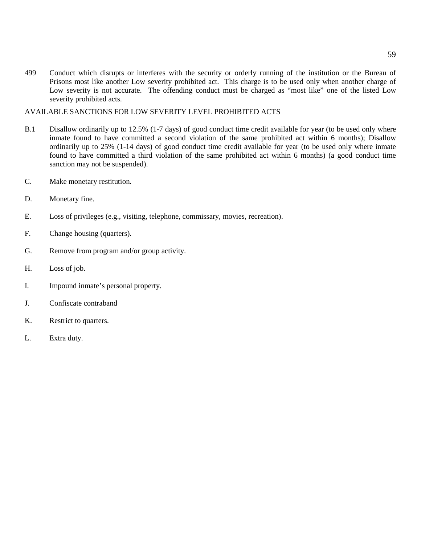499 Conduct which disrupts or interferes with the security or orderly running of the institution or the Bureau of Prisons most like another Low severity prohibited act. This charge is to be used only when another charge of Low severity is not accurate. The offending conduct must be charged as "most like" one of the listed Low severity prohibited acts.

AVAILABLE SANCTIONS FOR LOW SEVERITY LEVEL PROHIBITED ACTS

- B.1 Disallow ordinarily up to 12.5% (1-7 days) of good conduct time credit available for year (to be used only where inmate found to have committed a second violation of the same prohibited act within 6 months); Disallow ordinarily up to 25% (1-14 days) of good conduct time credit available for year (to be used only where inmate found to have committed a third violation of the same prohibited act within 6 months) (a good conduct time sanction may not be suspended).
- C. Make monetary restitution.
- D. Monetary fine.
- E. Loss of privileges (e.g., visiting, telephone, commissary, movies, recreation).
- F. Change housing (quarters).
- G. Remove from program and/or group activity.
- H. Loss of job.
- I. Impound inmate's personal property.
- J. Confiscate contraband
- K. Restrict to quarters.
- L. Extra duty.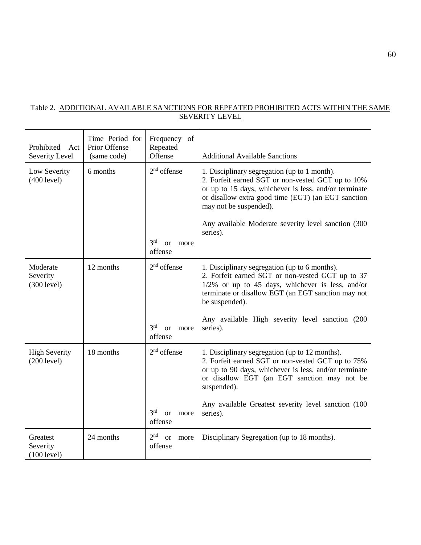# Table 2. ADDITIONAL AVAILABLE SANCTIONS FOR REPEATED PROHIBITED ACTS WITHIN THE SAME SEVERITY LEVEL

| Prohibited<br>Act<br>Severity Level | Time Period for<br>Prior Offense<br>(same code) | Frequency of<br>Repeated<br>Offense                                  | <b>Additional Available Sanctions</b>                                                                                                                                                                                                                                                                         |
|-------------------------------------|-------------------------------------------------|----------------------------------------------------------------------|---------------------------------------------------------------------------------------------------------------------------------------------------------------------------------------------------------------------------------------------------------------------------------------------------------------|
| Low Severity<br>(400 level)         | 6 months                                        | $2nd$ offense<br>3 <sup>rd</sup><br><sub>or</sub><br>more<br>offense | 1. Disciplinary segregation (up to 1 month).<br>2. Forfeit earned SGT or non-vested GCT up to 10%<br>or up to 15 days, whichever is less, and/or terminate<br>or disallow extra good time (EGT) (an EGT sanction<br>may not be suspended).<br>Any available Moderate severity level sanction (300<br>series). |
| Moderate<br>Severity<br>(300 level) | 12 months                                       | $2nd$ offense<br>3 <sup>rd</sup><br><sub>or</sub><br>more<br>offense | 1. Disciplinary segregation (up to 6 months).<br>2. Forfeit earned SGT or non-vested GCT up to 37<br>$1/2\%$ or up to 45 days, whichever is less, and/or<br>terminate or disallow EGT (an EGT sanction may not<br>be suspended).<br>Any available High severity level sanction (200<br>series).               |
| <b>High Severity</b><br>(200 level) | 18 months                                       | $2nd$ offense<br>3 <sup>rd</sup><br><sub>or</sub><br>more<br>offense | 1. Disciplinary segregation (up to 12 months).<br>2. Forfeit earned SGT or non-vested GCT up to 75%<br>or up to 90 days, whichever is less, and/or terminate<br>or disallow EGT (an EGT sanction may not be<br>suspended).<br>Any available Greatest severity level sanction (100<br>series).                 |
| Greatest<br>Severity<br>(100 level) | 24 months                                       | 2 <sup>nd</sup><br><b>or</b><br>more<br>offense                      | Disciplinary Segregation (up to 18 months).                                                                                                                                                                                                                                                                   |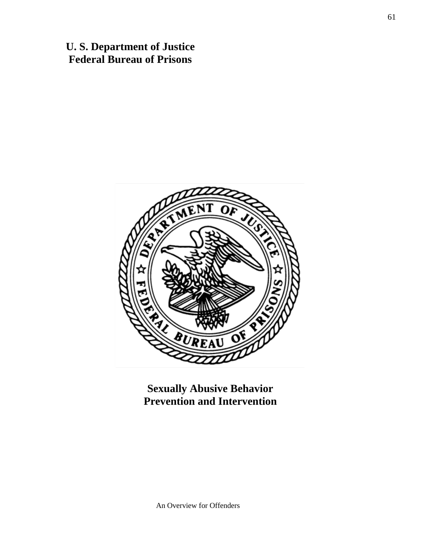**U. S. Department of Justice Federal Bureau of Prisons**



**Sexually Abusive Behavior Prevention and Intervention**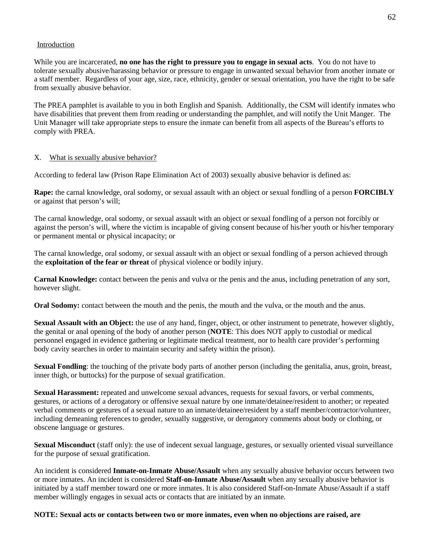### Introduction

While you are incarcerated, **no one has the right to pressure you to engage in sexual acts**. You do not have to tolerate sexually abusive/harassing behavior or pressure to engage in unwanted sexual behavior from another inmate or a staff member. Regardless of your age, size, race, ethnicity, gender or sexual orientation, you have the right to be safe from sexually abusive behavior.

The PREA pamphlet is available to you in both English and Spanish. Additionally, the CSM will identify inmates who have disabilities that prevent them from reading or understanding the pamphlet, and will notify the Unit Manger. The Unit Manager will take appropriate steps to ensure the inmate can benefit from all aspects of the Bureau's efforts to comply with PREA.

# X. What is sexually abusive behavior?

According to federal law (Prison Rape Elimination Act of 2003) sexually abusive behavior is defined as:

**Rape:** the carnal knowledge, oral sodomy, or sexual assault with an object or sexual fondling of a person **FORCIBLY**  or against that person's will;

The carnal knowledge, oral sodomy, or sexual assault with an object or sexual fondling of a person not forcibly or against the person's will, where the victim is incapable of giving consent because of his/her youth or his/her temporary or permanent mental or physical incapacity; or

The carnal knowledge, oral sodomy, or sexual assault with an object or sexual fondling of a person achieved through the **exploitation of the fear or threat** of physical violence or bodily injury.

**Carnal Knowledge:** contact between the penis and vulva or the penis and the anus, including penetration of any sort, however slight.

**Oral Sodomy:** contact between the mouth and the penis, the mouth and the vulva, or the mouth and the anus.

**Sexual Assault with an Object:** the use of any hand, finger, object, or other instrument to penetrate, however slightly, the genital or anal opening of the body of another person (**NOTE**: This does NOT apply to custodial or medical personnel engaged in evidence gathering or legitimate medical treatment, nor to health care provider's performing body cavity searches in order to maintain security and safety within the prison).

**Sexual Fondling**: the touching of the private body parts of another person (including the genitalia, anus, groin, breast, inner thigh, or buttocks) for the purpose of sexual gratification.

**Sexual Harassment:** repeated and unwelcome sexual advances, requests for sexual favors, or verbal comments, gestures, or actions of a derogatory or offensive sexual nature by one inmate/detainee/resident to another; or repeated verbal comments or gestures of a sexual nature to an inmate/detainee/resident by a staff member/contractor/volunteer, including demeaning references to gender, sexually suggestive, or derogatory comments about body or clothing, or obscene language or gestures.

**Sexual Misconduct** (staff only): the use of indecent sexual language, gestures, or sexually oriented visual surveillance for the purpose of sexual gratification.

An incident is considered **Inmate-on-Inmate Abuse/Assault** when any sexually abusive behavior occurs between two or more inmates. An incident is considered **Staff-on-Inmate Abuse/Assault** when any sexually abusive behavior is initiated by a staff member toward one or more inmates. It is also considered Staff-on-Inmate Abuse/Assault if a staff member willingly engages in sexual acts or contacts that are initiated by an inmate.

**NOTE: Sexual acts or contacts between two or more inmates, even when no objections are raised, are**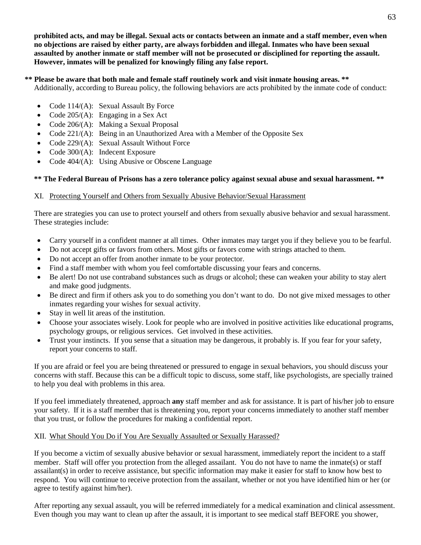**prohibited acts, and may be illegal. Sexual acts or contacts between an inmate and a staff member, even when no objections are raised by either party, are always forbidden and illegal. Inmates who have been sexual assaulted by another inmate or staff member will not be prosecuted or disciplined for reporting the assault. However, inmates will be penalized for knowingly filing any false report.** 

# **\*\* Please be aware that both male and female staff routinely work and visit inmate housing areas. \*\***

Additionally, according to Bureau policy, the following behaviors are acts prohibited by the inmate code of conduct:

- Code 114/(A): Sexual Assault By Force
- Code  $205/(A)$ : Engaging in a Sex Act
- Code 206/(A): Making a Sexual Proposal
- Code 221/(A): Being in an Unauthorized Area with a Member of the Opposite Sex
- Code 229/(A): Sexual Assault Without Force
- Code 300/(A): Indecent Exposure
- Code 404/(A): Using Abusive or Obscene Language

# **\*\* The Federal Bureau of Prisons has a zero tolerance policy against sexual abuse and sexual harassment. \*\***

# XI. Protecting Yourself and Others from Sexually Abusive Behavior/Sexual Harassment

There are strategies you can use to protect yourself and others from sexually abusive behavior and sexual harassment. These strategies include:

- Carry yourself in a confident manner at all times. Other inmates may target you if they believe you to be fearful.
- Do not accept gifts or favors from others. Most gifts or favors come with strings attached to them.
- Do not accept an offer from another inmate to be your protector.
- Find a staff member with whom you feel comfortable discussing your fears and concerns.
- Be alert! Do not use contraband substances such as drugs or alcohol; these can weaken your ability to stay alert and make good judgments.
- Be direct and firm if others ask you to do something you don't want to do. Do not give mixed messages to other inmates regarding your wishes for sexual activity.
- Stay in well lit areas of the institution.
- Choose your associates wisely. Look for people who are involved in positive activities like educational programs, psychology groups, or religious services. Get involved in these activities.
- Trust your instincts. If you sense that a situation may be dangerous, it probably is. If you fear for your safety, report your concerns to staff.

If you are afraid or feel you are being threatened or pressured to engage in sexual behaviors, you should discuss your concerns with staff. Because this can be a difficult topic to discuss, some staff, like psychologists, are specially trained to help you deal with problems in this area.

If you feel immediately threatened, approach **any** staff member and ask for assistance. It is part of his/her job to ensure your safety. If it is a staff member that is threatening you, report your concerns immediately to another staff member that you trust, or follow the procedures for making a confidential report.

# XII. What Should You Do if You Are Sexually Assaulted or Sexually Harassed?

If you become a victim of sexually abusive behavior or sexual harassment, immediately report the incident to a staff member. Staff will offer you protection from the alleged assailant. You do not have to name the inmate(s) or staff assailant(s) in order to receive assistance, but specific information may make it easier for staff to know how best to respond. You will continue to receive protection from the assailant, whether or not you have identified him or her (or agree to testify against him/her).

After reporting any sexual assault, you will be referred immediately for a medical examination and clinical assessment. Even though you may want to clean up after the assault, it is important to see medical staff BEFORE you shower,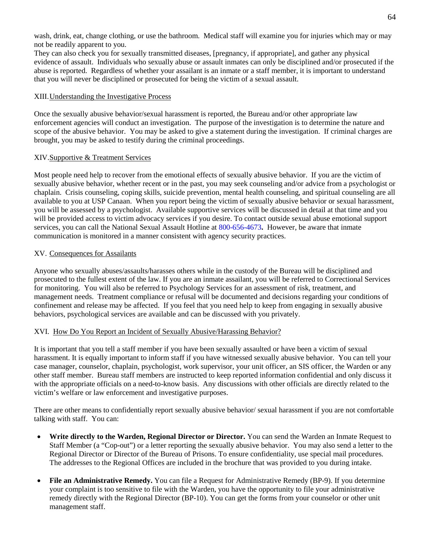wash, drink, eat, change clothing, or use the bathroom. Medical staff will examine you for injuries which may or may not be readily apparent to you.

They can also check you for sexually transmitted diseases, [pregnancy, if appropriate], and gather any physical evidence of assault. Individuals who sexually abuse or assault inmates can only be disciplined and/or prosecuted if the abuse is reported. Regardless of whether your assailant is an inmate or a staff member, it is important to understand that you will never be disciplined or prosecuted for being the victim of a sexual assault.

# XIII.Understanding the Investigative Process

Once the sexually abusive behavior/sexual harassment is reported, the Bureau and/or other appropriate law enforcement agencies will conduct an investigation. The purpose of the investigation is to determine the nature and scope of the abusive behavior. You may be asked to give a statement during the investigation. If criminal charges are brought, you may be asked to testify during the criminal proceedings.

# XIV.Supportive & Treatment Services

Most people need help to recover from the emotional effects of sexually abusive behavior. If you are the victim of sexually abusive behavior, whether recent or in the past, you may seek counseling and/or advice from a psychologist or chaplain. Crisis counseling, coping skills, suicide prevention, mental health counseling, and spiritual counseling are all available to you at USP Canaan. When you report being the victim of sexually abusive behavior or sexual harassment, you will be assessed by a psychologist. Available supportive services will be discussed in detail at that time and you will be provided access to victim advocacy services if you desire. To contact outside sexual abuse emotional support services, you can call the National Sexual Assault Hotline at [800-656-4673](tel:8006564673)**.** However, be aware that inmate communication is monitored in a manner consistent with agency security practices.

# XV. Consequences for Assailants

Anyone who sexually abuses/assaults/harasses others while in the custody of the Bureau will be disciplined and prosecuted to the fullest extent of the law. If you are an inmate assailant, you will be referred to Correctional Services for monitoring. You will also be referred to Psychology Services for an assessment of risk, treatment, and management needs. Treatment compliance or refusal will be documented and decisions regarding your conditions of confinement and release may be affected. If you feel that you need help to keep from engaging in sexually abusive behaviors, psychological services are available and can be discussed with you privately.

# XVI. How Do You Report an Incident of Sexually Abusive/Harassing Behavior?

It is important that you tell a staff member if you have been sexually assaulted or have been a victim of sexual harassment. It is equally important to inform staff if you have witnessed sexually abusive behavior. You can tell your case manager, counselor, chaplain, psychologist, work supervisor, your unit officer, an SIS officer, the Warden or any other staff member. Bureau staff members are instructed to keep reported information confidential and only discuss it with the appropriate officials on a need-to-know basis. Any discussions with other officials are directly related to the victim's welfare or law enforcement and investigative purposes.

There are other means to confidentially report sexually abusive behavior/ sexual harassment if you are not comfortable talking with staff. You can:

- **Write directly to the Warden, Regional Director or Director.** You can send the Warden an Inmate Request to Staff Member (a "Cop-out") or a letter reporting the sexually abusive behavior. You may also send a letter to the Regional Director or Director of the Bureau of Prisons. To ensure confidentiality, use special mail procedures. The addresses to the Regional Offices are included in the brochure that was provided to you during intake.
- **File an Administrative Remedy.** You can file a Request for Administrative Remedy (BP-9). If you determine your complaint is too sensitive to file with the Warden, you have the opportunity to file your administrative remedy directly with the Regional Director (BP-10). You can get the forms from your counselor or other unit management staff.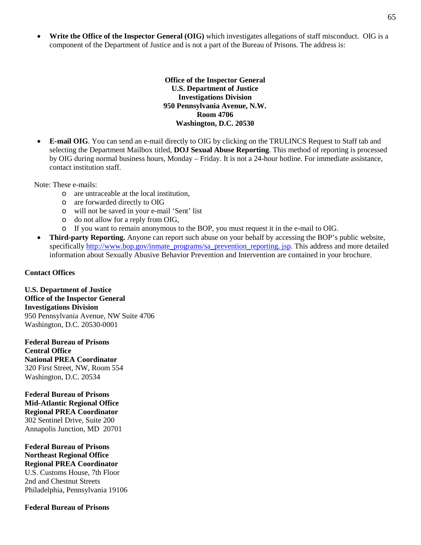• **Write the Office of the Inspector General (OIG)** which investigates allegations of staff misconduct. OIG is a component of the Department of Justice and is not a part of the Bureau of Prisons. The address is:

> **Office of the Inspector General U.S. Department of Justice Investigations Division 950 Pennsylvania Avenue, N.W. Room 4706 Washington, D.C. 20530**

• **E-mail OIG**. You can send an e-mail directly to OIG by clicking on the TRULINCS Request to Staff tab and selecting the Department Mailbox titled, **DOJ Sexual Abuse Reporting**. This method of reporting is processed by OIG during normal business hours, Monday – Friday. It is not a 24-hour hotline. For immediate assistance, contact institution staff.

Note: These e-mails:

- o are untraceable at the local institution,
- o are forwarded directly to OIG
- o will not be saved in your e-mail 'Sent' list
- o do not allow for a reply from OIG,
- o If you want to remain anonymous to the BOP, you must request it in the e-mail to OIG.
- **Third-party Reporting.** Anyone can report such abuse on your behalf by accessing the BOP's public website, specifically [http://www.bop.gov/inmate\\_programs/sa\\_prevention\\_reporting. jsp.](http://www.bop.gov/inmate_programs/sa_prevention_reporting.%20jsp) This address and more detailed information about Sexually Abusive Behavior Prevention and Intervention are contained in your brochure.

#### **Contact Offices**

**U.S. Department of Justice Office of the Inspector General Investigations Division** 950 Pennsylvania Avenue, NW Suite 4706 Washington, D.C. 20530-0001

**Federal Bureau of Prisons Central Office National PREA Coordinator** 320 First Street, NW, Room 554 Washington, D.C. 20534

**Federal Bureau of Prisons Mid-Atlantic Regional Office Regional PREA Coordinator** 302 Sentinel Drive, Suite 200 Annapolis Junction, MD 20701

**Federal Bureau of Prisons Northeast Regional Office Regional PREA Coordinator** U.S. Customs House, 7th Floor 2nd and Chestnut Streets Philadelphia, Pennsylvania 19106

#### **Federal Bureau of Prisons**